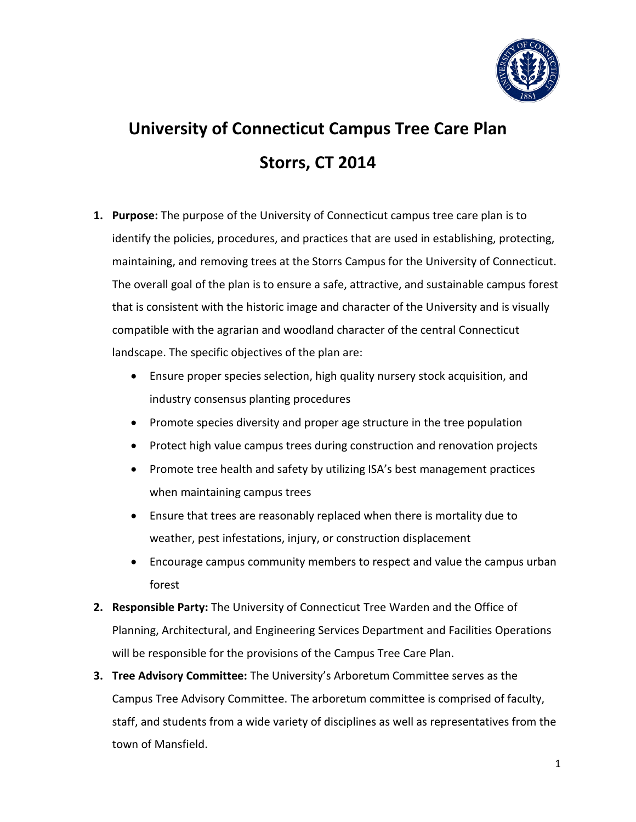

# **University of Connecticut Campus Tree Care Plan Storrs, CT 2014**

- **1. Purpose:** The purpose of the University of Connecticut campus tree care plan is to identify the policies, procedures, and practices that are used in establishing, protecting, maintaining, and removing trees at the Storrs Campus for the University of Connecticut. The overall goal of the plan is to ensure a safe, attractive, and sustainable campus forest that is consistent with the historic image and character of the University and is visually compatible with the agrarian and woodland character of the central Connecticut landscape. The specific objectives of the plan are:
	- Ensure proper species selection, high quality nursery stock acquisition, and industry consensus planting procedures
	- Promote species diversity and proper age structure in the tree population
	- Protect high value campus trees during construction and renovation projects
	- Promote tree health and safety by utilizing ISA's best management practices when maintaining campus trees
	- Ensure that trees are reasonably replaced when there is mortality due to weather, pest infestations, injury, or construction displacement
	- Encourage campus community members to respect and value the campus urban forest
- **2. Responsible Party:** The University of Connecticut Tree Warden and the Office of Planning, Architectural, and Engineering Services Department and Facilities Operations will be responsible for the provisions of the Campus Tree Care Plan.
- **3. Tree Advisory Committee:** The University's Arboretum Committee serves as the Campus Tree Advisory Committee. The arboretum committee is comprised of faculty, staff, and students from a wide variety of disciplines as well as representatives from the town of Mansfield.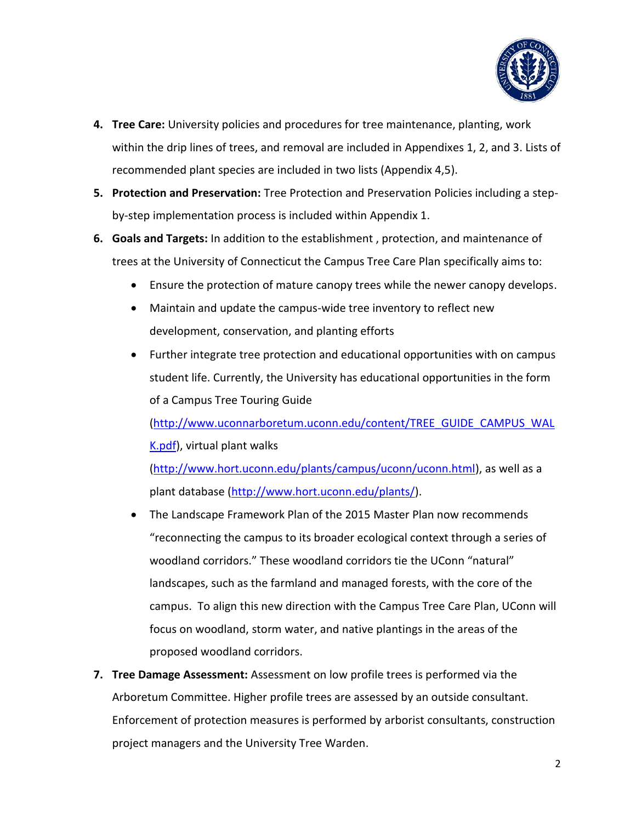

- **4. Tree Care:** University policies and procedures for tree maintenance, planting, work within the drip lines of trees, and removal are included in Appendixes 1, 2, and 3. Lists of recommended plant species are included in two lists (Appendix 4,5).
- **5. Protection and Preservation:** Tree Protection and Preservation Policies including a stepby-step implementation process is included within Appendix 1.
- **6. Goals and Targets:** In addition to the establishment , protection, and maintenance of trees at the University of Connecticut the Campus Tree Care Plan specifically aims to:
	- Ensure the protection of mature canopy trees while the newer canopy develops.
	- Maintain and update the campus-wide tree inventory to reflect new development, conservation, and planting efforts
	- Further integrate tree protection and educational opportunities with on campus student life. Currently, the University has educational opportunities in the form of a Campus Tree Touring Guide

[\(http://www.uconnarboretum.uconn.edu/content/TREE\\_GUIDE\\_CAMPUS\\_WAL](http://www.uconnarboretum.uconn.edu/content/TREE_GUIDE_CAMPUS_WALK.pdf) [K.pdf\)](http://www.uconnarboretum.uconn.edu/content/TREE_GUIDE_CAMPUS_WALK.pdf), virtual plant walks

[\(http://www.hort.uconn.edu/plants/campus/uconn/uconn.html\)](http://www.hort.uconn.edu/plants/campus/uconn/uconn.html), as well as a plant database [\(http://www.hort.uconn.edu/plants/\)](http://www.hort.uconn.edu/plants/).

- The Landscape Framework Plan of the 2015 Master Plan now recommends "reconnecting the campus to its broader ecological context through a series of woodland corridors." These woodland corridors tie the UConn "natural" landscapes, such as the farmland and managed forests, with the core of the campus. To align this new direction with the Campus Tree Care Plan, UConn will focus on woodland, storm water, and native plantings in the areas of the proposed woodland corridors.
- **7. Tree Damage Assessment:** Assessment on low profile trees is performed via the Arboretum Committee. Higher profile trees are assessed by an outside consultant. Enforcement of protection measures is performed by arborist consultants, construction project managers and the University Tree Warden.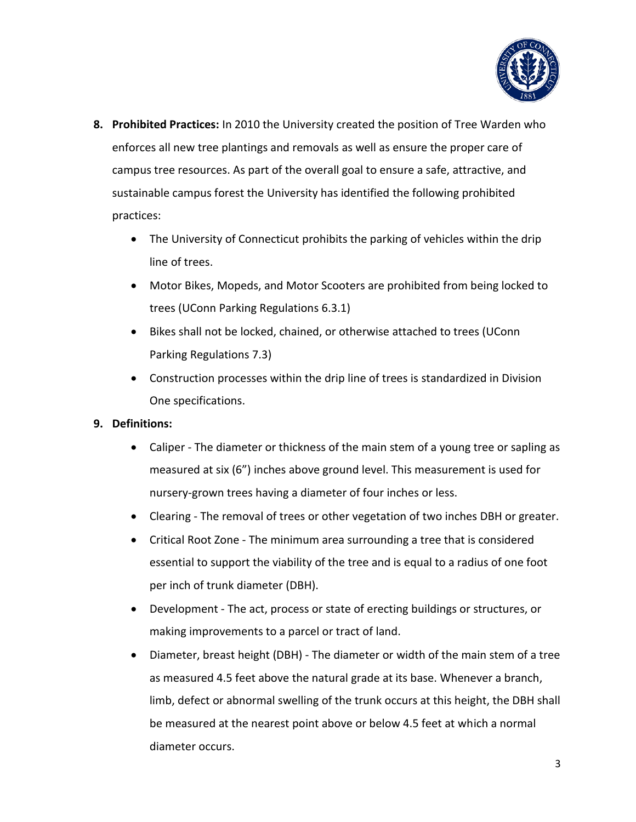

- **8. Prohibited Practices:** In 2010 the University created the position of Tree Warden who enforces all new tree plantings and removals as well as ensure the proper care of campus tree resources. As part of the overall goal to ensure a safe, attractive, and sustainable campus forest the University has identified the following prohibited practices:
	- The University of Connecticut prohibits the parking of vehicles within the drip line of trees.
	- Motor Bikes, Mopeds, and Motor Scooters are prohibited from being locked to trees (UConn Parking Regulations 6.3.1)
	- Bikes shall not be locked, chained, or otherwise attached to trees (UConn Parking Regulations 7.3)
	- Construction processes within the drip line of trees is standardized in Division One specifications.

# **9. Definitions:**

- Caliper The diameter or thickness of the main stem of a young tree or sapling as measured at six (6") inches above ground level. This measurement is used for nursery‐grown trees having a diameter of four inches or less.
- Clearing The removal of trees or other vegetation of two inches DBH or greater.
- Critical Root Zone The minimum area surrounding a tree that is considered essential to support the viability of the tree and is equal to a radius of one foot per inch of trunk diameter (DBH).
- Development The act, process or state of erecting buildings or structures, or making improvements to a parcel or tract of land.
- Diameter, breast height (DBH) ‐ The diameter or width of the main stem of a tree as measured 4.5 feet above the natural grade at its base. Whenever a branch, limb, defect or abnormal swelling of the trunk occurs at this height, the DBH shall be measured at the nearest point above or below 4.5 feet at which a normal diameter occurs.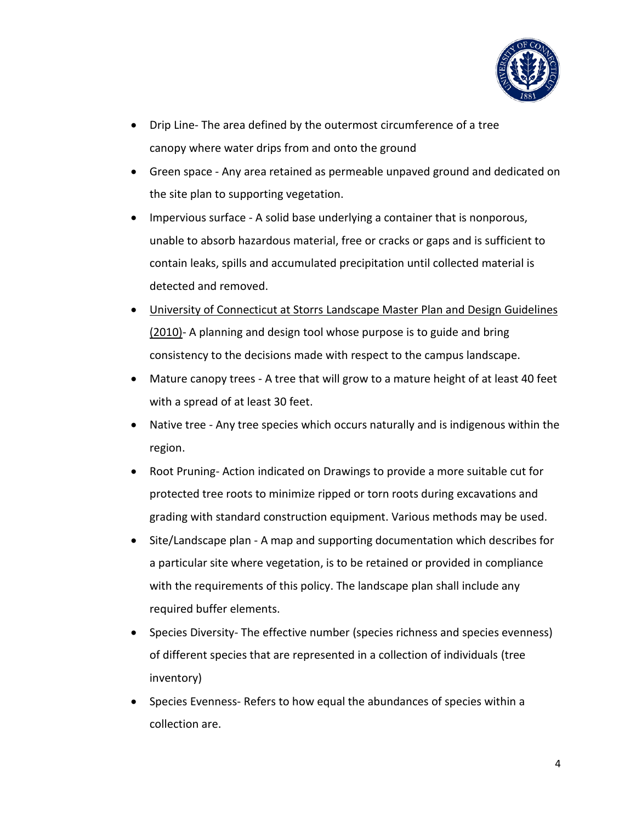

- Drip Line- The area defined by the outermost circumference of a tree canopy where water drips from and onto the ground
- Green space Any area retained as permeable unpaved ground and dedicated on the site plan to supporting vegetation.
- Impervious surface A solid base underlying a container that is nonporous, unable to absorb hazardous material, free or cracks or gaps and is sufficient to contain leaks, spills and accumulated precipitation until collected material is detected and removed.
- University of Connecticut at Storrs Landscape Master Plan and Design Guidelines (2010)- A planning and design tool whose purpose is to guide and bring consistency to the decisions made with respect to the campus landscape.
- Mature canopy trees A tree that will grow to a mature height of at least 40 feet with a spread of at least 30 feet.
- Native tree Any tree species which occurs naturally and is indigenous within the region.
- Root Pruning- Action indicated on Drawings to provide a more suitable cut for protected tree roots to minimize ripped or torn roots during excavations and grading with standard construction equipment. Various methods may be used.
- Site/Landscape plan A map and supporting documentation which describes for a particular site where vegetation, is to be retained or provided in compliance with the requirements of this policy. The landscape plan shall include any required buffer elements.
- Species Diversity- The effective number (species richness and species evenness) of different species that are represented in a collection of individuals (tree inventory)
- Species Evenness- Refers to how equal the abundances of species within a collection are.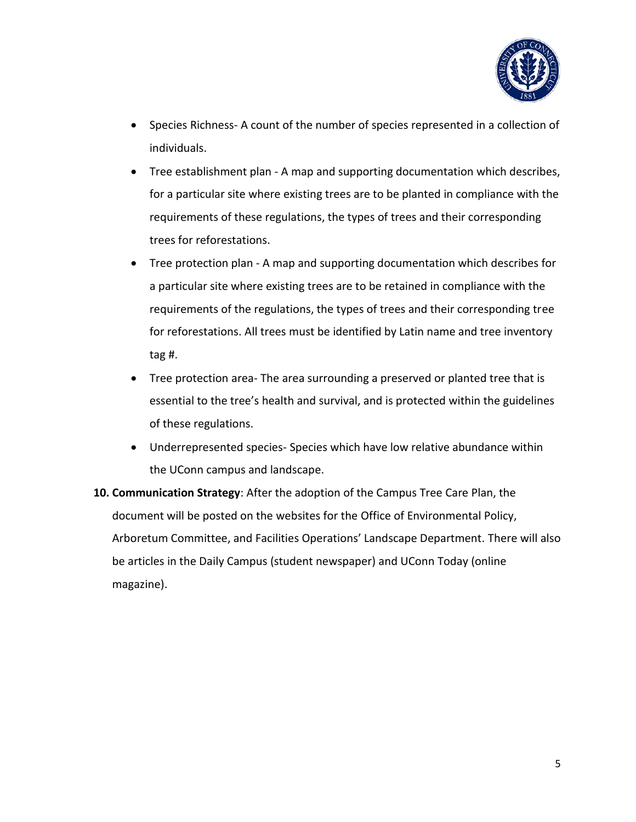

- Species Richness- A count of the number of species represented in a collection of individuals.
- Tree establishment plan ‐ A map and supporting documentation which describes, for a particular site where existing trees are to be planted in compliance with the requirements of these regulations, the types of trees and their corresponding trees for reforestations.
- Tree protection plan ‐ A map and supporting documentation which describes for a particular site where existing trees are to be retained in compliance with the requirements of the regulations, the types of trees and their corresponding tree for reforestations. All trees must be identified by Latin name and tree inventory tag #.
- Tree protection area- The area surrounding a preserved or planted tree that is essential to the tree's health and survival, and is protected within the guidelines of these regulations.
- Underrepresented species- Species which have low relative abundance within the UConn campus and landscape.
- **10. Communication Strategy**: After the adoption of the Campus Tree Care Plan, the document will be posted on the websites for the Office of Environmental Policy, Arboretum Committee, and Facilities Operations' Landscape Department. There will also be articles in the Daily Campus (student newspaper) and UConn Today (online magazine).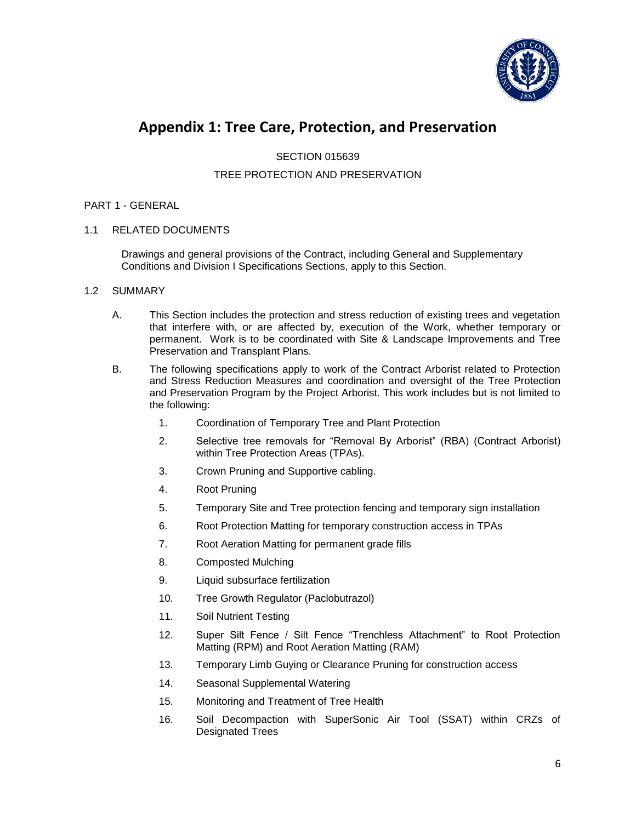

# **Appendix 1: Tree Care, Protection, and Preservation**

SECTION 015639

# TREE PROTECTION AND PRESERVATION

## PART 1 - GENERAL

1.1 RELATED DOCUMENTS

Drawings and general provisions of the Contract, including General and Supplementary Conditions and Division I Specifications Sections, apply to this Section.

- 1.2 SUMMARY
	- A. This Section includes the protection and stress reduction of existing trees and vegetation that interfere with, or are affected by, execution of the Work, whether temporary or permanent. Work is to be coordinated with Site & Landscape Improvements and Tree Preservation and Transplant Plans.
	- B. The following specifications apply to work of the Contract Arborist related to Protection and Stress Reduction Measures and coordination and oversight of the Tree Protection and Preservation Program by the Project Arborist. This work includes but is not limited to the following:
		- 1. Coordination of Temporary Tree and Plant Protection
		- 2. Selective tree removals for "Removal By Arborist" (RBA) (Contract Arborist) within Tree Protection Areas (TPAs).
		- 3. Crown Pruning and Supportive cabling.
		- 4. Root Pruning
		- 5. Temporary Site and Tree protection fencing and temporary sign installation
		- 6. Root Protection Matting for temporary construction access in TPAs
		- 7. Root Aeration Matting for permanent grade fills
		- 8. Composted Mulching
		- 9. Liquid subsurface fertilization
		- 10. Tree Growth Regulator (Paclobutrazol)
		- 11. Soil Nutrient Testing
		- 12. Super Silt Fence / Silt Fence "Trenchless Attachment" to Root Protection Matting (RPM) and Root Aeration Matting (RAM)
		- 13. Temporary Limb Guying or Clearance Pruning for construction access
		- 14. Seasonal Supplemental Watering
		- 15. Monitoring and Treatment of Tree Health
		- 16. Soil Decompaction with SuperSonic Air Tool (SSAT) within CRZs of Designated Trees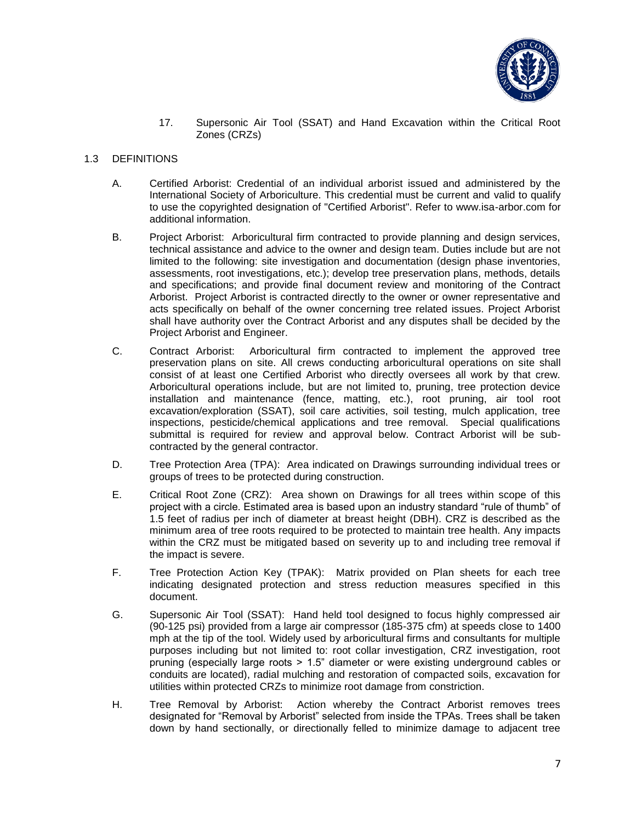

17. Supersonic Air Tool (SSAT) and Hand Excavation within the Critical Root Zones (CRZs)

#### 1.3 DEFINITIONS

- A. Certified Arborist: Credential of an individual arborist issued and administered by the International Society of Arboriculture. This credential must be current and valid to qualify to use the copyrighted designation of "Certified Arborist". Refer to www.isa-arbor.com for additional information.
- B. Project Arborist: Arboricultural firm contracted to provide planning and design services, technical assistance and advice to the owner and design team. Duties include but are not limited to the following: site investigation and documentation (design phase inventories, assessments, root investigations, etc.); develop tree preservation plans, methods, details and specifications; and provide final document review and monitoring of the Contract Arborist. Project Arborist is contracted directly to the owner or owner representative and acts specifically on behalf of the owner concerning tree related issues. Project Arborist shall have authority over the Contract Arborist and any disputes shall be decided by the Project Arborist and Engineer.
- C. Contract Arborist: Arboricultural firm contracted to implement the approved tree preservation plans on site. All crews conducting arboricultural operations on site shall consist of at least one Certified Arborist who directly oversees all work by that crew. Arboricultural operations include, but are not limited to, pruning, tree protection device installation and maintenance (fence, matting, etc.), root pruning, air tool root excavation/exploration (SSAT), soil care activities, soil testing, mulch application, tree inspections, pesticide/chemical applications and tree removal. Special qualifications submittal is required for review and approval below. Contract Arborist will be subcontracted by the general contractor.
- D. Tree Protection Area (TPA): Area indicated on Drawings surrounding individual trees or groups of trees to be protected during construction.
- E. Critical Root Zone (CRZ): Area shown on Drawings for all trees within scope of this project with a circle. Estimated area is based upon an industry standard "rule of thumb" of 1.5 feet of radius per inch of diameter at breast height (DBH). CRZ is described as the minimum area of tree roots required to be protected to maintain tree health. Any impacts within the CRZ must be mitigated based on severity up to and including tree removal if the impact is severe.
- F. Tree Protection Action Key (TPAK): Matrix provided on Plan sheets for each tree indicating designated protection and stress reduction measures specified in this document.
- G. Supersonic Air Tool (SSAT): Hand held tool designed to focus highly compressed air (90-125 psi) provided from a large air compressor (185-375 cfm) at speeds close to 1400 mph at the tip of the tool. Widely used by arboricultural firms and consultants for multiple purposes including but not limited to: root collar investigation, CRZ investigation, root pruning (especially large roots > 1.5" diameter or were existing underground cables or conduits are located), radial mulching and restoration of compacted soils, excavation for utilities within protected CRZs to minimize root damage from constriction.
- H. Tree Removal by Arborist: Action whereby the Contract Arborist removes trees designated for "Removal by Arborist" selected from inside the TPAs. Trees shall be taken down by hand sectionally, or directionally felled to minimize damage to adjacent tree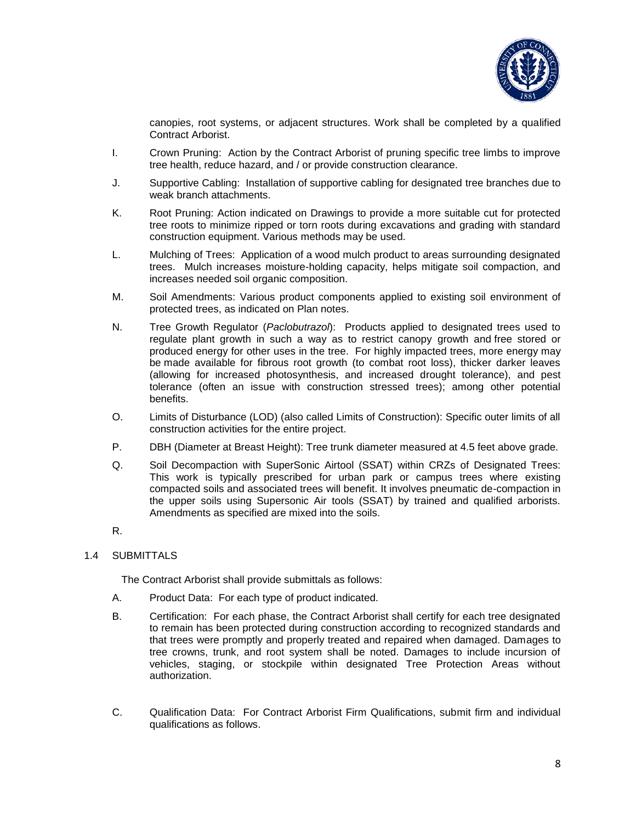

canopies, root systems, or adjacent structures. Work shall be completed by a qualified Contract Arborist.

- I. Crown Pruning: Action by the Contract Arborist of pruning specific tree limbs to improve tree health, reduce hazard, and / or provide construction clearance.
- J. Supportive Cabling: Installation of supportive cabling for designated tree branches due to weak branch attachments.
- K. Root Pruning: Action indicated on Drawings to provide a more suitable cut for protected tree roots to minimize ripped or torn roots during excavations and grading with standard construction equipment. Various methods may be used.
- L. Mulching of Trees: Application of a wood mulch product to areas surrounding designated trees. Mulch increases moisture-holding capacity, helps mitigate soil compaction, and increases needed soil organic composition.
- M. Soil Amendments: Various product components applied to existing soil environment of protected trees, as indicated on Plan notes.
- N. Tree Growth Regulator (*Paclobutrazol*): Products applied to designated trees used to regulate plant growth in such a way as to restrict canopy growth and free stored or produced energy for other uses in the tree. For highly impacted trees, more energy may be made available for fibrous root growth (to combat root loss), thicker darker leaves (allowing for increased photosynthesis, and increased drought tolerance), and pest tolerance (often an issue with construction stressed trees); among other potential benefits.
- O. Limits of Disturbance (LOD) (also called Limits of Construction): Specific outer limits of all construction activities for the entire project.
- P. DBH (Diameter at Breast Height): Tree trunk diameter measured at 4.5 feet above grade.
- Q. Soil Decompaction with SuperSonic Airtool (SSAT) within CRZs of Designated Trees: This work is typically prescribed for urban park or campus trees where existing compacted soils and associated trees will benefit. It involves pneumatic de-compaction in the upper soils using Supersonic Air tools (SSAT) by trained and qualified arborists. Amendments as specified are mixed into the soils.
- R.

# 1.4 SUBMITTALS

The Contract Arborist shall provide submittals as follows:

- A. Product Data: For each type of product indicated.
- B. Certification: For each phase, the Contract Arborist shall certify for each tree designated to remain has been protected during construction according to recognized standards and that trees were promptly and properly treated and repaired when damaged. Damages to tree crowns, trunk, and root system shall be noted. Damages to include incursion of vehicles, staging, or stockpile within designated Tree Protection Areas without authorization.
- C. Qualification Data: For Contract Arborist Firm Qualifications, submit firm and individual qualifications as follows.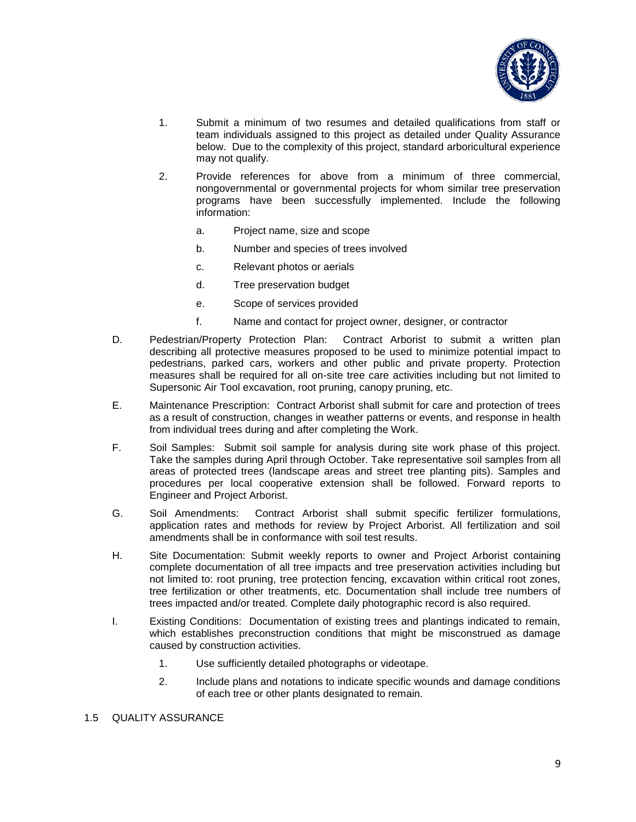

- 1. Submit a minimum of two resumes and detailed qualifications from staff or team individuals assigned to this project as detailed under Quality Assurance below. Due to the complexity of this project, standard arboricultural experience may not qualify.
- 2. Provide references for above from a minimum of three commercial, nongovernmental or governmental projects for whom similar tree preservation programs have been successfully implemented. Include the following information:
	- a. Project name, size and scope
	- b. Number and species of trees involved
	- c. Relevant photos or aerials
	- d. Tree preservation budget
	- e. Scope of services provided
	- f. Name and contact for project owner, designer, or contractor
- D. Pedestrian/Property Protection Plan: Contract Arborist to submit a written plan describing all protective measures proposed to be used to minimize potential impact to pedestrians, parked cars, workers and other public and private property. Protection measures shall be required for all on-site tree care activities including but not limited to Supersonic Air Tool excavation, root pruning, canopy pruning, etc.
- E. Maintenance Prescription: Contract Arborist shall submit for care and protection of trees as a result of construction, changes in weather patterns or events, and response in health from individual trees during and after completing the Work.
- F. Soil Samples: Submit soil sample for analysis during site work phase of this project. Take the samples during April through October. Take representative soil samples from all areas of protected trees (landscape areas and street tree planting pits). Samples and procedures per local cooperative extension shall be followed. Forward reports to Engineer and Project Arborist.
- G. Soil Amendments: Contract Arborist shall submit specific fertilizer formulations, application rates and methods for review by Project Arborist. All fertilization and soil amendments shall be in conformance with soil test results.
- H. Site Documentation: Submit weekly reports to owner and Project Arborist containing complete documentation of all tree impacts and tree preservation activities including but not limited to: root pruning, tree protection fencing, excavation within critical root zones, tree fertilization or other treatments, etc. Documentation shall include tree numbers of trees impacted and/or treated. Complete daily photographic record is also required.
- I. Existing Conditions: Documentation of existing trees and plantings indicated to remain, which establishes preconstruction conditions that might be misconstrued as damage caused by construction activities.
	- 1. Use sufficiently detailed photographs or videotape.
	- 2. Include plans and notations to indicate specific wounds and damage conditions of each tree or other plants designated to remain.

#### 1.5 QUALITY ASSURANCE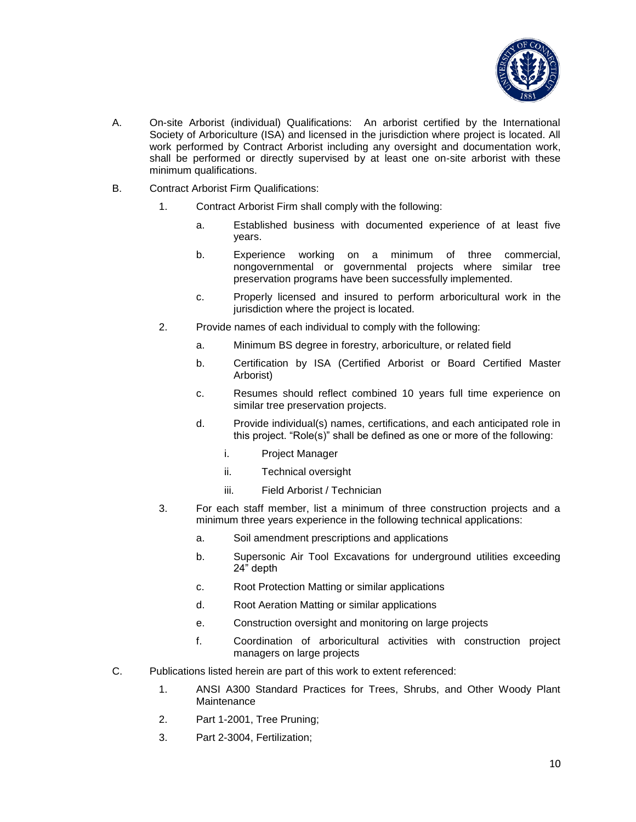

- A. On-site Arborist (individual) Qualifications: An arborist certified by the International Society of Arboriculture (ISA) and licensed in the jurisdiction where project is located. All work performed by Contract Arborist including any oversight and documentation work, shall be performed or directly supervised by at least one on-site arborist with these minimum qualifications.
- B. Contract Arborist Firm Qualifications:
	- 1. Contract Arborist Firm shall comply with the following:
		- a. Established business with documented experience of at least five years.
		- b. Experience working on a minimum of three commercial, nongovernmental or governmental projects where similar tree preservation programs have been successfully implemented.
		- c. Properly licensed and insured to perform arboricultural work in the jurisdiction where the project is located.
	- 2. Provide names of each individual to comply with the following:
		- a. Minimum BS degree in forestry, arboriculture, or related field
		- b. Certification by ISA (Certified Arborist or Board Certified Master Arborist)
		- c. Resumes should reflect combined 10 years full time experience on similar tree preservation projects.
		- d. Provide individual(s) names, certifications, and each anticipated role in this project. "Role(s)" shall be defined as one or more of the following:
			- i. Project Manager
			- ii. Technical oversight
			- iii. Field Arborist / Technician
	- 3. For each staff member, list a minimum of three construction projects and a minimum three years experience in the following technical applications:
		- a. Soil amendment prescriptions and applications
		- b. Supersonic Air Tool Excavations for underground utilities exceeding 24" depth
		- c. Root Protection Matting or similar applications
		- d. Root Aeration Matting or similar applications
		- e. Construction oversight and monitoring on large projects
		- f. Coordination of arboricultural activities with construction project managers on large projects
- C. Publications listed herein are part of this work to extent referenced:
	- 1. ANSI A300 Standard Practices for Trees, Shrubs, and Other Woody Plant **Maintenance**
	- 2. Part 1-2001, Tree Pruning;
	- 3. Part 2-3004, Fertilization;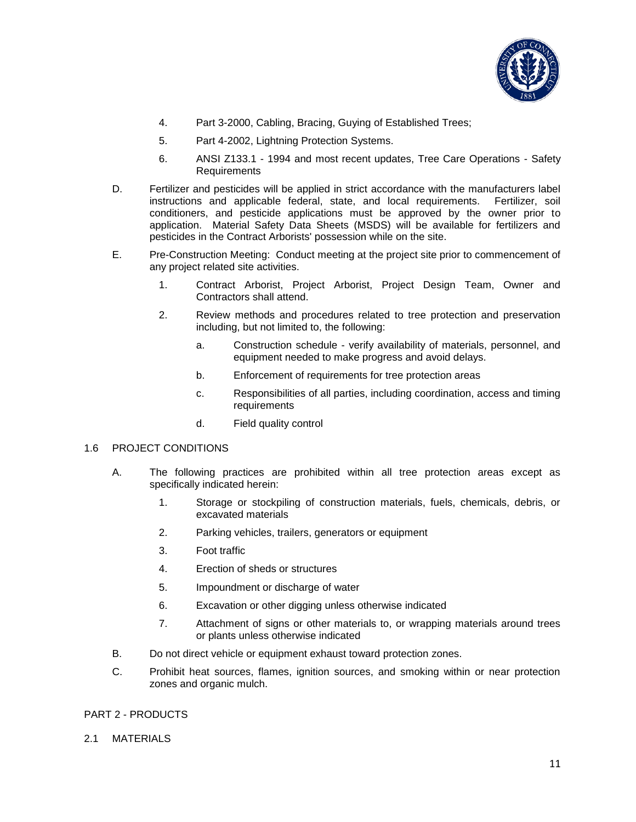

- 4. Part 3-2000, Cabling, Bracing, Guying of Established Trees;
- 5. Part 4-2002, Lightning Protection Systems.
- 6. ANSI Z133.1 1994 and most recent updates, Tree Care Operations Safety Requirements
- D. Fertilizer and pesticides will be applied in strict accordance with the manufacturers label instructions and applicable federal, state, and local requirements. Fertilizer, soil conditioners, and pesticide applications must be approved by the owner prior to application. Material Safety Data Sheets (MSDS) will be available for fertilizers and pesticides in the Contract Arborists' possession while on the site.
- E. Pre-Construction Meeting: Conduct meeting at the project site prior to commencement of any project related site activities.
	- 1. Contract Arborist, Project Arborist, Project Design Team, Owner and Contractors shall attend.
	- 2. Review methods and procedures related to tree protection and preservation including, but not limited to, the following:
		- a. Construction schedule verify availability of materials, personnel, and equipment needed to make progress and avoid delays.
		- b. Enforcement of requirements for tree protection areas
		- c. Responsibilities of all parties, including coordination, access and timing requirements
		- d. Field quality control

#### 1.6 PROJECT CONDITIONS

- A. The following practices are prohibited within all tree protection areas except as specifically indicated herein:
	- 1. Storage or stockpiling of construction materials, fuels, chemicals, debris, or excavated materials
	- 2. Parking vehicles, trailers, generators or equipment
	- 3. Foot traffic
	- 4. Erection of sheds or structures
	- 5. Impoundment or discharge of water
	- 6. Excavation or other digging unless otherwise indicated
	- 7. Attachment of signs or other materials to, or wrapping materials around trees or plants unless otherwise indicated
- B. Do not direct vehicle or equipment exhaust toward protection zones.
- C. Prohibit heat sources, flames, ignition sources, and smoking within or near protection zones and organic mulch.

# PART 2 - PRODUCTS

2.1 MATERIALS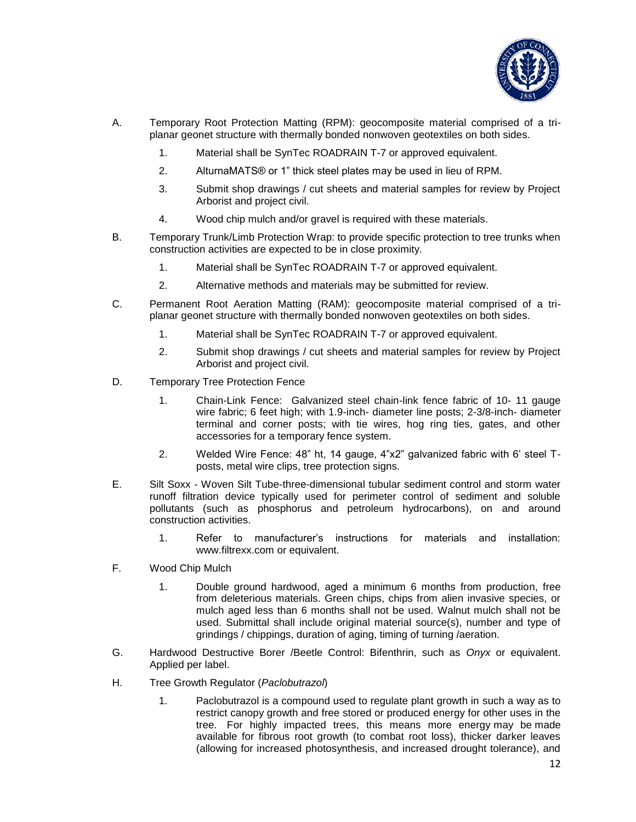

- A. Temporary Root Protection Matting (RPM): geocomposite material comprised of a triplanar geonet structure with thermally bonded nonwoven geotextiles on both sides.
	- 1. Material shall be SynTec ROADRAIN T-7 or approved equivalent.
	- 2. AlturnaMATS® or 1" thick steel plates may be used in lieu of RPM.
	- 3. Submit shop drawings / cut sheets and material samples for review by Project Arborist and project civil.
	- 4. Wood chip mulch and/or gravel is required with these materials.
- B. Temporary Trunk/Limb Protection Wrap: to provide specific protection to tree trunks when construction activities are expected to be in close proximity.
	- 1. Material shall be SynTec ROADRAIN T-7 or approved equivalent.
	- 2. Alternative methods and materials may be submitted for review.
- C. Permanent Root Aeration Matting (RAM): geocomposite material comprised of a triplanar geonet structure with thermally bonded nonwoven geotextiles on both sides.
	- 1. Material shall be SynTec ROADRAIN T-7 or approved equivalent.
	- 2. Submit shop drawings / cut sheets and material samples for review by Project Arborist and project civil.
- D. Temporary Tree Protection Fence
	- 1. Chain-Link Fence: Galvanized steel chain-link fence fabric of 10- 11 gauge wire fabric; 6 feet high; with 1.9-inch- diameter line posts; 2-3/8-inch- diameter terminal and corner posts; with tie wires, hog ring ties, gates, and other accessories for a temporary fence system.
	- 2. Welded Wire Fence: 48" ht, 14 gauge, 4"x2" galvanized fabric with 6' steel Tposts, metal wire clips, tree protection signs.
- E. Silt Soxx Woven Silt Tube-three-dimensional tubular sediment control and storm water runoff filtration device typically used for perimeter control of sediment and soluble pollutants (such as phosphorus and petroleum hydrocarbons), on and around construction activities.
	- 1. Refer to manufacturer's instructions for materials and installation: [www.filtrexx.com](http://www.filtrexx.com/) or equivalent.
- F. Wood Chip Mulch
	- 1. Double ground hardwood, aged a minimum 6 months from production, free from deleterious materials. Green chips, chips from alien invasive species, or mulch aged less than 6 months shall not be used. Walnut mulch shall not be used. Submittal shall include original material source(s), number and type of grindings / chippings, duration of aging, timing of turning /aeration.
- G. Hardwood Destructive Borer /Beetle Control: Bifenthrin, such as *Onyx* or equivalent. Applied per label.
- H. Tree Growth Regulator (*Paclobutrazol*)
	- 1. Paclobutrazol is a compound used to regulate plant growth in such a way as to restrict canopy growth and free stored or produced energy for other uses in the tree. For highly impacted trees, this means more energy may be made available for fibrous root growth (to combat root loss), thicker darker leaves (allowing for increased photosynthesis, and increased drought tolerance), and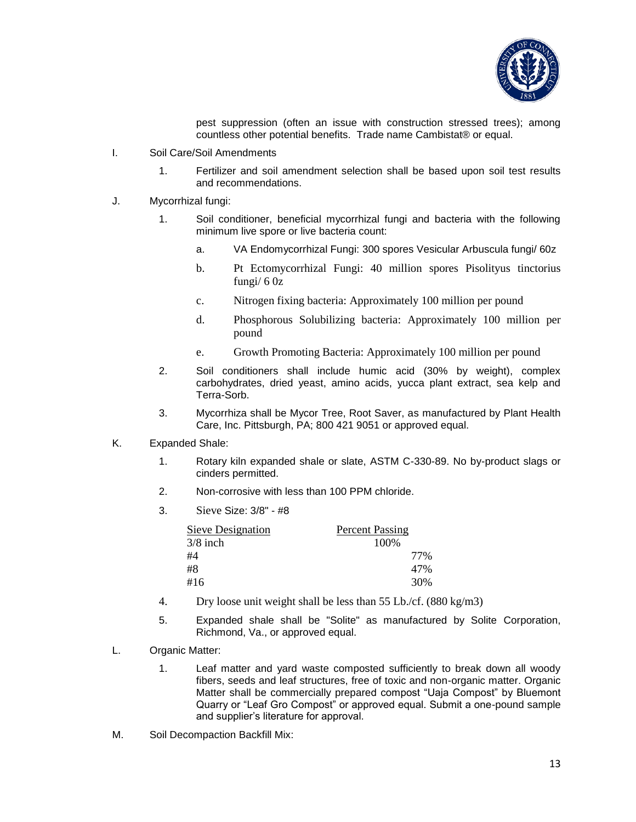

pest suppression (often an issue with construction stressed trees); among countless other potential benefits. Trade name Cambistat® or equal.

- I. Soil Care/Soil Amendments
	- 1. Fertilizer and soil amendment selection shall be based upon soil test results and recommendations.
- J. Mycorrhizal fungi:
	- 1. Soil conditioner, beneficial mycorrhizal fungi and bacteria with the following minimum live spore or live bacteria count:
		- a. VA Endomycorrhizal Fungi: 300 spores Vesicular Arbuscula fungi/ 60z
		- b. Pt Ectomycorrhizal Fungi: 40 million spores Pisolityus tinctorius fungi/ 6 0z
		- c. Nitrogen fixing bacteria: Approximately 100 million per pound
		- d. Phosphorous Solubilizing bacteria: Approximately 100 million per pound
		- e. Growth Promoting Bacteria: Approximately 100 million per pound
	- 2. Soil conditioners shall include humic acid (30% by weight), complex carbohydrates, dried yeast, amino acids, yucca plant extract, sea kelp and Terra-Sorb.
	- 3. Mycorrhiza shall be Mycor Tree, Root Saver, as manufactured by Plant Health Care, Inc. Pittsburgh, PA; 800 421 9051 or approved equal.
- K. Expanded Shale:
	- 1. Rotary kiln expanded shale or slate, ASTM C-330-89. No by-product slags or cinders permitted.
	- 2. Non-corrosive with less than 100 PPM chloride.
	- 3. Sieve Size: 3/8" #8

| Sieve Designation | <b>Percent Passing</b> |
|-------------------|------------------------|
| $3/8$ inch        | 100\%                  |
| #4                | 77%                    |
| #8                | 47%                    |
| #16               | 30%                    |

- 4. Dry loose unit weight shall be less than 55 Lb./cf. (880 kg/m3)
- 5. Expanded shale shall be "Solite" as manufactured by Solite Corporation, Richmond, Va., or approved equal.
- L. Organic Matter:
	- 1. Leaf matter and yard waste composted sufficiently to break down all woody fibers, seeds and leaf structures, free of toxic and non-organic matter. Organic Matter shall be commercially prepared compost "Uaja Compost" by Bluemont Quarry or "Leaf Gro Compost" or approved equal. Submit a one-pound sample and supplier's literature for approval.
- M. Soil Decompaction Backfill Mix: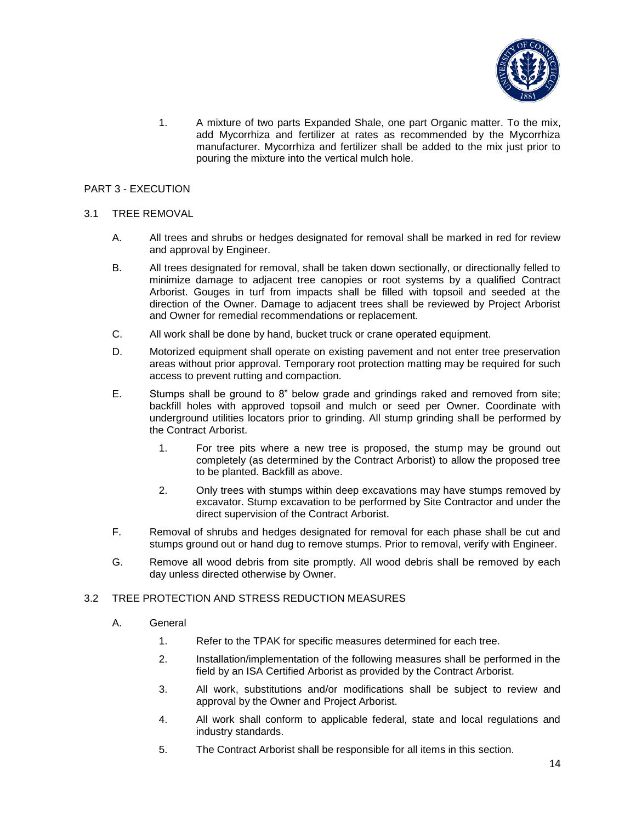

1. A mixture of two parts Expanded Shale, one part Organic matter. To the mix, add Mycorrhiza and fertilizer at rates as recommended by the Mycorrhiza manufacturer. Mycorrhiza and fertilizer shall be added to the mix just prior to pouring the mixture into the vertical mulch hole.

## PART 3 - EXECUTION

#### 3.1 TREE REMOVAL

- A. All trees and shrubs or hedges designated for removal shall be marked in red for review and approval by Engineer.
- B. All trees designated for removal, shall be taken down sectionally, or directionally felled to minimize damage to adjacent tree canopies or root systems by a qualified Contract Arborist. Gouges in turf from impacts shall be filled with topsoil and seeded at the direction of the Owner. Damage to adjacent trees shall be reviewed by Project Arborist and Owner for remedial recommendations or replacement.
- C. All work shall be done by hand, bucket truck or crane operated equipment.
- D. Motorized equipment shall operate on existing pavement and not enter tree preservation areas without prior approval. Temporary root protection matting may be required for such access to prevent rutting and compaction.
- E. Stumps shall be ground to 8" below grade and grindings raked and removed from site; backfill holes with approved topsoil and mulch or seed per Owner. Coordinate with underground utilities locators prior to grinding. All stump grinding shall be performed by the Contract Arborist.
	- 1. For tree pits where a new tree is proposed, the stump may be ground out completely (as determined by the Contract Arborist) to allow the proposed tree to be planted. Backfill as above.
	- 2. Only trees with stumps within deep excavations may have stumps removed by excavator. Stump excavation to be performed by Site Contractor and under the direct supervision of the Contract Arborist.
- F. Removal of shrubs and hedges designated for removal for each phase shall be cut and stumps ground out or hand dug to remove stumps. Prior to removal, verify with Engineer.
- G. Remove all wood debris from site promptly. All wood debris shall be removed by each day unless directed otherwise by Owner.

#### 3.2 TREE PROTECTION AND STRESS REDUCTION MEASURES

- A. General
	- 1. Refer to the TPAK for specific measures determined for each tree.
	- 2. Installation/implementation of the following measures shall be performed in the field by an ISA Certified Arborist as provided by the Contract Arborist.
	- 3. All work, substitutions and/or modifications shall be subject to review and approval by the Owner and Project Arborist.
	- 4. All work shall conform to applicable federal, state and local regulations and industry standards.
	- 5. The Contract Arborist shall be responsible for all items in this section.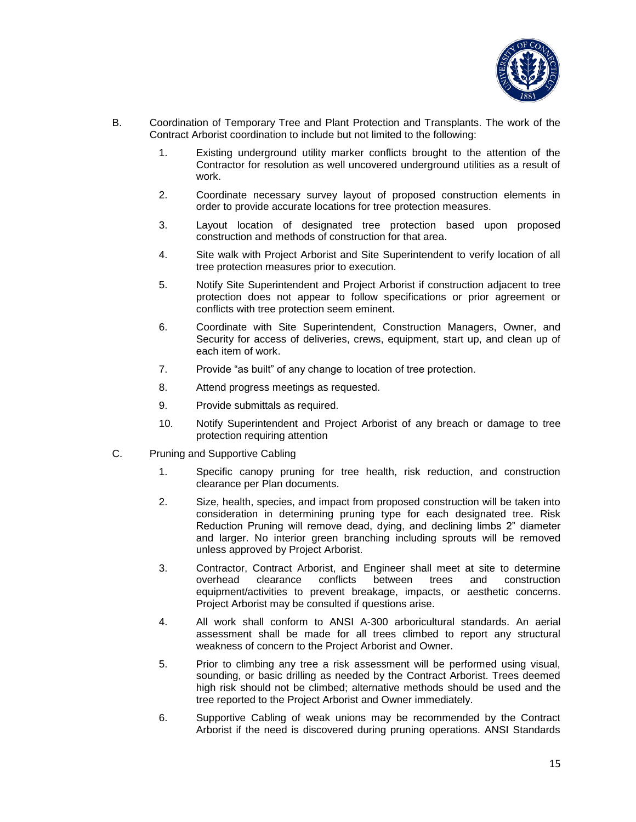

- B. Coordination of Temporary Tree and Plant Protection and Transplants. The work of the Contract Arborist coordination to include but not limited to the following:
	- 1. Existing underground utility marker conflicts brought to the attention of the Contractor for resolution as well uncovered underground utilities as a result of work.
	- 2. Coordinate necessary survey layout of proposed construction elements in order to provide accurate locations for tree protection measures.
	- 3. Layout location of designated tree protection based upon proposed construction and methods of construction for that area.
	- 4. Site walk with Project Arborist and Site Superintendent to verify location of all tree protection measures prior to execution.
	- 5. Notify Site Superintendent and Project Arborist if construction adjacent to tree protection does not appear to follow specifications or prior agreement or conflicts with tree protection seem eminent.
	- 6. Coordinate with Site Superintendent, Construction Managers, Owner, and Security for access of deliveries, crews, equipment, start up, and clean up of each item of work.
	- 7. Provide "as built" of any change to location of tree protection.
	- 8. Attend progress meetings as requested.
	- 9. Provide submittals as required.
	- 10. Notify Superintendent and Project Arborist of any breach or damage to tree protection requiring attention
- C. Pruning and Supportive Cabling
	- 1. Specific canopy pruning for tree health, risk reduction, and construction clearance per Plan documents.
	- 2. Size, health, species, and impact from proposed construction will be taken into consideration in determining pruning type for each designated tree. Risk Reduction Pruning will remove dead, dying, and declining limbs 2" diameter and larger. No interior green branching including sprouts will be removed unless approved by Project Arborist.
	- 3. Contractor, Contract Arborist, and Engineer shall meet at site to determine overhead clearance conflicts between trees and construction equipment/activities to prevent breakage, impacts, or aesthetic concerns. Project Arborist may be consulted if questions arise.
	- 4. All work shall conform to ANSI A-300 arboricultural standards. An aerial assessment shall be made for all trees climbed to report any structural weakness of concern to the Project Arborist and Owner.
	- 5. Prior to climbing any tree a risk assessment will be performed using visual, sounding, or basic drilling as needed by the Contract Arborist. Trees deemed high risk should not be climbed; alternative methods should be used and the tree reported to the Project Arborist and Owner immediately.
	- 6. Supportive Cabling of weak unions may be recommended by the Contract Arborist if the need is discovered during pruning operations. ANSI Standards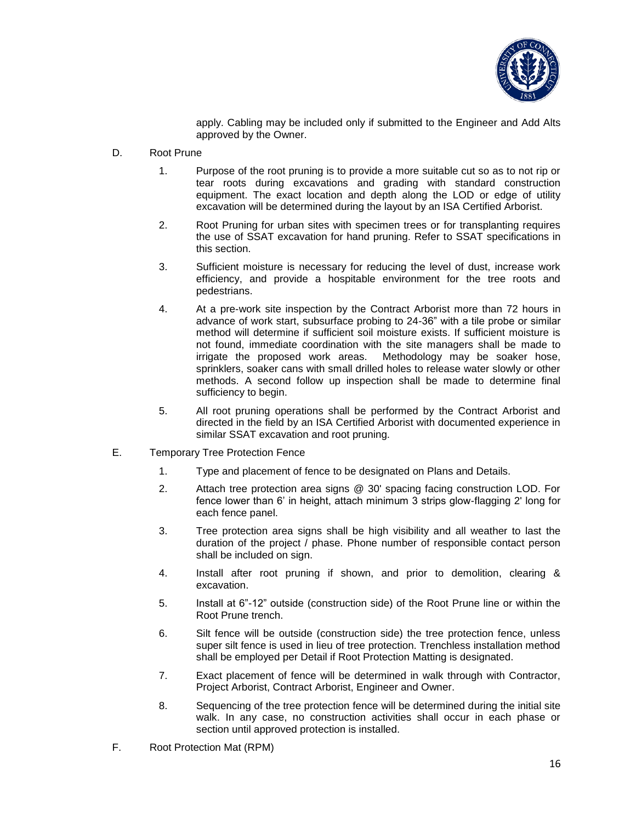

apply. Cabling may be included only if submitted to the Engineer and Add Alts approved by the Owner.

- D. Root Prune
	- 1. Purpose of the root pruning is to provide a more suitable cut so as to not rip or tear roots during excavations and grading with standard construction equipment. The exact location and depth along the LOD or edge of utility excavation will be determined during the layout by an ISA Certified Arborist.
	- 2. Root Pruning for urban sites with specimen trees or for transplanting requires the use of SSAT excavation for hand pruning. Refer to SSAT specifications in this section.
	- 3. Sufficient moisture is necessary for reducing the level of dust, increase work efficiency, and provide a hospitable environment for the tree roots and pedestrians.
	- 4. At a pre-work site inspection by the Contract Arborist more than 72 hours in advance of work start, subsurface probing to 24-36" with a tile probe or similar method will determine if sufficient soil moisture exists. If sufficient moisture is not found, immediate coordination with the site managers shall be made to irrigate the proposed work areas. Methodology may be soaker hose, sprinklers, soaker cans with small drilled holes to release water slowly or other methods. A second follow up inspection shall be made to determine final sufficiency to begin.
	- 5. All root pruning operations shall be performed by the Contract Arborist and directed in the field by an ISA Certified Arborist with documented experience in similar SSAT excavation and root pruning.
- E. Temporary Tree Protection Fence
	- 1. Type and placement of fence to be designated on Plans and Details.
	- 2. Attach tree protection area signs @ 30' spacing facing construction LOD. For fence lower than 6' in height, attach minimum 3 strips glow-flagging 2' long for each fence panel.
	- 3. Tree protection area signs shall be high visibility and all weather to last the duration of the project / phase. Phone number of responsible contact person shall be included on sign.
	- 4. Install after root pruning if shown, and prior to demolition, clearing & excavation.
	- 5. Install at 6"-12" outside (construction side) of the Root Prune line or within the Root Prune trench.
	- 6. Silt fence will be outside (construction side) the tree protection fence, unless super silt fence is used in lieu of tree protection. Trenchless installation method shall be employed per Detail if Root Protection Matting is designated.
	- 7. Exact placement of fence will be determined in walk through with Contractor, Project Arborist, Contract Arborist, Engineer and Owner.
	- 8. Sequencing of the tree protection fence will be determined during the initial site walk. In any case, no construction activities shall occur in each phase or section until approved protection is installed.
- F. Root Protection Mat (RPM)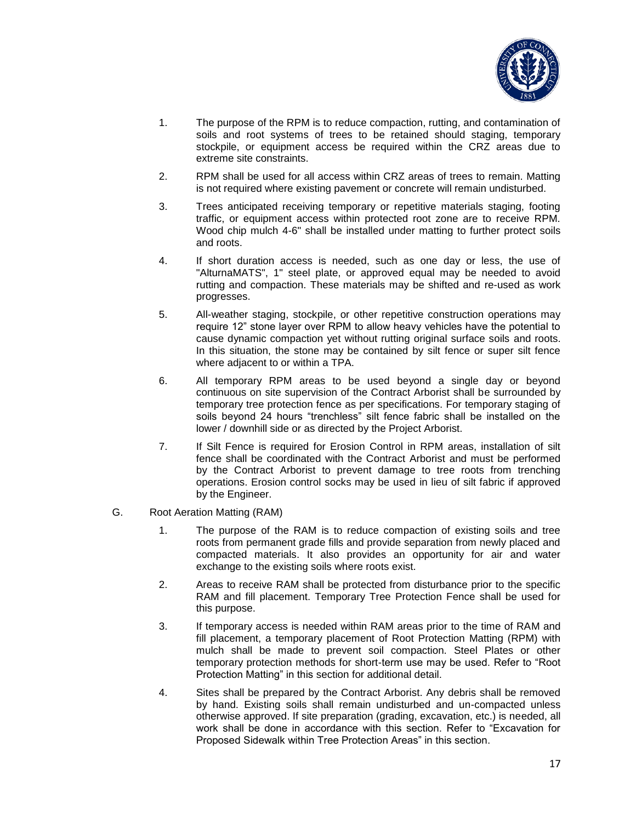

- 1. The purpose of the RPM is to reduce compaction, rutting, and contamination of soils and root systems of trees to be retained should staging, temporary stockpile, or equipment access be required within the CRZ areas due to extreme site constraints.
- 2. RPM shall be used for all access within CRZ areas of trees to remain. Matting is not required where existing pavement or concrete will remain undisturbed.
- 3. Trees anticipated receiving temporary or repetitive materials staging, footing traffic, or equipment access within protected root zone are to receive RPM. Wood chip mulch 4-6" shall be installed under matting to further protect soils and roots.
- 4. If short duration access is needed, such as one day or less, the use of "AlturnaMATS", 1" steel plate, or approved equal may be needed to avoid rutting and compaction. These materials may be shifted and re-used as work progresses.
- 5. All-weather staging, stockpile, or other repetitive construction operations may require 12" stone layer over RPM to allow heavy vehicles have the potential to cause dynamic compaction yet without rutting original surface soils and roots. In this situation, the stone may be contained by silt fence or super silt fence where adjacent to or within a TPA.
- 6. All temporary RPM areas to be used beyond a single day or beyond continuous on site supervision of the Contract Arborist shall be surrounded by temporary tree protection fence as per specifications. For temporary staging of soils beyond 24 hours "trenchless" silt fence fabric shall be installed on the lower / downhill side or as directed by the Project Arborist.
- 7. If Silt Fence is required for Erosion Control in RPM areas, installation of silt fence shall be coordinated with the Contract Arborist and must be performed by the Contract Arborist to prevent damage to tree roots from trenching operations. Erosion control socks may be used in lieu of silt fabric if approved by the Engineer.
- G. Root Aeration Matting (RAM)
	- 1. The purpose of the RAM is to reduce compaction of existing soils and tree roots from permanent grade fills and provide separation from newly placed and compacted materials. It also provides an opportunity for air and water exchange to the existing soils where roots exist.
	- 2. Areas to receive RAM shall be protected from disturbance prior to the specific RAM and fill placement. Temporary Tree Protection Fence shall be used for this purpose.
	- 3. If temporary access is needed within RAM areas prior to the time of RAM and fill placement, a temporary placement of Root Protection Matting (RPM) with mulch shall be made to prevent soil compaction. Steel Plates or other temporary protection methods for short-term use may be used. Refer to "Root Protection Matting" in this section for additional detail.
	- 4. Sites shall be prepared by the Contract Arborist. Any debris shall be removed by hand. Existing soils shall remain undisturbed and un-compacted unless otherwise approved. If site preparation (grading, excavation, etc.) is needed, all work shall be done in accordance with this section. Refer to "Excavation for Proposed Sidewalk within Tree Protection Areas" in this section.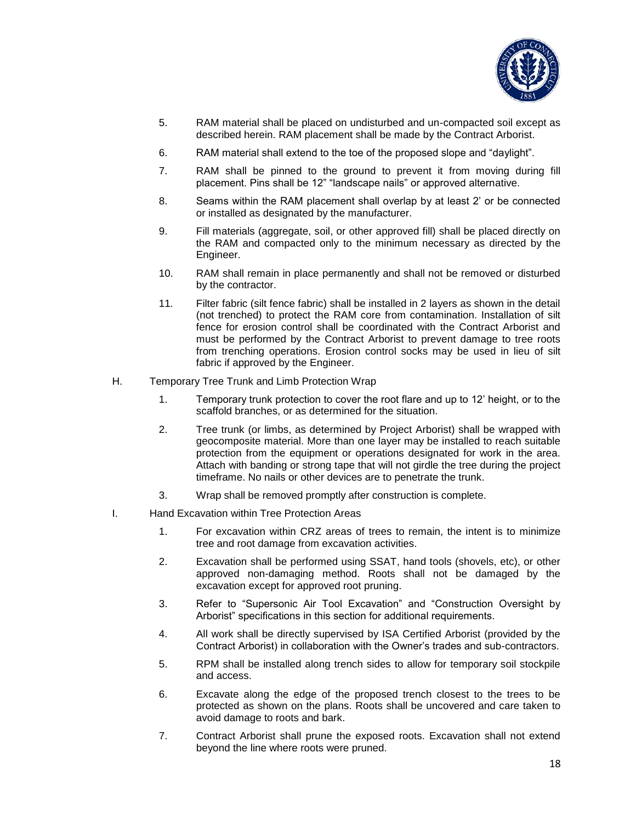

- 5. RAM material shall be placed on undisturbed and un-compacted soil except as described herein. RAM placement shall be made by the Contract Arborist.
- 6. RAM material shall extend to the toe of the proposed slope and "daylight".
- 7. RAM shall be pinned to the ground to prevent it from moving during fill placement. Pins shall be 12" "landscape nails" or approved alternative.
- 8. Seams within the RAM placement shall overlap by at least 2' or be connected or installed as designated by the manufacturer.
- 9. Fill materials (aggregate, soil, or other approved fill) shall be placed directly on the RAM and compacted only to the minimum necessary as directed by the Engineer.
- 10. RAM shall remain in place permanently and shall not be removed or disturbed by the contractor.
- 11. Filter fabric (silt fence fabric) shall be installed in 2 layers as shown in the detail (not trenched) to protect the RAM core from contamination. Installation of silt fence for erosion control shall be coordinated with the Contract Arborist and must be performed by the Contract Arborist to prevent damage to tree roots from trenching operations. Erosion control socks may be used in lieu of silt fabric if approved by the Engineer.
- H. Temporary Tree Trunk and Limb Protection Wrap
	- 1. Temporary trunk protection to cover the root flare and up to 12' height, or to the scaffold branches, or as determined for the situation.
	- 2. Tree trunk (or limbs, as determined by Project Arborist) shall be wrapped with geocomposite material. More than one layer may be installed to reach suitable protection from the equipment or operations designated for work in the area. Attach with banding or strong tape that will not girdle the tree during the project timeframe. No nails or other devices are to penetrate the trunk.
	- 3. Wrap shall be removed promptly after construction is complete.
- I. Hand Excavation within Tree Protection Areas
	- 1. For excavation within CRZ areas of trees to remain, the intent is to minimize tree and root damage from excavation activities.
	- 2. Excavation shall be performed using SSAT, hand tools (shovels, etc), or other approved non-damaging method. Roots shall not be damaged by the excavation except for approved root pruning.
	- 3. Refer to "Supersonic Air Tool Excavation" and "Construction Oversight by Arborist" specifications in this section for additional requirements.
	- 4. All work shall be directly supervised by ISA Certified Arborist (provided by the Contract Arborist) in collaboration with the Owner's trades and sub-contractors.
	- 5. RPM shall be installed along trench sides to allow for temporary soil stockpile and access.
	- 6. Excavate along the edge of the proposed trench closest to the trees to be protected as shown on the plans. Roots shall be uncovered and care taken to avoid damage to roots and bark.
	- 7. Contract Arborist shall prune the exposed roots. Excavation shall not extend beyond the line where roots were pruned.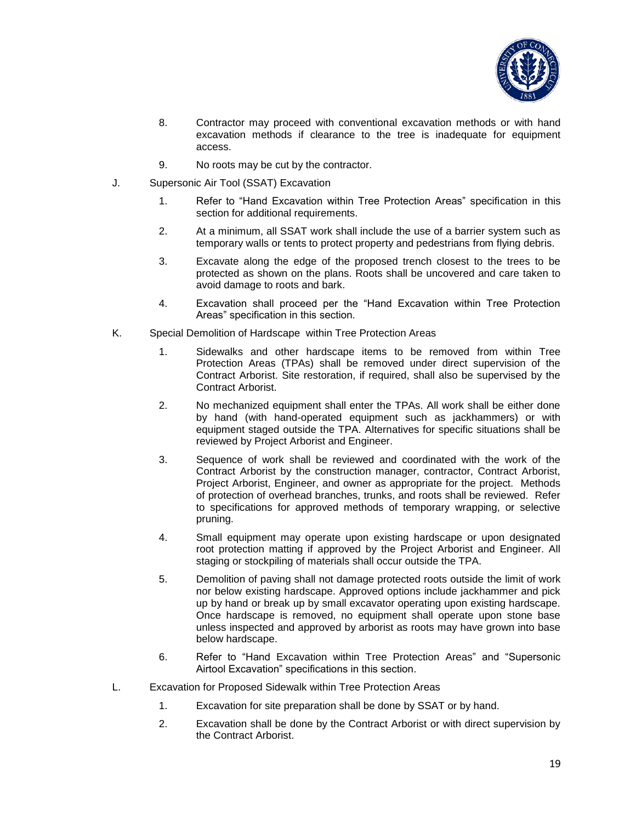

- 8. Contractor may proceed with conventional excavation methods or with hand excavation methods if clearance to the tree is inadequate for equipment access.
- 9. No roots may be cut by the contractor.
- J. Supersonic Air Tool (SSAT) Excavation
	- 1. Refer to "Hand Excavation within Tree Protection Areas" specification in this section for additional requirements.
	- 2. At a minimum, all SSAT work shall include the use of a barrier system such as temporary walls or tents to protect property and pedestrians from flying debris.
	- 3. Excavate along the edge of the proposed trench closest to the trees to be protected as shown on the plans. Roots shall be uncovered and care taken to avoid damage to roots and bark.
	- 4. Excavation shall proceed per the "Hand Excavation within Tree Protection Areas" specification in this section.
- K. Special Demolition of Hardscape within Tree Protection Areas
	- 1. Sidewalks and other hardscape items to be removed from within Tree Protection Areas (TPAs) shall be removed under direct supervision of the Contract Arborist. Site restoration, if required, shall also be supervised by the Contract Arborist.
	- 2. No mechanized equipment shall enter the TPAs. All work shall be either done by hand (with hand-operated equipment such as jackhammers) or with equipment staged outside the TPA. Alternatives for specific situations shall be reviewed by Project Arborist and Engineer.
	- 3. Sequence of work shall be reviewed and coordinated with the work of the Contract Arborist by the construction manager, contractor, Contract Arborist, Project Arborist, Engineer, and owner as appropriate for the project. Methods of protection of overhead branches, trunks, and roots shall be reviewed. Refer to specifications for approved methods of temporary wrapping, or selective pruning.
	- 4. Small equipment may operate upon existing hardscape or upon designated root protection matting if approved by the Project Arborist and Engineer. All staging or stockpiling of materials shall occur outside the TPA.
	- 5. Demolition of paving shall not damage protected roots outside the limit of work nor below existing hardscape. Approved options include jackhammer and pick up by hand or break up by small excavator operating upon existing hardscape. Once hardscape is removed, no equipment shall operate upon stone base unless inspected and approved by arborist as roots may have grown into base below hardscape.
	- 6. Refer to "Hand Excavation within Tree Protection Areas" and "Supersonic Airtool Excavation" specifications in this section.
- L. Excavation for Proposed Sidewalk within Tree Protection Areas
	- 1. Excavation for site preparation shall be done by SSAT or by hand.
	- 2. Excavation shall be done by the Contract Arborist or with direct supervision by the Contract Arborist.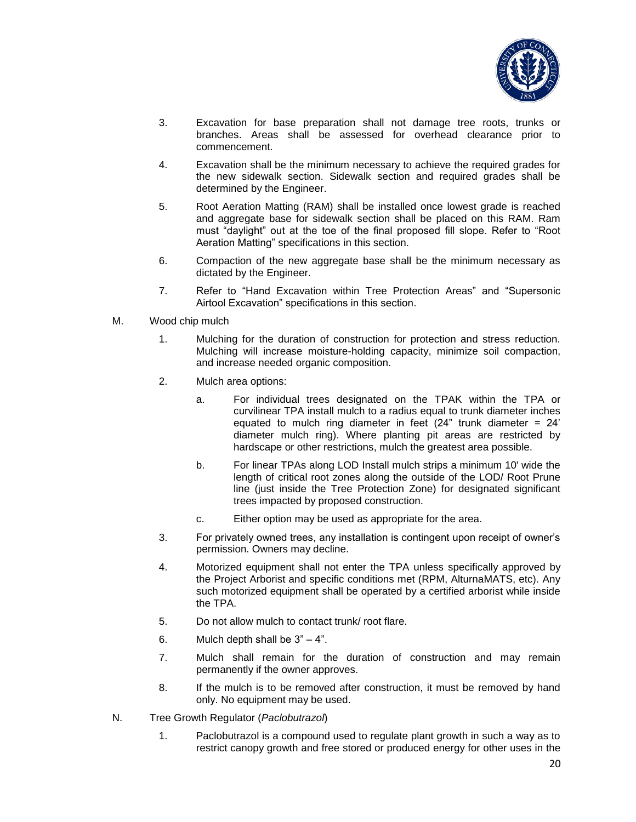

- 3. Excavation for base preparation shall not damage tree roots, trunks or branches. Areas shall be assessed for overhead clearance prior to commencement.
- 4. Excavation shall be the minimum necessary to achieve the required grades for the new sidewalk section. Sidewalk section and required grades shall be determined by the Engineer.
- 5. Root Aeration Matting (RAM) shall be installed once lowest grade is reached and aggregate base for sidewalk section shall be placed on this RAM. Ram must "daylight" out at the toe of the final proposed fill slope. Refer to "Root Aeration Matting" specifications in this section.
- 6. Compaction of the new aggregate base shall be the minimum necessary as dictated by the Engineer.
- 7. Refer to "Hand Excavation within Tree Protection Areas" and "Supersonic Airtool Excavation" specifications in this section.
- M. Wood chip mulch
	- 1. Mulching for the duration of construction for protection and stress reduction. Mulching will increase moisture-holding capacity, minimize soil compaction, and increase needed organic composition.
	- 2. Mulch area options:
		- a. For individual trees designated on the TPAK within the TPA or curvilinear TPA install mulch to a radius equal to trunk diameter inches equated to mulch ring diameter in feet  $(24)$ " trunk diameter = 24' diameter mulch ring). Where planting pit areas are restricted by hardscape or other restrictions, mulch the greatest area possible.
		- b. For linear TPAs along LOD Install mulch strips a minimum 10' wide the length of critical root zones along the outside of the LOD/ Root Prune line (just inside the Tree Protection Zone) for designated significant trees impacted by proposed construction.
		- c. Either option may be used as appropriate for the area.
	- 3. For privately owned trees, any installation is contingent upon receipt of owner's permission. Owners may decline.
	- 4. Motorized equipment shall not enter the TPA unless specifically approved by the Project Arborist and specific conditions met (RPM, AlturnaMATS, etc). Any such motorized equipment shall be operated by a certified arborist while inside the TPA.
	- 5. Do not allow mulch to contact trunk/ root flare.
	- 6. Mulch depth shall be  $3" 4"$ .
	- 7. Mulch shall remain for the duration of construction and may remain permanently if the owner approves.
	- 8. If the mulch is to be removed after construction, it must be removed by hand only. No equipment may be used.
- N. Tree Growth Regulator (*Paclobutrazol*)
	- 1. Paclobutrazol is a compound used to regulate plant growth in such a way as to restrict canopy growth and free stored or produced energy for other uses in the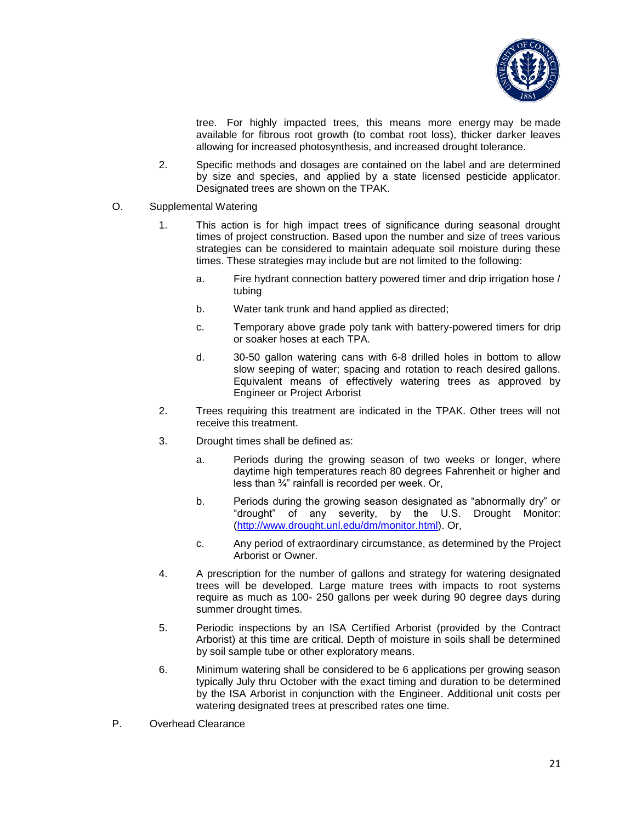

tree. For highly impacted trees, this means more energy may be made available for fibrous root growth (to combat root loss), thicker darker leaves allowing for increased photosynthesis, and increased drought tolerance.

- 2. Specific methods and dosages are contained on the label and are determined by size and species, and applied by a state licensed pesticide applicator. Designated trees are shown on the TPAK.
- O. Supplemental Watering
	- 1. This action is for high impact trees of significance during seasonal drought times of project construction. Based upon the number and size of trees various strategies can be considered to maintain adequate soil moisture during these times. These strategies may include but are not limited to the following:
		- a. Fire hydrant connection battery powered timer and drip irrigation hose / tubing
		- b. Water tank trunk and hand applied as directed;
		- c. Temporary above grade poly tank with battery-powered timers for drip or soaker hoses at each TPA.
		- d. 30-50 gallon watering cans with 6-8 drilled holes in bottom to allow slow seeping of water; spacing and rotation to reach desired gallons. Equivalent means of effectively watering trees as approved by Engineer or Project Arborist
	- 2. Trees requiring this treatment are indicated in the TPAK. Other trees will not receive this treatment.
	- 3. Drought times shall be defined as:
		- a. Periods during the growing season of two weeks or longer, where daytime high temperatures reach 80 degrees Fahrenheit or higher and less than ¾" rainfall is recorded per week. Or,
		- b. Periods during the growing season designated as "abnormally dry" or "drought" of any severity, by the U.S. Drought Monitor: [\(http://www.drought.unl.edu/dm/monitor.html\)](http://www.drought.unl.edu/dm/monitor.html). Or,
		- c. Any period of extraordinary circumstance, as determined by the Project Arborist or Owner.
	- 4. A prescription for the number of gallons and strategy for watering designated trees will be developed. Large mature trees with impacts to root systems require as much as 100- 250 gallons per week during 90 degree days during summer drought times.
	- 5. Periodic inspections by an ISA Certified Arborist (provided by the Contract Arborist) at this time are critical. Depth of moisture in soils shall be determined by soil sample tube or other exploratory means.
	- 6. Minimum watering shall be considered to be 6 applications per growing season typically July thru October with the exact timing and duration to be determined by the ISA Arborist in conjunction with the Engineer. Additional unit costs per watering designated trees at prescribed rates one time.
- P. Overhead Clearance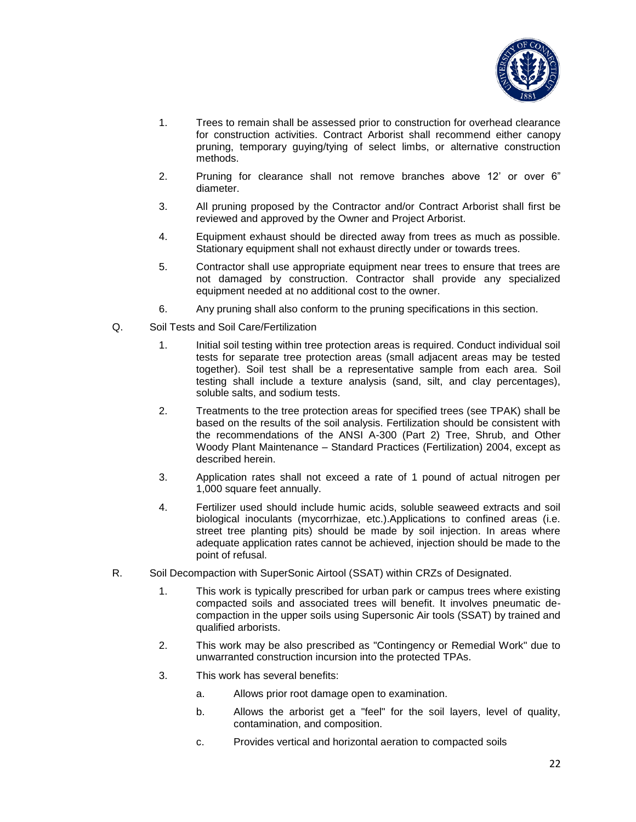

- 1. Trees to remain shall be assessed prior to construction for overhead clearance for construction activities. Contract Arborist shall recommend either canopy pruning, temporary guying/tying of select limbs, or alternative construction methods.
- 2. Pruning for clearance shall not remove branches above 12' or over 6" diameter.
- 3. All pruning proposed by the Contractor and/or Contract Arborist shall first be reviewed and approved by the Owner and Project Arborist.
- 4. Equipment exhaust should be directed away from trees as much as possible. Stationary equipment shall not exhaust directly under or towards trees.
- 5. Contractor shall use appropriate equipment near trees to ensure that trees are not damaged by construction. Contractor shall provide any specialized equipment needed at no additional cost to the owner.
- 6. Any pruning shall also conform to the pruning specifications in this section.
- Q. Soil Tests and Soil Care/Fertilization
	- 1. Initial soil testing within tree protection areas is required. Conduct individual soil tests for separate tree protection areas (small adjacent areas may be tested together). Soil test shall be a representative sample from each area. Soil testing shall include a texture analysis (sand, silt, and clay percentages), soluble salts, and sodium tests.
	- 2. Treatments to the tree protection areas for specified trees (see TPAK) shall be based on the results of the soil analysis. Fertilization should be consistent with the recommendations of the ANSI A-300 (Part 2) Tree, Shrub, and Other Woody Plant Maintenance – Standard Practices (Fertilization) 2004, except as described herein.
	- 3. Application rates shall not exceed a rate of 1 pound of actual nitrogen per 1,000 square feet annually.
	- 4. Fertilizer used should include humic acids, soluble seaweed extracts and soil biological inoculants (mycorrhizae, etc.).Applications to confined areas (i.e. street tree planting pits) should be made by soil injection. In areas where adequate application rates cannot be achieved, injection should be made to the point of refusal.
- R. Soil Decompaction with SuperSonic Airtool (SSAT) within CRZs of Designated.
	- 1. This work is typically prescribed for urban park or campus trees where existing compacted soils and associated trees will benefit. It involves pneumatic decompaction in the upper soils using Supersonic Air tools (SSAT) by trained and qualified arborists.
	- 2. This work may be also prescribed as "Contingency or Remedial Work" due to unwarranted construction incursion into the protected TPAs.
	- 3. This work has several benefits:
		- a. Allows prior root damage open to examination.
		- b. Allows the arborist get a "feel" for the soil layers, level of quality, contamination, and composition.
		- c. Provides vertical and horizontal aeration to compacted soils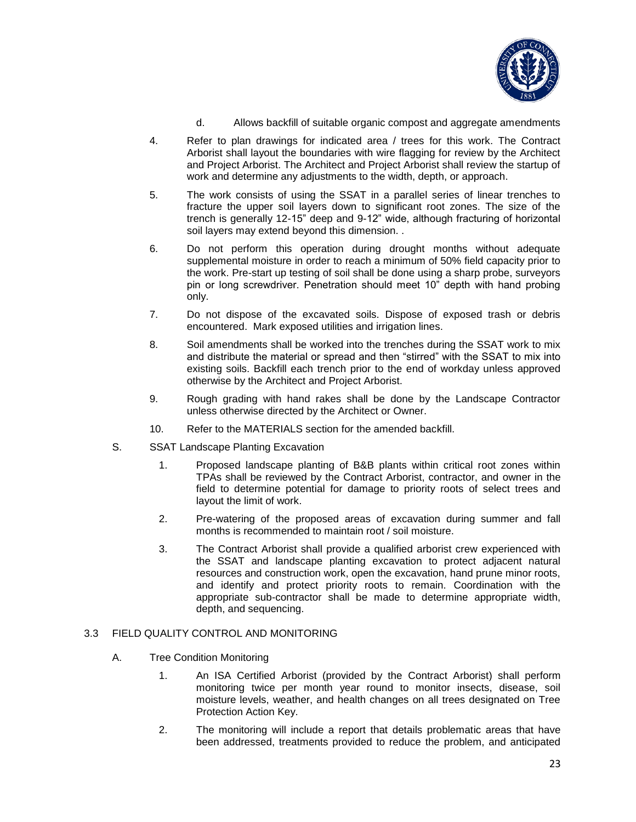

- d. Allows backfill of suitable organic compost and aggregate amendments
- 4. Refer to plan drawings for indicated area / trees for this work. The Contract Arborist shall layout the boundaries with wire flagging for review by the Architect and Project Arborist. The Architect and Project Arborist shall review the startup of work and determine any adjustments to the width, depth, or approach.
- 5. The work consists of using the SSAT in a parallel series of linear trenches to fracture the upper soil layers down to significant root zones. The size of the trench is generally 12-15" deep and 9-12" wide, although fracturing of horizontal soil layers may extend beyond this dimension. .
- 6. Do not perform this operation during drought months without adequate supplemental moisture in order to reach a minimum of 50% field capacity prior to the work. Pre-start up testing of soil shall be done using a sharp probe, surveyors pin or long screwdriver. Penetration should meet 10" depth with hand probing only.
- 7. Do not dispose of the excavated soils. Dispose of exposed trash or debris encountered. Mark exposed utilities and irrigation lines.
- 8. Soil amendments shall be worked into the trenches during the SSAT work to mix and distribute the material or spread and then "stirred" with the SSAT to mix into existing soils. Backfill each trench prior to the end of workday unless approved otherwise by the Architect and Project Arborist.
- 9. Rough grading with hand rakes shall be done by the Landscape Contractor unless otherwise directed by the Architect or Owner.
- 10. Refer to the MATERIALS section for the amended backfill.
- S. SSAT Landscape Planting Excavation
	- 1. Proposed landscape planting of B&B plants within critical root zones within TPAs shall be reviewed by the Contract Arborist, contractor, and owner in the field to determine potential for damage to priority roots of select trees and layout the limit of work.
	- 2. Pre-watering of the proposed areas of excavation during summer and fall months is recommended to maintain root / soil moisture.
	- 3. The Contract Arborist shall provide a qualified arborist crew experienced with the SSAT and landscape planting excavation to protect adjacent natural resources and construction work, open the excavation, hand prune minor roots, and identify and protect priority roots to remain. Coordination with the appropriate sub-contractor shall be made to determine appropriate width, depth, and sequencing.

# 3.3 FIELD QUALITY CONTROL AND MONITORING

- A. Tree Condition Monitoring
	- 1. An ISA Certified Arborist (provided by the Contract Arborist) shall perform monitoring twice per month year round to monitor insects, disease, soil moisture levels, weather, and health changes on all trees designated on Tree Protection Action Key.
	- 2. The monitoring will include a report that details problematic areas that have been addressed, treatments provided to reduce the problem, and anticipated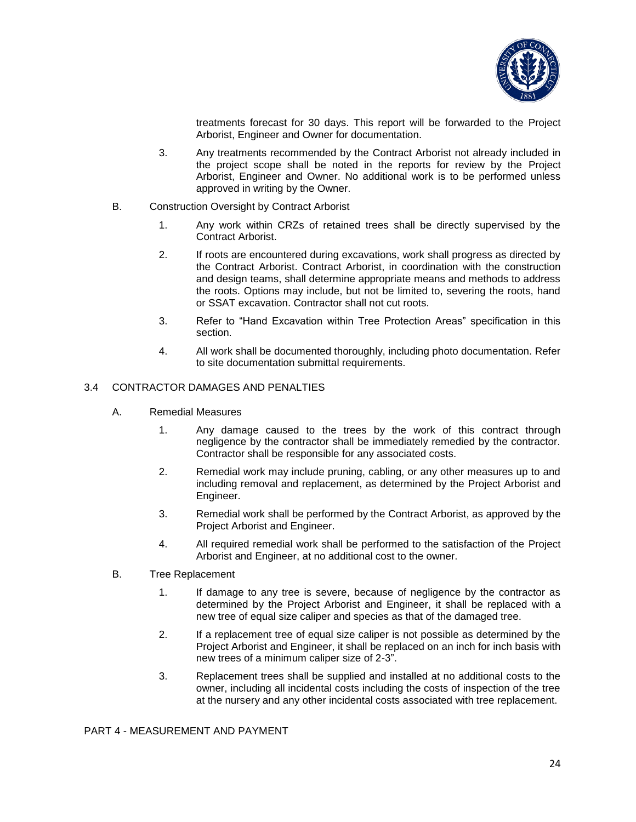

treatments forecast for 30 days. This report will be forwarded to the Project Arborist, Engineer and Owner for documentation.

- 3. Any treatments recommended by the Contract Arborist not already included in the project scope shall be noted in the reports for review by the Project Arborist, Engineer and Owner. No additional work is to be performed unless approved in writing by the Owner.
- B. Construction Oversight by Contract Arborist
	- 1. Any work within CRZs of retained trees shall be directly supervised by the Contract Arborist.
	- 2. If roots are encountered during excavations, work shall progress as directed by the Contract Arborist. Contract Arborist, in coordination with the construction and design teams, shall determine appropriate means and methods to address the roots. Options may include, but not be limited to, severing the roots, hand or SSAT excavation. Contractor shall not cut roots.
	- 3. Refer to "Hand Excavation within Tree Protection Areas" specification in this section.
	- 4. All work shall be documented thoroughly, including photo documentation. Refer to site documentation submittal requirements.

#### 3.4 CONTRACTOR DAMAGES AND PENALTIES

- A. Remedial Measures
	- 1. Any damage caused to the trees by the work of this contract through negligence by the contractor shall be immediately remedied by the contractor. Contractor shall be responsible for any associated costs.
	- 2. Remedial work may include pruning, cabling, or any other measures up to and including removal and replacement, as determined by the Project Arborist and Engineer.
	- 3. Remedial work shall be performed by the Contract Arborist, as approved by the Project Arborist and Engineer.
	- 4. All required remedial work shall be performed to the satisfaction of the Project Arborist and Engineer, at no additional cost to the owner.
- B. Tree Replacement
	- 1. If damage to any tree is severe, because of negligence by the contractor as determined by the Project Arborist and Engineer, it shall be replaced with a new tree of equal size caliper and species as that of the damaged tree.
	- 2. If a replacement tree of equal size caliper is not possible as determined by the Project Arborist and Engineer, it shall be replaced on an inch for inch basis with new trees of a minimum caliper size of 2-3".
	- 3. Replacement trees shall be supplied and installed at no additional costs to the owner, including all incidental costs including the costs of inspection of the tree at the nursery and any other incidental costs associated with tree replacement.

#### PART 4 - MEASUREMENT AND PAYMENT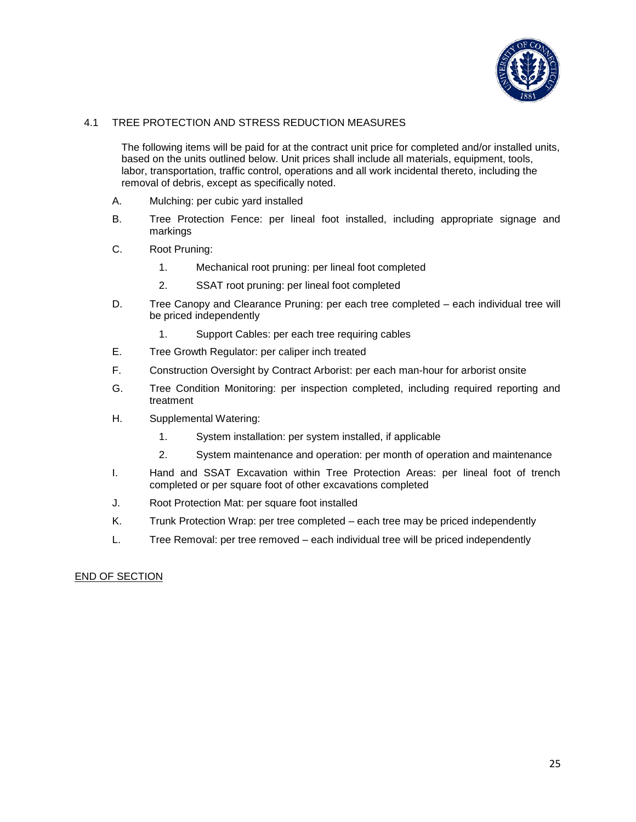

# 4.1 TREE PROTECTION AND STRESS REDUCTION MEASURES

The following items will be paid for at the contract unit price for completed and/or installed units, based on the units outlined below. Unit prices shall include all materials, equipment, tools, labor, transportation, traffic control, operations and all work incidental thereto, including the removal of debris, except as specifically noted.

- A. Mulching: per cubic yard installed
- B. Tree Protection Fence: per lineal foot installed, including appropriate signage and markings
- C. Root Pruning:
	- 1. Mechanical root pruning: per lineal foot completed
	- 2. SSAT root pruning: per lineal foot completed
- D. Tree Canopy and Clearance Pruning: per each tree completed each individual tree will be priced independently
	- 1. Support Cables: per each tree requiring cables
- E. Tree Growth Regulator: per caliper inch treated
- F. Construction Oversight by Contract Arborist: per each man-hour for arborist onsite
- G. Tree Condition Monitoring: per inspection completed, including required reporting and treatment
- H. Supplemental Watering:
	- 1. System installation: per system installed, if applicable
	- 2. System maintenance and operation: per month of operation and maintenance
- I. Hand and SSAT Excavation within Tree Protection Areas: per lineal foot of trench completed or per square foot of other excavations completed
- J. Root Protection Mat: per square foot installed
- K. Trunk Protection Wrap: per tree completed each tree may be priced independently
- L. Tree Removal: per tree removed each individual tree will be priced independently

#### END OF SECTION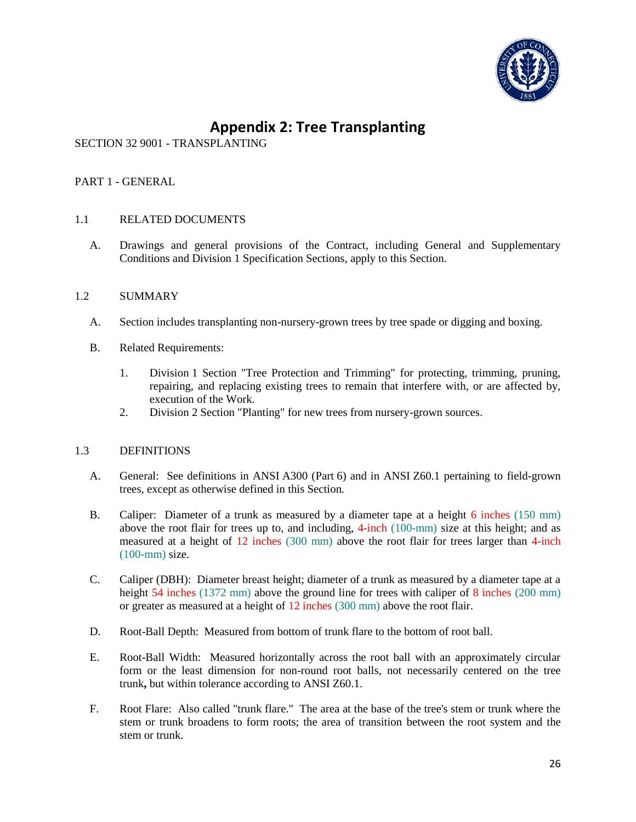

# **Appendix 2: Tree Transplanting**

# SECTION 32 9001 - TRANSPLANTING

# PART 1 - GENERAL

#### 1.1 RELATED DOCUMENTS

A. Drawings and general provisions of the Contract, including General and Supplementary Conditions and Division 1 Specification Sections, apply to this Section.

#### 1.2 SUMMARY

- A. Section includes transplanting non-nursery-grown trees by tree spade or digging and boxing.
- B. Related Requirements:
	- 1. Division 1 Section "Tree Protection and Trimming" for protecting, trimming, pruning, repairing, and replacing existing trees to remain that interfere with, or are affected by, execution of the Work.
	- 2. Division 2 Section "Planting" for new trees from nursery-grown sources.

# 1.3 DEFINITIONS

- A. General: See definitions in ANSI A300 (Part 6) and in ANSI Z60.1 pertaining to field-grown trees, except as otherwise defined in this Section.
- B. Caliper: Diameter of a trunk as measured by a diameter tape at a height 6 inches (150 mm) above the root flair for trees up to, and including, 4-inch (100-mm) size at this height; and as measured at a height of 12 inches (300 mm) above the root flair for trees larger than 4-inch (100-mm) size.
- C. Caliper (DBH): Diameter breast height; diameter of a trunk as measured by a diameter tape at a height 54 inches (1372 mm) above the ground line for trees with caliper of 8 inches (200 mm) or greater as measured at a height of 12 inches (300 mm) above the root flair.
- D. Root-Ball Depth: Measured from bottom of trunk flare to the bottom of root ball.
- E. Root-Ball Width: Measured horizontally across the root ball with an approximately circular form or the least dimension for non-round root balls, not necessarily centered on the tree trunk**,** but within tolerance according to ANSI Z60.1.
- F. Root Flare: Also called "trunk flare." The area at the base of the tree's stem or trunk where the stem or trunk broadens to form roots; the area of transition between the root system and the stem or trunk.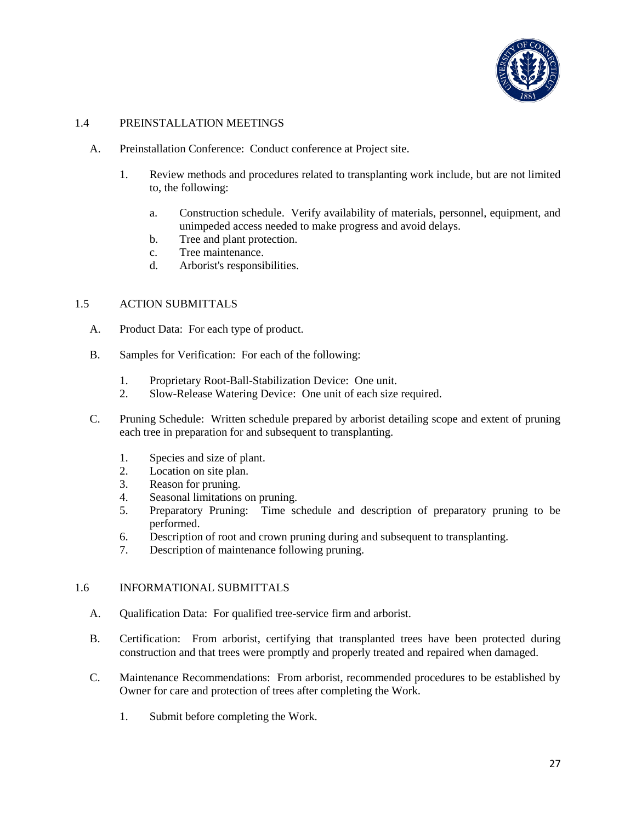

# 1.4 PREINSTALLATION MEETINGS

- A. Preinstallation Conference: Conduct conference at Project site.
	- 1. Review methods and procedures related to transplanting work include, but are not limited to, the following:
		- a. Construction schedule. Verify availability of materials, personnel, equipment, and unimpeded access needed to make progress and avoid delays.
		- b. Tree and plant protection.
		- c. Tree maintenance.
		- d. Arborist's responsibilities.

# 1.5 ACTION SUBMITTALS

- A. Product Data: For each type of product.
- B. Samples for Verification: For each of the following:
	- 1. Proprietary Root-Ball-Stabilization Device: One unit.
	- 2. Slow-Release Watering Device: One unit of each size required.
- C. Pruning Schedule: Written schedule prepared by arborist detailing scope and extent of pruning each tree in preparation for and subsequent to transplanting.
	- 1. Species and size of plant.
	- 2. Location on site plan.
	- 3. Reason for pruning.
	- 4. Seasonal limitations on pruning.
	- 5. Preparatory Pruning: Time schedule and description of preparatory pruning to be performed.
	- 6. Description of root and crown pruning during and subsequent to transplanting.
	- 7. Description of maintenance following pruning.

# 1.6 INFORMATIONAL SUBMITTALS

- A. Qualification Data: For qualified tree-service firm and arborist.
- B. Certification: From arborist, certifying that transplanted trees have been protected during construction and that trees were promptly and properly treated and repaired when damaged.
- C. Maintenance Recommendations: From arborist, recommended procedures to be established by Owner for care and protection of trees after completing the Work.
	- 1. Submit before completing the Work.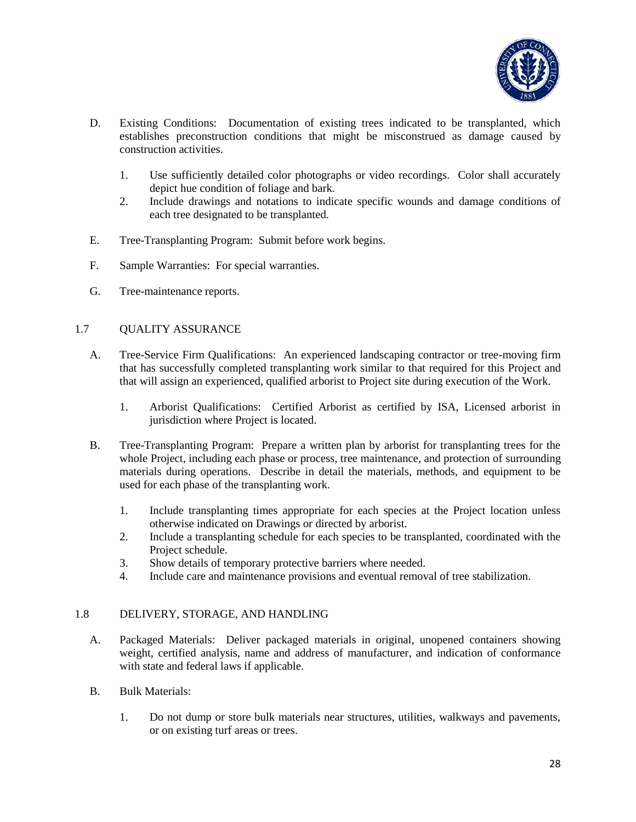

- D. Existing Conditions: Documentation of existing trees indicated to be transplanted, which establishes preconstruction conditions that might be misconstrued as damage caused by construction activities.
	- 1. Use sufficiently detailed color photographs or video recordings. Color shall accurately depict hue condition of foliage and bark.
	- 2. Include drawings and notations to indicate specific wounds and damage conditions of each tree designated to be transplanted.
- E. Tree-Transplanting Program: Submit before work begins.
- F. Sample Warranties: For special warranties.
- G. Tree-maintenance reports.

#### 1.7 QUALITY ASSURANCE

- A. Tree-Service Firm Qualifications: An experienced landscaping contractor or tree-moving firm that has successfully completed transplanting work similar to that required for this Project and that will assign an experienced, qualified arborist to Project site during execution of the Work.
	- 1. Arborist Qualifications: Certified Arborist as certified by ISA, Licensed arborist in jurisdiction where Project is located.
- B. Tree-Transplanting Program: Prepare a written plan by arborist for transplanting trees for the whole Project, including each phase or process, tree maintenance, and protection of surrounding materials during operations. Describe in detail the materials, methods, and equipment to be used for each phase of the transplanting work.
	- 1. Include transplanting times appropriate for each species at the Project location unless otherwise indicated on Drawings or directed by arborist.
	- 2. Include a transplanting schedule for each species to be transplanted, coordinated with the Project schedule.
	- 3. Show details of temporary protective barriers where needed.
	- 4. Include care and maintenance provisions and eventual removal of tree stabilization.

#### 1.8 DELIVERY, STORAGE, AND HANDLING

- A. Packaged Materials: Deliver packaged materials in original, unopened containers showing weight, certified analysis, name and address of manufacturer, and indication of conformance with state and federal laws if applicable.
- B. Bulk Materials:
	- 1. Do not dump or store bulk materials near structures, utilities, walkways and pavements, or on existing turf areas or trees.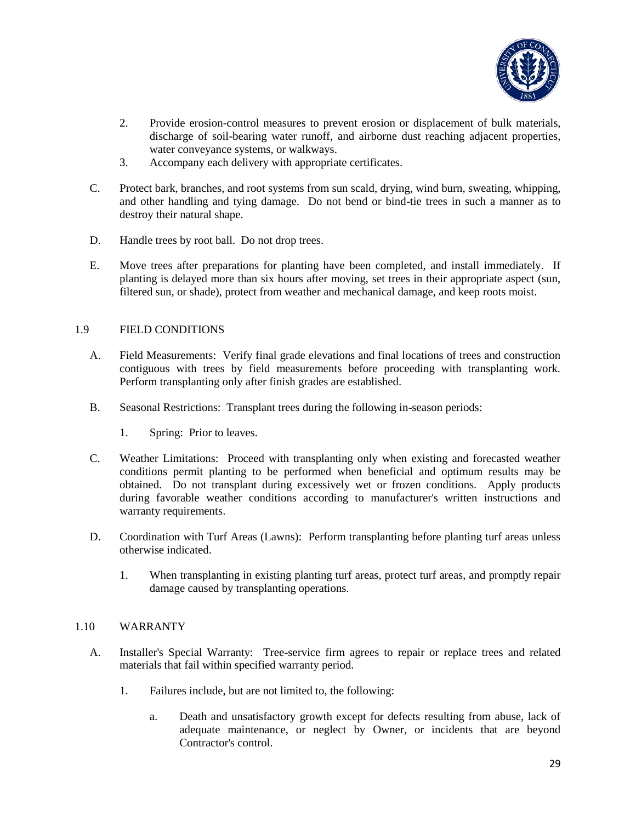

- 2. Provide erosion-control measures to prevent erosion or displacement of bulk materials, discharge of soil-bearing water runoff, and airborne dust reaching adjacent properties, water conveyance systems, or walkways.
- 3. Accompany each delivery with appropriate certificates.
- C. Protect bark, branches, and root systems from sun scald, drying, wind burn, sweating, whipping, and other handling and tying damage. Do not bend or bind-tie trees in such a manner as to destroy their natural shape.
- D. Handle trees by root ball. Do not drop trees.
- E. Move trees after preparations for planting have been completed, and install immediately. If planting is delayed more than six hours after moving, set trees in their appropriate aspect (sun, filtered sun, or shade), protect from weather and mechanical damage, and keep roots moist.

# 1.9 FIELD CONDITIONS

- A. Field Measurements: Verify final grade elevations and final locations of trees and construction contiguous with trees by field measurements before proceeding with transplanting work. Perform transplanting only after finish grades are established.
- B. Seasonal Restrictions: Transplant trees during the following in-season periods:
	- 1. Spring: Prior to leaves.
- C. Weather Limitations: Proceed with transplanting only when existing and forecasted weather conditions permit planting to be performed when beneficial and optimum results may be obtained. Do not transplant during excessively wet or frozen conditions. Apply products during favorable weather conditions according to manufacturer's written instructions and warranty requirements.
- D. Coordination with Turf Areas (Lawns): Perform transplanting before planting turf areas unless otherwise indicated.
	- 1. When transplanting in existing planting turf areas, protect turf areas, and promptly repair damage caused by transplanting operations.

# 1.10 WARRANTY

- A. Installer's Special Warranty: Tree-service firm agrees to repair or replace trees and related materials that fail within specified warranty period.
	- 1. Failures include, but are not limited to, the following:
		- a. Death and unsatisfactory growth except for defects resulting from abuse, lack of adequate maintenance, or neglect by Owner, or incidents that are beyond Contractor's control.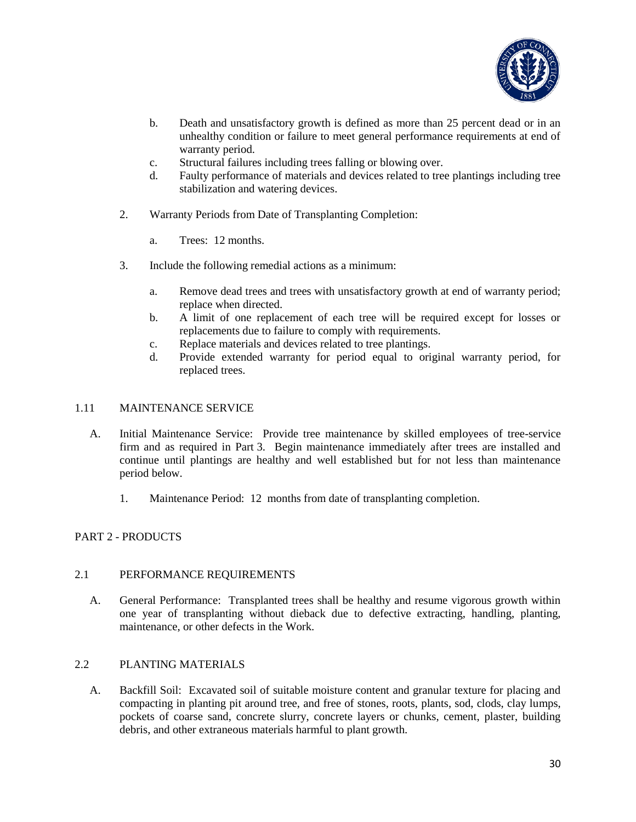

- b. Death and unsatisfactory growth is defined as more than 25 percent dead or in an unhealthy condition or failure to meet general performance requirements at end of warranty period.
- c. Structural failures including trees falling or blowing over.
- d. Faulty performance of materials and devices related to tree plantings including tree stabilization and watering devices.
- 2. Warranty Periods from Date of Transplanting Completion:
	- a. Trees: 12 months.
- 3. Include the following remedial actions as a minimum:
	- a. Remove dead trees and trees with unsatisfactory growth at end of warranty period; replace when directed.
	- b. A limit of one replacement of each tree will be required except for losses or replacements due to failure to comply with requirements.
	- c. Replace materials and devices related to tree plantings.
	- d. Provide extended warranty for period equal to original warranty period, for replaced trees.

# 1.11 MAINTENANCE SERVICE

- A. Initial Maintenance Service: Provide tree maintenance by skilled employees of tree-service firm and as required in Part 3. Begin maintenance immediately after trees are installed and continue until plantings are healthy and well established but for not less than maintenance period below.
	- 1. Maintenance Period: 12 months from date of transplanting completion.

# PART 2 - PRODUCTS

# 2.1 PERFORMANCE REQUIREMENTS

A. General Performance: Transplanted trees shall be healthy and resume vigorous growth within one year of transplanting without dieback due to defective extracting, handling, planting, maintenance, or other defects in the Work.

# 2.2 PLANTING MATERIALS

A. Backfill Soil: Excavated soil of suitable moisture content and granular texture for placing and compacting in planting pit around tree, and free of stones, roots, plants, sod, clods, clay lumps, pockets of coarse sand, concrete slurry, concrete layers or chunks, cement, plaster, building debris, and other extraneous materials harmful to plant growth.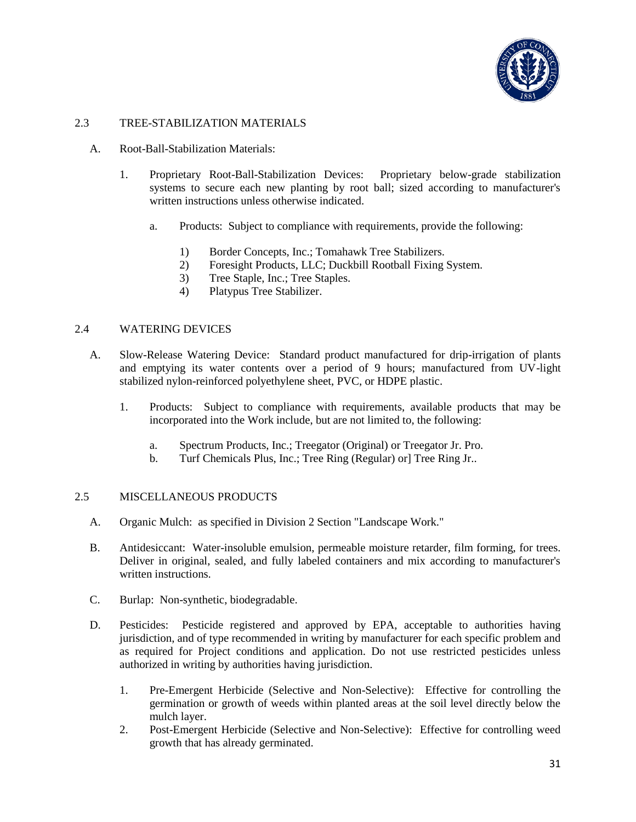

# 2.3 TREE-STABILIZATION MATERIALS

- A. Root-Ball-Stabilization Materials:
	- 1. Proprietary Root-Ball-Stabilization Devices: Proprietary below-grade stabilization systems to secure each new planting by root ball; sized according to manufacturer's written instructions unless otherwise indicated.
		- a. Products: Subject to compliance with requirements, provide the following:
			- 1) Border Concepts, Inc.; Tomahawk Tree Stabilizers.
			- 2) Foresight Products, LLC; Duckbill Rootball Fixing System.
			- 3) Tree Staple, Inc.; Tree Staples.
			- 4) Platypus Tree Stabilizer.

#### 2.4 WATERING DEVICES

- A. Slow-Release Watering Device: Standard product manufactured for drip-irrigation of plants and emptying its water contents over a period of 9 hours; manufactured from UV-light stabilized nylon-reinforced polyethylene sheet, PVC, or HDPE plastic.
	- 1. Products: Subject to compliance with requirements, available products that may be incorporated into the Work include, but are not limited to, the following:
		- a. Spectrum Products, Inc.; Treegator (Original) or Treegator Jr. Pro.
		- b. Turf Chemicals Plus, Inc.; Tree Ring (Regular) or] Tree Ring Jr..

#### 2.5 MISCELLANEOUS PRODUCTS

- A. Organic Mulch: as specified in Division 2 Section "Landscape Work."
- B. Antidesiccant: Water-insoluble emulsion, permeable moisture retarder, film forming, for trees. Deliver in original, sealed, and fully labeled containers and mix according to manufacturer's written instructions.
- C. Burlap: Non-synthetic, biodegradable.
- D. Pesticides: Pesticide registered and approved by EPA, acceptable to authorities having jurisdiction, and of type recommended in writing by manufacturer for each specific problem and as required for Project conditions and application. Do not use restricted pesticides unless authorized in writing by authorities having jurisdiction.
	- 1. Pre-Emergent Herbicide (Selective and Non-Selective): Effective for controlling the germination or growth of weeds within planted areas at the soil level directly below the mulch layer.
	- 2. Post-Emergent Herbicide (Selective and Non-Selective): Effective for controlling weed growth that has already germinated.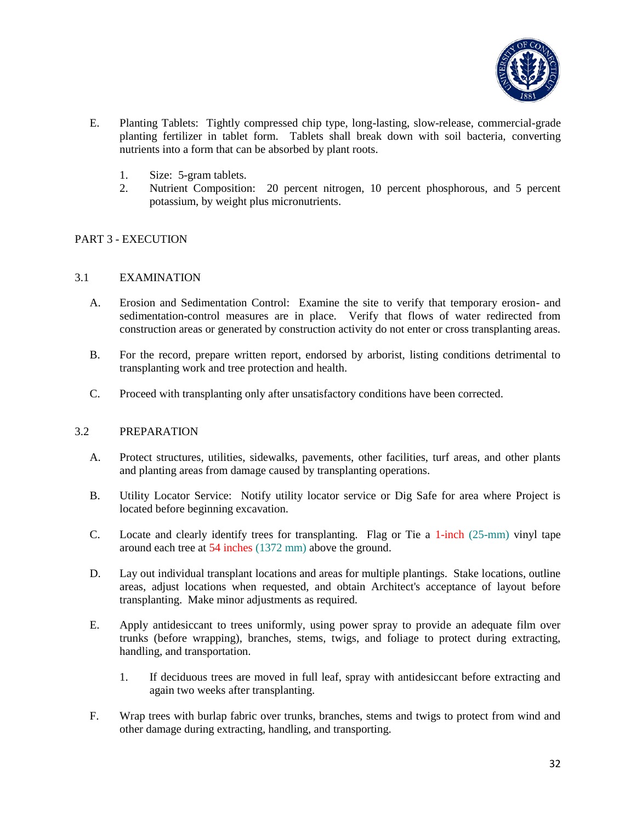

- E. Planting Tablets: Tightly compressed chip type, long-lasting, slow-release, commercial-grade planting fertilizer in tablet form. Tablets shall break down with soil bacteria, converting nutrients into a form that can be absorbed by plant roots.
	- 1. Size: 5-gram tablets.
	- 2. Nutrient Composition: 20 percent nitrogen, 10 percent phosphorous, and 5 percent potassium, by weight plus micronutrients.

# PART 3 - EXECUTION

# 3.1 EXAMINATION

- A. Erosion and Sedimentation Control: Examine the site to verify that temporary erosion- and sedimentation-control measures are in place. Verify that flows of water redirected from construction areas or generated by construction activity do not enter or cross transplanting areas.
- B. For the record, prepare written report, endorsed by arborist, listing conditions detrimental to transplanting work and tree protection and health.
- C. Proceed with transplanting only after unsatisfactory conditions have been corrected.

# 3.2 PREPARATION

- A. Protect structures, utilities, sidewalks, pavements, other facilities, turf areas, and other plants and planting areas from damage caused by transplanting operations.
- B. Utility Locator Service: Notify utility locator service or Dig Safe for area where Project is located before beginning excavation.
- C. Locate and clearly identify trees for transplanting. Flag or Tie a 1-inch (25-mm) vinyl tape around each tree at 54 inches (1372 mm) above the ground.
- D. Lay out individual transplant locations and areas for multiple plantings. Stake locations, outline areas, adjust locations when requested, and obtain Architect's acceptance of layout before transplanting. Make minor adjustments as required.
- E. Apply antidesiccant to trees uniformly, using power spray to provide an adequate film over trunks (before wrapping), branches, stems, twigs, and foliage to protect during extracting, handling, and transportation.
	- 1. If deciduous trees are moved in full leaf, spray with antidesiccant before extracting and again two weeks after transplanting.
- F. Wrap trees with burlap fabric over trunks, branches, stems and twigs to protect from wind and other damage during extracting, handling, and transporting.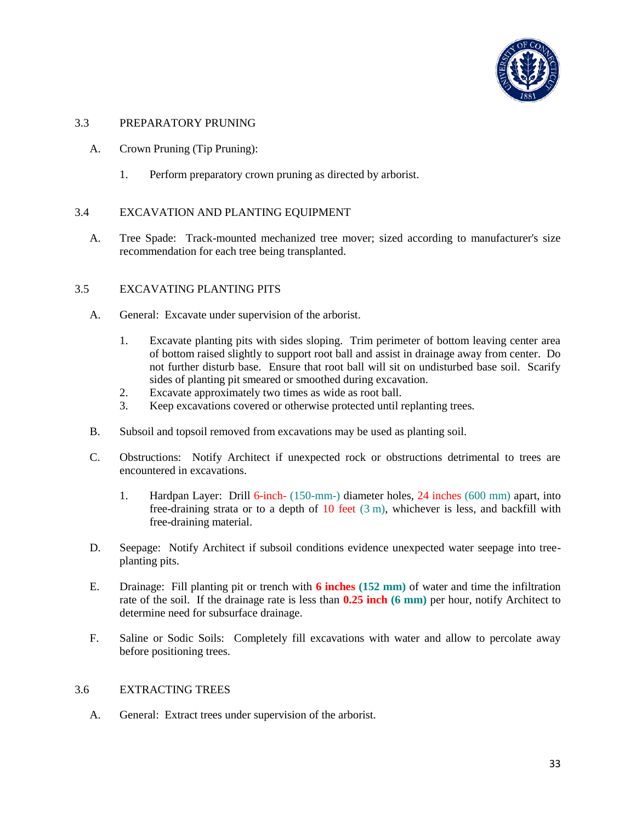

# 3.3 PREPARATORY PRUNING

- A. Crown Pruning (Tip Pruning):
	- 1. Perform preparatory crown pruning as directed by arborist.

# 3.4 EXCAVATION AND PLANTING EQUIPMENT

A. Tree Spade: Track-mounted mechanized tree mover; sized according to manufacturer's size recommendation for each tree being transplanted.

# 3.5 EXCAVATING PLANTING PITS

- A. General: Excavate under supervision of the arborist.
	- 1. Excavate planting pits with sides sloping. Trim perimeter of bottom leaving center area of bottom raised slightly to support root ball and assist in drainage away from center. Do not further disturb base. Ensure that root ball will sit on undisturbed base soil. Scarify sides of planting pit smeared or smoothed during excavation.
	- 2. Excavate approximately two times as wide as root ball.
	- 3. Keep excavations covered or otherwise protected until replanting trees.
- B. Subsoil and topsoil removed from excavations may be used as planting soil.
- C. Obstructions: Notify Architect if unexpected rock or obstructions detrimental to trees are encountered in excavations.
	- 1. Hardpan Layer: Drill 6-inch- (150-mm-) diameter holes, 24 inches (600 mm) apart, into free-draining strata or to a depth of 10 feet (3 m), whichever is less, and backfill with free-draining material.
- D. Seepage: Notify Architect if subsoil conditions evidence unexpected water seepage into treeplanting pits.
- E. Drainage: Fill planting pit or trench with **6 inches (152 mm)** of water and time the infiltration rate of the soil. If the drainage rate is less than **0.25 inch (6 mm)** per hour, notify Architect to determine need for subsurface drainage.
- F. Saline or Sodic Soils: Completely fill excavations with water and allow to percolate away before positioning trees.

# 3.6 EXTRACTING TREES

A. General: Extract trees under supervision of the arborist.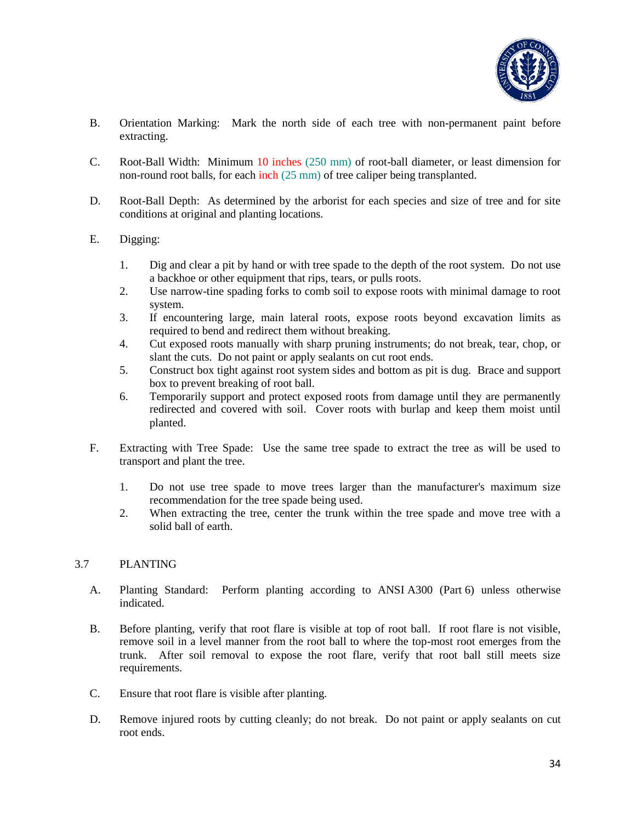

- B. Orientation Marking: Mark the north side of each tree with non-permanent paint before extracting.
- C. Root-Ball Width: Minimum 10 inches (250 mm) of root-ball diameter, or least dimension for non-round root balls, for each inch (25 mm) of tree caliper being transplanted.
- D. Root-Ball Depth: As determined by the arborist for each species and size of tree and for site conditions at original and planting locations.

# E. Digging:

- 1. Dig and clear a pit by hand or with tree spade to the depth of the root system. Do not use a backhoe or other equipment that rips, tears, or pulls roots.
- 2. Use narrow-tine spading forks to comb soil to expose roots with minimal damage to root system.
- 3. If encountering large, main lateral roots, expose roots beyond excavation limits as required to bend and redirect them without breaking.
- 4. Cut exposed roots manually with sharp pruning instruments; do not break, tear, chop, or slant the cuts. Do not paint or apply sealants on cut root ends.
- 5. Construct box tight against root system sides and bottom as pit is dug. Brace and support box to prevent breaking of root ball.
- 6. Temporarily support and protect exposed roots from damage until they are permanently redirected and covered with soil. Cover roots with burlap and keep them moist until planted.
- F. Extracting with Tree Spade: Use the same tree spade to extract the tree as will be used to transport and plant the tree.
	- 1. Do not use tree spade to move trees larger than the manufacturer's maximum size recommendation for the tree spade being used.
	- 2. When extracting the tree, center the trunk within the tree spade and move tree with a solid ball of earth.

# 3.7 PLANTING

- A. Planting Standard: Perform planting according to ANSI A300 (Part 6) unless otherwise indicated.
- B. Before planting, verify that root flare is visible at top of root ball. If root flare is not visible, remove soil in a level manner from the root ball to where the top-most root emerges from the trunk. After soil removal to expose the root flare, verify that root ball still meets size requirements.
- C. Ensure that root flare is visible after planting.
- D. Remove injured roots by cutting cleanly; do not break. Do not paint or apply sealants on cut root ends.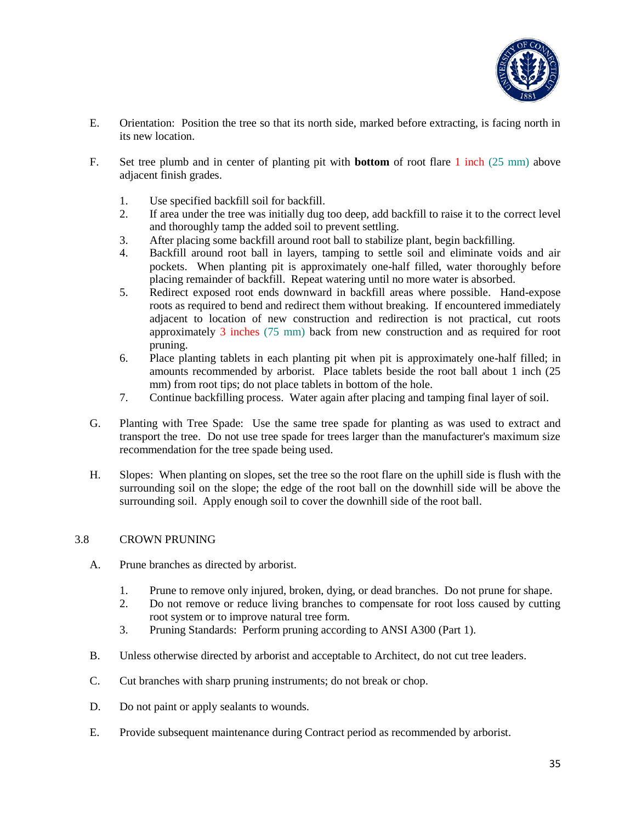

- E. Orientation: Position the tree so that its north side, marked before extracting, is facing north in its new location.
- F. Set tree plumb and in center of planting pit with **bottom** of root flare 1 inch (25 mm) above adjacent finish grades.
	- 1. Use specified backfill soil for backfill.
	- 2. If area under the tree was initially dug too deep, add backfill to raise it to the correct level and thoroughly tamp the added soil to prevent settling.
	- 3. After placing some backfill around root ball to stabilize plant, begin backfilling.
	- 4. Backfill around root ball in layers, tamping to settle soil and eliminate voids and air pockets. When planting pit is approximately one-half filled, water thoroughly before placing remainder of backfill. Repeat watering until no more water is absorbed.
	- 5. Redirect exposed root ends downward in backfill areas where possible. Hand-expose roots as required to bend and redirect them without breaking. If encountered immediately adjacent to location of new construction and redirection is not practical, cut roots approximately 3 inches (75 mm) back from new construction and as required for root pruning.
	- 6. Place planting tablets in each planting pit when pit is approximately one-half filled; in amounts recommended by arborist. Place tablets beside the root ball about 1 inch (25 mm) from root tips; do not place tablets in bottom of the hole.
	- 7. Continue backfilling process. Water again after placing and tamping final layer of soil.
- G. Planting with Tree Spade: Use the same tree spade for planting as was used to extract and transport the tree. Do not use tree spade for trees larger than the manufacturer's maximum size recommendation for the tree spade being used.
- H. Slopes: When planting on slopes, set the tree so the root flare on the uphill side is flush with the surrounding soil on the slope; the edge of the root ball on the downhill side will be above the surrounding soil. Apply enough soil to cover the downhill side of the root ball.

# 3.8 CROWN PRUNING

- A. Prune branches as directed by arborist.
	- 1. Prune to remove only injured, broken, dying, or dead branches. Do not prune for shape.
	- 2. Do not remove or reduce living branches to compensate for root loss caused by cutting root system or to improve natural tree form.
	- 3. Pruning Standards: Perform pruning according to ANSI A300 (Part 1).
- B. Unless otherwise directed by arborist and acceptable to Architect, do not cut tree leaders.
- C. Cut branches with sharp pruning instruments; do not break or chop.
- D. Do not paint or apply sealants to wounds.
- E. Provide subsequent maintenance during Contract period as recommended by arborist.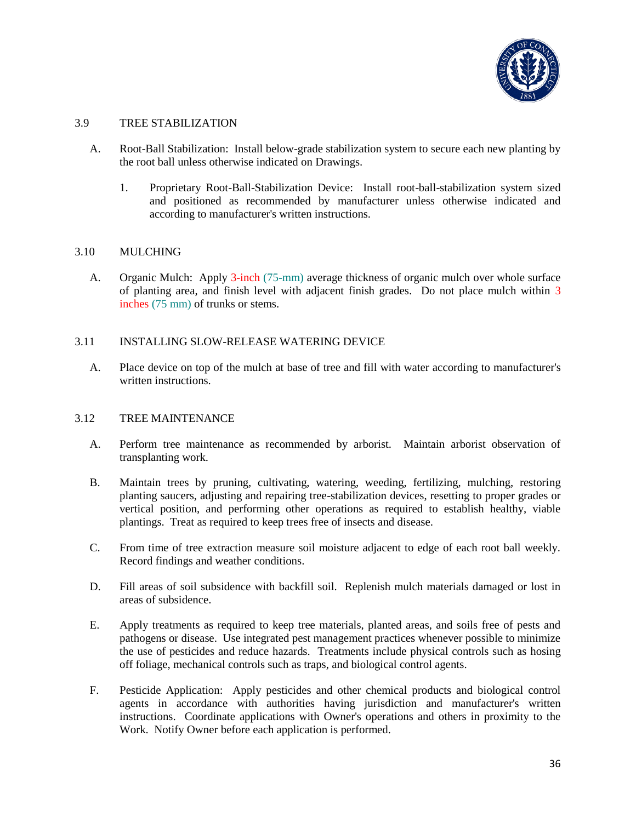

# 3.9 TREE STABILIZATION

- A. Root-Ball Stabilization: Install below-grade stabilization system to secure each new planting by the root ball unless otherwise indicated on Drawings.
	- 1. Proprietary Root-Ball-Stabilization Device: Install root-ball-stabilization system sized and positioned as recommended by manufacturer unless otherwise indicated and according to manufacturer's written instructions.

# 3.10 MULCHING

A. Organic Mulch: Apply 3-inch (75-mm) average thickness of organic mulch over whole surface of planting area, and finish level with adjacent finish grades. Do not place mulch within 3 inches (75 mm) of trunks or stems.

# 3.11 INSTALLING SLOW-RELEASE WATERING DEVICE

A. Place device on top of the mulch at base of tree and fill with water according to manufacturer's written instructions.

# 3.12 TREE MAINTENANCE

- A. Perform tree maintenance as recommended by arborist. Maintain arborist observation of transplanting work.
- B. Maintain trees by pruning, cultivating, watering, weeding, fertilizing, mulching, restoring planting saucers, adjusting and repairing tree-stabilization devices, resetting to proper grades or vertical position, and performing other operations as required to establish healthy, viable plantings. Treat as required to keep trees free of insects and disease.
- C. From time of tree extraction measure soil moisture adjacent to edge of each root ball weekly. Record findings and weather conditions.
- D. Fill areas of soil subsidence with backfill soil. Replenish mulch materials damaged or lost in areas of subsidence.
- E. Apply treatments as required to keep tree materials, planted areas, and soils free of pests and pathogens or disease. Use integrated pest management practices whenever possible to minimize the use of pesticides and reduce hazards. Treatments include physical controls such as hosing off foliage, mechanical controls such as traps, and biological control agents.
- F. Pesticide Application: Apply pesticides and other chemical products and biological control agents in accordance with authorities having jurisdiction and manufacturer's written instructions. Coordinate applications with Owner's operations and others in proximity to the Work. Notify Owner before each application is performed.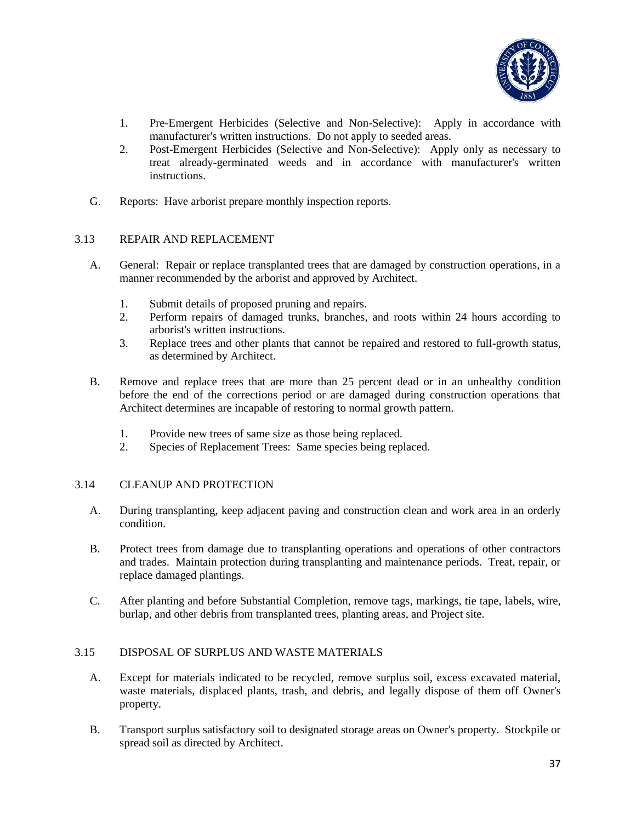

- 1. Pre-Emergent Herbicides (Selective and Non-Selective): Apply in accordance with manufacturer's written instructions. Do not apply to seeded areas.
- 2. Post-Emergent Herbicides (Selective and Non-Selective): Apply only as necessary to treat already-germinated weeds and in accordance with manufacturer's written instructions.
- G. Reports: Have arborist prepare monthly inspection reports.

# 3.13 REPAIR AND REPLACEMENT

- A. General: Repair or replace transplanted trees that are damaged by construction operations, in a manner recommended by the arborist and approved by Architect.
	- 1. Submit details of proposed pruning and repairs.
	- 2. Perform repairs of damaged trunks, branches, and roots within 24 hours according to arborist's written instructions.
	- 3. Replace trees and other plants that cannot be repaired and restored to full-growth status, as determined by Architect.
- B. Remove and replace trees that are more than 25 percent dead or in an unhealthy condition before the end of the corrections period or are damaged during construction operations that Architect determines are incapable of restoring to normal growth pattern.
	- 1. Provide new trees of same size as those being replaced.
	- 2. Species of Replacement Trees: Same species being replaced.

# 3.14 CLEANUP AND PROTECTION

- A. During transplanting, keep adjacent paving and construction clean and work area in an orderly condition.
- B. Protect trees from damage due to transplanting operations and operations of other contractors and trades. Maintain protection during transplanting and maintenance periods. Treat, repair, or replace damaged plantings.
- C. After planting and before Substantial Completion, remove tags, markings, tie tape, labels, wire, burlap, and other debris from transplanted trees, planting areas, and Project site.

## 3.15 DISPOSAL OF SURPLUS AND WASTE MATERIALS

- A. Except for materials indicated to be recycled, remove surplus soil, excess excavated material, waste materials, displaced plants, trash, and debris, and legally dispose of them off Owner's property.
- B. Transport surplus satisfactory soil to designated storage areas on Owner's property. Stockpile or spread soil as directed by Architect.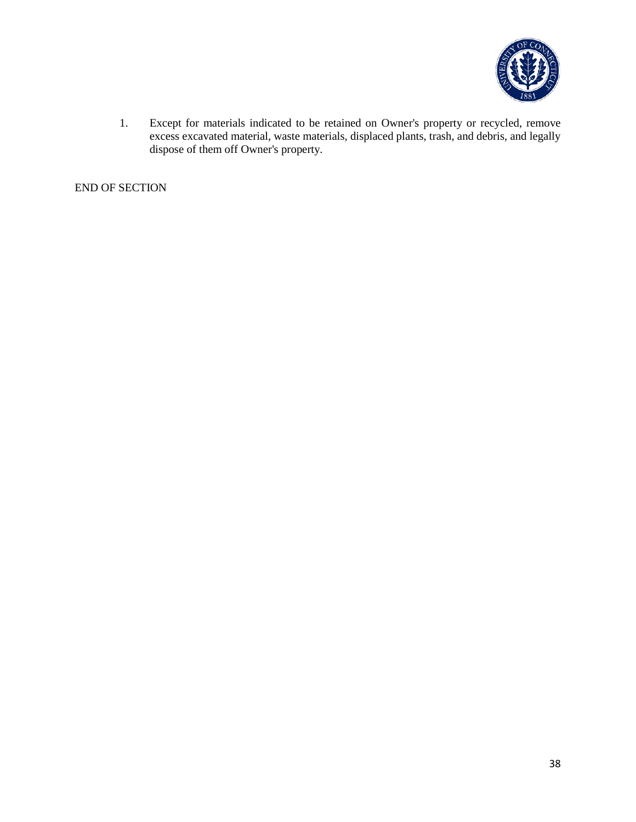

1. Except for materials indicated to be retained on Owner's property or recycled, remove excess excavated material, waste materials, displaced plants, trash, and debris, and legally dispose of them off Owner's property.

END OF SECTION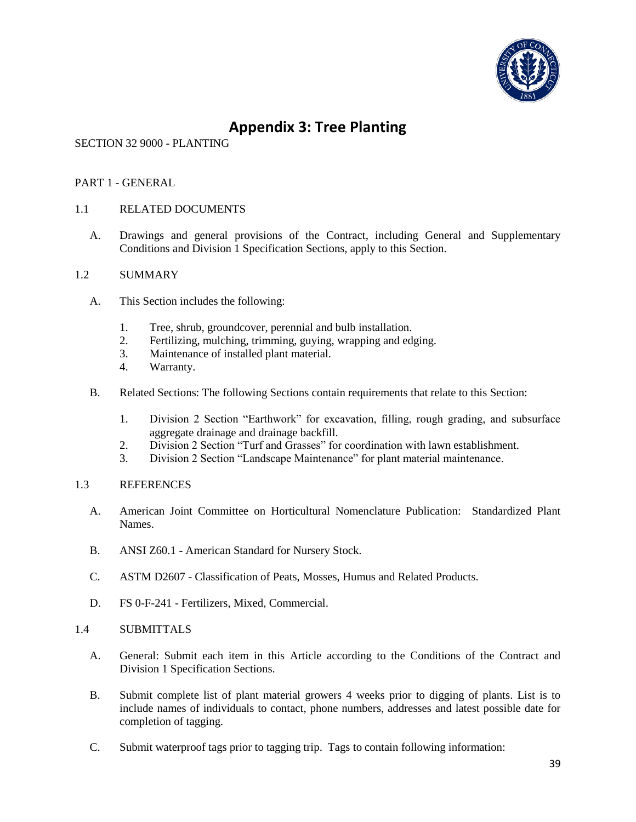

# **Appendix 3: Tree Planting**

SECTION 32 9000 - PLANTING

# PART 1 - GENERAL

- 1.1 RELATED DOCUMENTS
	- A. Drawings and general provisions of the Contract, including General and Supplementary Conditions and Division 1 Specification Sections, apply to this Section.

#### 1.2 SUMMARY

- A. This Section includes the following:
	- 1. Tree, shrub, groundcover, perennial and bulb installation.
	- 2. Fertilizing, mulching, trimming, guying, wrapping and edging.
	- 3. Maintenance of installed plant material.
	- 4. Warranty.
- B. Related Sections: The following Sections contain requirements that relate to this Section:
	- 1. Division 2 Section "Earthwork" for excavation, filling, rough grading, and subsurface aggregate drainage and drainage backfill.
	- 2. Division 2 Section "Turf and Grasses" for coordination with lawn establishment.
	- 3. Division 2 Section "Landscape Maintenance" for plant material maintenance.

#### 1.3 REFERENCES

- A. American Joint Committee on Horticultural Nomenclature Publication: Standardized Plant Names.
- B. ANSI Z60.1 American Standard for Nursery Stock.
- C. ASTM D2607 Classification of Peats, Mosses, Humus and Related Products.
- D. FS 0-F-241 Fertilizers, Mixed, Commercial.

#### 1.4 SUBMITTALS

- A. General: Submit each item in this Article according to the Conditions of the Contract and Division 1 Specification Sections.
- B. Submit complete list of plant material growers 4 weeks prior to digging of plants. List is to include names of individuals to contact, phone numbers, addresses and latest possible date for completion of tagging.
- C. Submit waterproof tags prior to tagging trip. Tags to contain following information: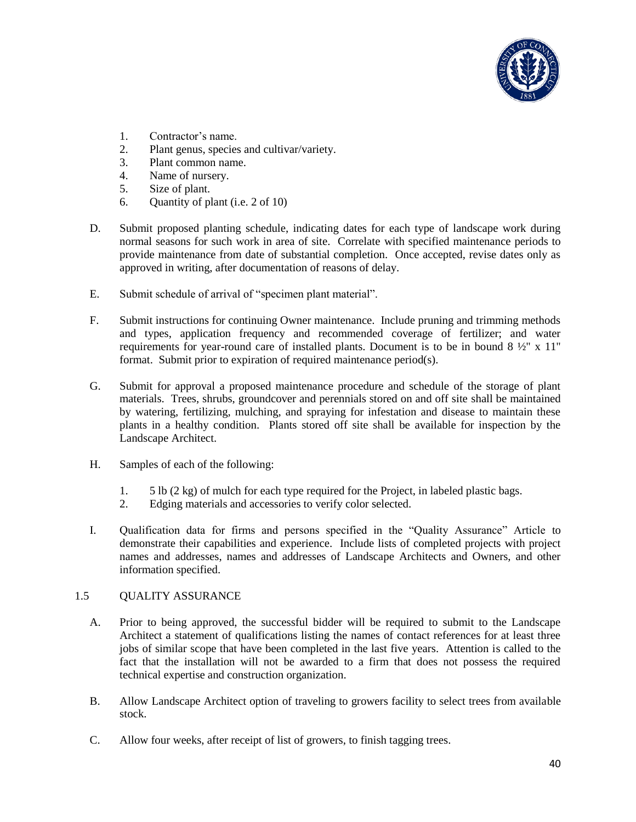

- 1. Contractor's name.
- 2. Plant genus, species and cultivar/variety.
- 3. Plant common name.
- 4. Name of nursery.
- 5. Size of plant.
- 6. Quantity of plant (i.e. 2 of 10)
- D. Submit proposed planting schedule, indicating dates for each type of landscape work during normal seasons for such work in area of site. Correlate with specified maintenance periods to provide maintenance from date of substantial completion. Once accepted, revise dates only as approved in writing, after documentation of reasons of delay.
- E. Submit schedule of arrival of "specimen plant material".
- F. Submit instructions for continuing Owner maintenance. Include pruning and trimming methods and types, application frequency and recommended coverage of fertilizer; and water requirements for year-round care of installed plants. Document is to be in bound 8 ½" x 11" format. Submit prior to expiration of required maintenance period(s).
- G. Submit for approval a proposed maintenance procedure and schedule of the storage of plant materials. Trees, shrubs, groundcover and perennials stored on and off site shall be maintained by watering, fertilizing, mulching, and spraying for infestation and disease to maintain these plants in a healthy condition. Plants stored off site shall be available for inspection by the Landscape Architect.
- H. Samples of each of the following:
	- 1. 5 lb (2 kg) of mulch for each type required for the Project, in labeled plastic bags.
	- 2. Edging materials and accessories to verify color selected.
- I. Qualification data for firms and persons specified in the "Quality Assurance" Article to demonstrate their capabilities and experience. Include lists of completed projects with project names and addresses, names and addresses of Landscape Architects and Owners, and other information specified.

## 1.5 OUALITY ASSURANCE

- A. Prior to being approved, the successful bidder will be required to submit to the Landscape Architect a statement of qualifications listing the names of contact references for at least three jobs of similar scope that have been completed in the last five years. Attention is called to the fact that the installation will not be awarded to a firm that does not possess the required technical expertise and construction organization.
- B. Allow Landscape Architect option of traveling to growers facility to select trees from available stock.
- C. Allow four weeks, after receipt of list of growers, to finish tagging trees.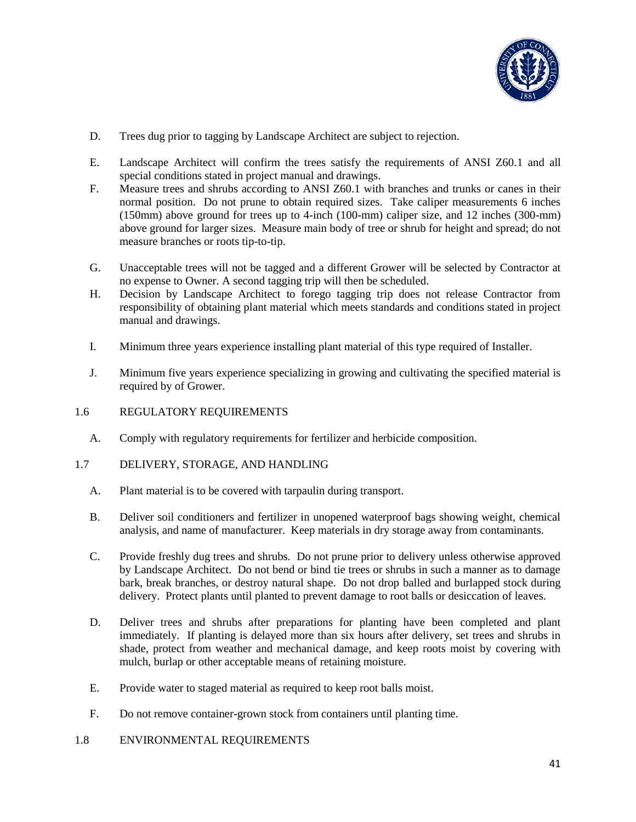

- D. Trees dug prior to tagging by Landscape Architect are subject to rejection.
- E. Landscape Architect will confirm the trees satisfy the requirements of ANSI Z60.1 and all special conditions stated in project manual and drawings.
- F. Measure trees and shrubs according to ANSI Z60.1 with branches and trunks or canes in their normal position. Do not prune to obtain required sizes. Take caliper measurements 6 inches (150mm) above ground for trees up to 4-inch (100-mm) caliper size, and 12 inches (300-mm) above ground for larger sizes. Measure main body of tree or shrub for height and spread; do not measure branches or roots tip-to-tip.
- G. Unacceptable trees will not be tagged and a different Grower will be selected by Contractor at no expense to Owner. A second tagging trip will then be scheduled.
- H. Decision by Landscape Architect to forego tagging trip does not release Contractor from responsibility of obtaining plant material which meets standards and conditions stated in project manual and drawings.
- I. Minimum three years experience installing plant material of this type required of Installer.
- J. Minimum five years experience specializing in growing and cultivating the specified material is required by of Grower.
- 1.6 REGULATORY REQUIREMENTS
	- A. Comply with regulatory requirements for fertilizer and herbicide composition.
- 1.7 DELIVERY, STORAGE, AND HANDLING
	- A. Plant material is to be covered with tarpaulin during transport.
	- B. Deliver soil conditioners and fertilizer in unopened waterproof bags showing weight, chemical analysis, and name of manufacturer. Keep materials in dry storage away from contaminants.
	- C. Provide freshly dug trees and shrubs. Do not prune prior to delivery unless otherwise approved by Landscape Architect. Do not bend or bind tie trees or shrubs in such a manner as to damage bark, break branches, or destroy natural shape. Do not drop balled and burlapped stock during delivery. Protect plants until planted to prevent damage to root balls or desiccation of leaves.
	- D. Deliver trees and shrubs after preparations for planting have been completed and plant immediately. If planting is delayed more than six hours after delivery, set trees and shrubs in shade, protect from weather and mechanical damage, and keep roots moist by covering with mulch, burlap or other acceptable means of retaining moisture.
	- E. Provide water to staged material as required to keep root balls moist.
	- F. Do not remove container-grown stock from containers until planting time.
- 1.8 ENVIRONMENTAL REQUIREMENTS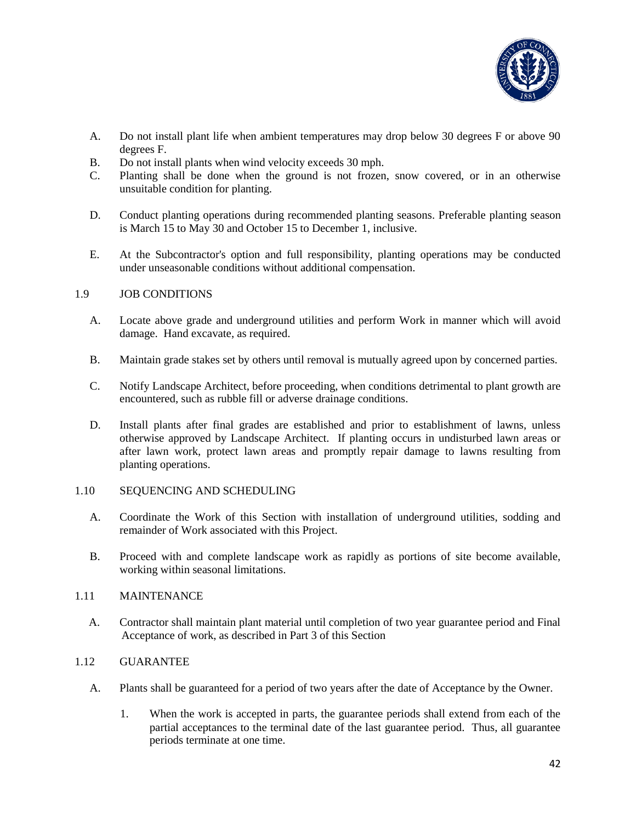

- A. Do not install plant life when ambient temperatures may drop below 30 degrees F or above 90 degrees F.
- B. Do not install plants when wind velocity exceeds 30 mph.
- C. Planting shall be done when the ground is not frozen, snow covered, or in an otherwise unsuitable condition for planting.
- D. Conduct planting operations during recommended planting seasons. Preferable planting season is March 15 to May 30 and October 15 to December 1, inclusive.
- E. At the Subcontractor's option and full responsibility, planting operations may be conducted under unseasonable conditions without additional compensation.

## 1.9 JOB CONDITIONS

- A. Locate above grade and underground utilities and perform Work in manner which will avoid damage. Hand excavate, as required.
- B. Maintain grade stakes set by others until removal is mutually agreed upon by concerned parties.
- C. Notify Landscape Architect, before proceeding, when conditions detrimental to plant growth are encountered, such as rubble fill or adverse drainage conditions.
- D. Install plants after final grades are established and prior to establishment of lawns, unless otherwise approved by Landscape Architect. If planting occurs in undisturbed lawn areas or after lawn work, protect lawn areas and promptly repair damage to lawns resulting from planting operations.

## 1.10 SEQUENCING AND SCHEDULING

- A. Coordinate the Work of this Section with installation of underground utilities, sodding and remainder of Work associated with this Project.
- B. Proceed with and complete landscape work as rapidly as portions of site become available, working within seasonal limitations.

# 1.11 MAINTENANCE

A. Contractor shall maintain plant material until completion of two year guarantee period and Final Acceptance of work, as described in Part 3 of this Section

# 1.12 GUARANTEE

- A. Plants shall be guaranteed for a period of two years after the date of Acceptance by the Owner.
	- 1. When the work is accepted in parts, the guarantee periods shall extend from each of the partial acceptances to the terminal date of the last guarantee period. Thus, all guarantee periods terminate at one time.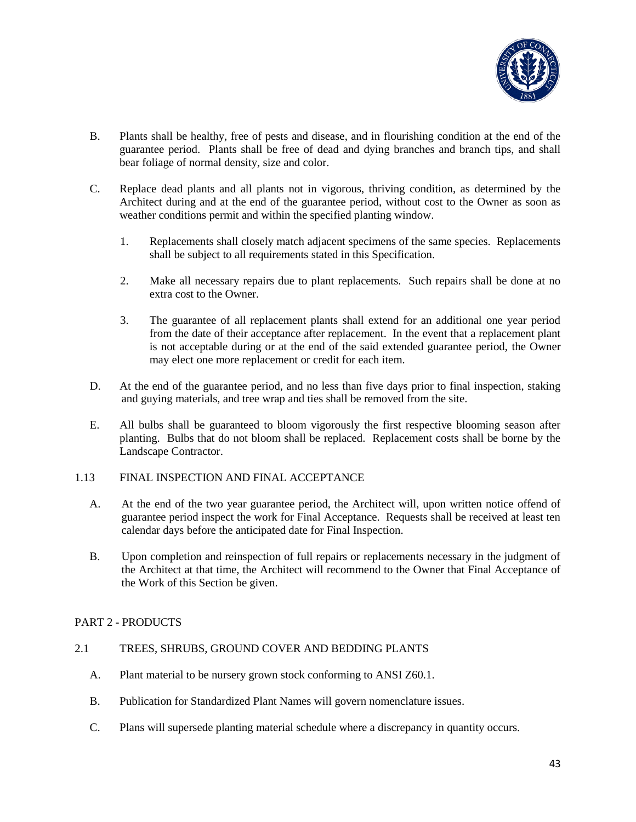

- B. Plants shall be healthy, free of pests and disease, and in flourishing condition at the end of the guarantee period. Plants shall be free of dead and dying branches and branch tips, and shall bear foliage of normal density, size and color.
- C. Replace dead plants and all plants not in vigorous, thriving condition, as determined by the Architect during and at the end of the guarantee period, without cost to the Owner as soon as weather conditions permit and within the specified planting window.
	- 1. Replacements shall closely match adjacent specimens of the same species. Replacements shall be subject to all requirements stated in this Specification.
	- 2. Make all necessary repairs due to plant replacements. Such repairs shall be done at no extra cost to the Owner.
	- 3. The guarantee of all replacement plants shall extend for an additional one year period from the date of their acceptance after replacement. In the event that a replacement plant is not acceptable during or at the end of the said extended guarantee period, the Owner may elect one more replacement or credit for each item.
- D. At the end of the guarantee period, and no less than five days prior to final inspection, staking and guying materials, and tree wrap and ties shall be removed from the site.
- E. All bulbs shall be guaranteed to bloom vigorously the first respective blooming season after planting. Bulbs that do not bloom shall be replaced. Replacement costs shall be borne by the Landscape Contractor.

#### 1.13 FINAL INSPECTION AND FINAL ACCEPTANCE

- A. At the end of the two year guarantee period, the Architect will, upon written notice offend of guarantee period inspect the work for Final Acceptance. Requests shall be received at least ten calendar days before the anticipated date for Final Inspection.
- B. Upon completion and reinspection of full repairs or replacements necessary in the judgment of the Architect at that time, the Architect will recommend to the Owner that Final Acceptance of the Work of this Section be given.

## PART 2 - PRODUCTS

#### 2.1 TREES, SHRUBS, GROUND COVER AND BEDDING PLANTS

- A. Plant material to be nursery grown stock conforming to ANSI Z60.1.
- B. Publication for Standardized Plant Names will govern nomenclature issues.
- C. Plans will supersede planting material schedule where a discrepancy in quantity occurs.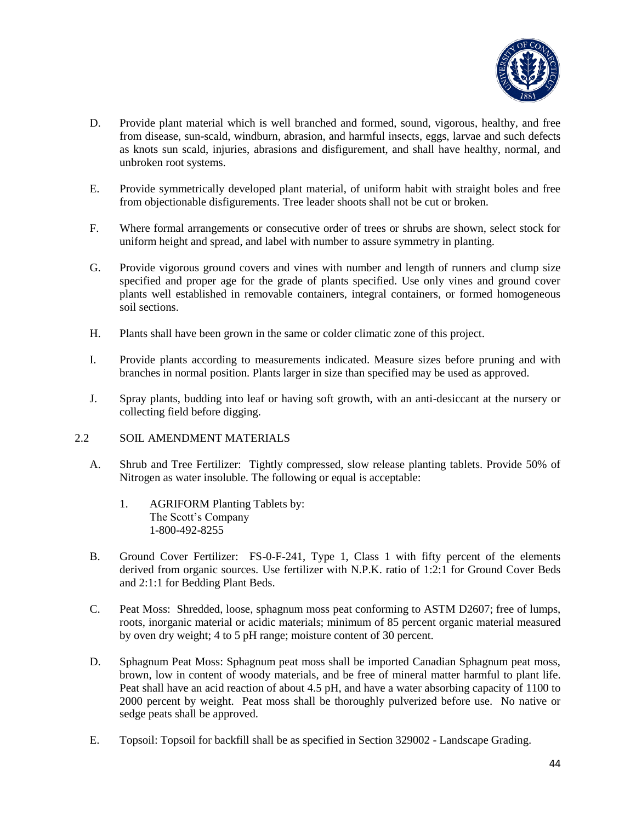

- D. Provide plant material which is well branched and formed, sound, vigorous, healthy, and free from disease, sun-scald, windburn, abrasion, and harmful insects, eggs, larvae and such defects as knots sun scald, injuries, abrasions and disfigurement, and shall have healthy, normal, and unbroken root systems.
- E. Provide symmetrically developed plant material, of uniform habit with straight boles and free from objectionable disfigurements. Tree leader shoots shall not be cut or broken.
- F. Where formal arrangements or consecutive order of trees or shrubs are shown, select stock for uniform height and spread, and label with number to assure symmetry in planting.
- G. Provide vigorous ground covers and vines with number and length of runners and clump size specified and proper age for the grade of plants specified. Use only vines and ground cover plants well established in removable containers, integral containers, or formed homogeneous soil sections.
- H. Plants shall have been grown in the same or colder climatic zone of this project.
- I. Provide plants according to measurements indicated. Measure sizes before pruning and with branches in normal position. Plants larger in size than specified may be used as approved.
- J. Spray plants, budding into leaf or having soft growth, with an anti-desiccant at the nursery or collecting field before digging.

#### 2.2 SOIL AMENDMENT MATERIALS

- A. Shrub and Tree Fertilizer: Tightly compressed, slow release planting tablets. Provide 50% of Nitrogen as water insoluble. The following or equal is acceptable:
	- 1. AGRIFORM Planting Tablets by: The Scott's Company 1-800-492-8255
- B. Ground Cover Fertilizer: FS-0-F-241, Type 1, Class 1 with fifty percent of the elements derived from organic sources. Use fertilizer with N.P.K. ratio of 1:2:1 for Ground Cover Beds and 2:1:1 for Bedding Plant Beds.
- C. Peat Moss: Shredded, loose, sphagnum moss peat conforming to ASTM D2607; free of lumps, roots, inorganic material or acidic materials; minimum of 85 percent organic material measured by oven dry weight; 4 to 5 pH range; moisture content of 30 percent.
- D. Sphagnum Peat Moss: Sphagnum peat moss shall be imported Canadian Sphagnum peat moss, brown, low in content of woody materials, and be free of mineral matter harmful to plant life. Peat shall have an acid reaction of about 4.5 pH, and have a water absorbing capacity of 1100 to 2000 percent by weight. Peat moss shall be thoroughly pulverized before use. No native or sedge peats shall be approved.
- E. Topsoil: Topsoil for backfill shall be as specified in Section 329002 Landscape Grading.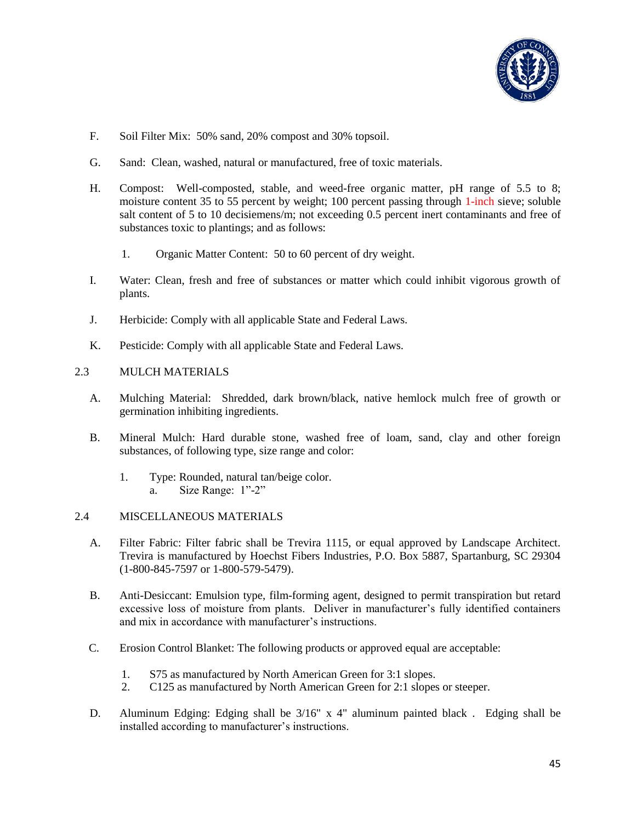

- F. Soil Filter Mix: 50% sand, 20% compost and 30% topsoil.
- G. Sand: Clean, washed, natural or manufactured, free of toxic materials.
- H. Compost: Well-composted, stable, and weed-free organic matter, pH range of 5.5 to 8; moisture content 35 to 55 percent by weight; 100 percent passing through 1-inch sieve; soluble salt content of 5 to 10 decisiemens/m; not exceeding 0.5 percent inert contaminants and free of substances toxic to plantings; and as follows:
	- 1. Organic Matter Content: 50 to 60 percent of dry weight.
- I. Water: Clean, fresh and free of substances or matter which could inhibit vigorous growth of plants.
- J. Herbicide: Comply with all applicable State and Federal Laws.
- K. Pesticide: Comply with all applicable State and Federal Laws.

# 2.3 MULCH MATERIALS

- A. Mulching Material: Shredded, dark brown/black, native hemlock mulch free of growth or germination inhibiting ingredients.
- B. Mineral Mulch: Hard durable stone, washed free of loam, sand, clay and other foreign substances, of following type, size range and color:
	- 1. Type: Rounded, natural tan/beige color. a. Size Range: 1"-2"

# 2.4 MISCELLANEOUS MATERIALS

- A. Filter Fabric: Filter fabric shall be Trevira 1115, or equal approved by Landscape Architect. Trevira is manufactured by Hoechst Fibers Industries, P.O. Box 5887, Spartanburg, SC 29304 (1-800-845-7597 or 1-800-579-5479).
- B. Anti-Desiccant: Emulsion type, film-forming agent, designed to permit transpiration but retard excessive loss of moisture from plants. Deliver in manufacturer's fully identified containers and mix in accordance with manufacturer's instructions.
- C. Erosion Control Blanket: The following products or approved equal are acceptable:
	- 1. S75 as manufactured by North American Green for 3:1 slopes.
	- 2. C125 as manufactured by North American Green for 2:1 slopes or steeper.
- D. Aluminum Edging: Edging shall be 3/16" x 4" aluminum painted black . Edging shall be installed according to manufacturer's instructions.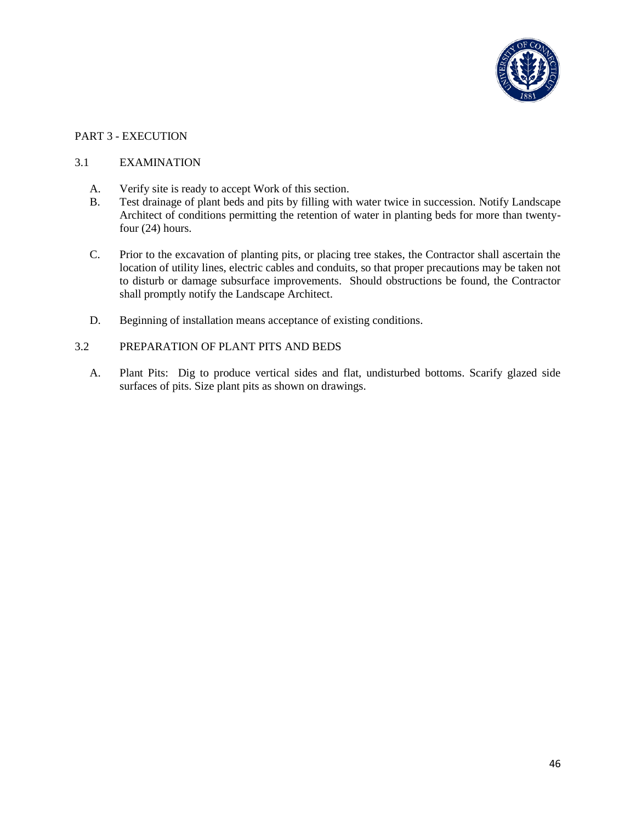

# PART 3 - EXECUTION

# 3.1 EXAMINATION

- A. Verify site is ready to accept Work of this section.
- B. Test drainage of plant beds and pits by filling with water twice in succession. Notify Landscape Architect of conditions permitting the retention of water in planting beds for more than twentyfour (24) hours.
- C. Prior to the excavation of planting pits, or placing tree stakes, the Contractor shall ascertain the location of utility lines, electric cables and conduits, so that proper precautions may be taken not to disturb or damage subsurface improvements. Should obstructions be found, the Contractor shall promptly notify the Landscape Architect.
- D. Beginning of installation means acceptance of existing conditions.

## 3.2 PREPARATION OF PLANT PITS AND BEDS

A. Plant Pits: Dig to produce vertical sides and flat, undisturbed bottoms. Scarify glazed side surfaces of pits. Size plant pits as shown on drawings.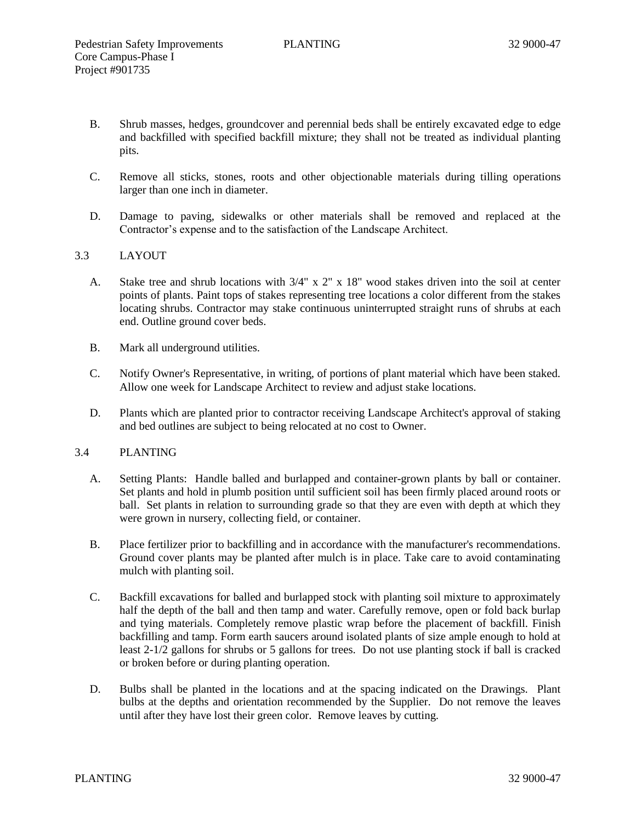- B. Shrub masses, hedges, groundcover and perennial beds shall be entirely excavated edge to edge and backfilled with specified backfill mixture; they shall not be treated as individual planting pits.
- C. Remove all sticks, stones, roots and other objectionable materials during tilling operations larger than one inch in diameter.
- D. Damage to paving, sidewalks or other materials shall be removed and replaced at the Contractor's expense and to the satisfaction of the Landscape Architect.

## 3.3 LAYOUT

- A. Stake tree and shrub locations with 3/4" x 2" x 18" wood stakes driven into the soil at center points of plants. Paint tops of stakes representing tree locations a color different from the stakes locating shrubs. Contractor may stake continuous uninterrupted straight runs of shrubs at each end. Outline ground cover beds.
- B. Mark all underground utilities.
- C. Notify Owner's Representative, in writing, of portions of plant material which have been staked. Allow one week for Landscape Architect to review and adjust stake locations.
- D. Plants which are planted prior to contractor receiving Landscape Architect's approval of staking and bed outlines are subject to being relocated at no cost to Owner.

## 3.4 PLANTING

- A. Setting Plants: Handle balled and burlapped and container-grown plants by ball or container. Set plants and hold in plumb position until sufficient soil has been firmly placed around roots or ball. Set plants in relation to surrounding grade so that they are even with depth at which they were grown in nursery, collecting field, or container.
- B. Place fertilizer prior to backfilling and in accordance with the manufacturer's recommendations. Ground cover plants may be planted after mulch is in place. Take care to avoid contaminating mulch with planting soil.
- C. Backfill excavations for balled and burlapped stock with planting soil mixture to approximately half the depth of the ball and then tamp and water. Carefully remove, open or fold back burlap and tying materials. Completely remove plastic wrap before the placement of backfill. Finish backfilling and tamp. Form earth saucers around isolated plants of size ample enough to hold at least 2-1/2 gallons for shrubs or 5 gallons for trees. Do not use planting stock if ball is cracked or broken before or during planting operation.
- D. Bulbs shall be planted in the locations and at the spacing indicated on the Drawings. Plant bulbs at the depths and orientation recommended by the Supplier. Do not remove the leaves until after they have lost their green color. Remove leaves by cutting.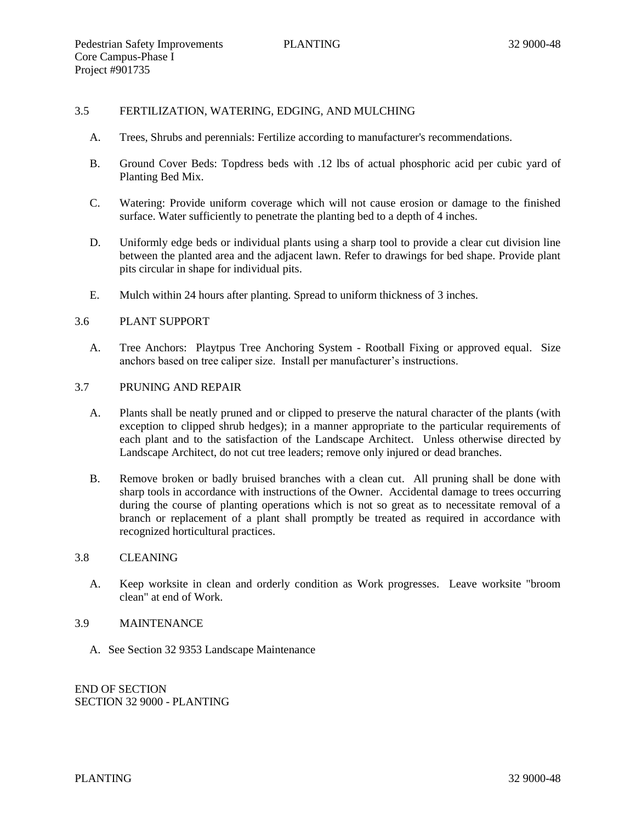#### 3.5 FERTILIZATION, WATERING, EDGING, AND MULCHING

- A. Trees, Shrubs and perennials: Fertilize according to manufacturer's recommendations.
- B. Ground Cover Beds: Topdress beds with .12 lbs of actual phosphoric acid per cubic yard of Planting Bed Mix.
- C. Watering: Provide uniform coverage which will not cause erosion or damage to the finished surface. Water sufficiently to penetrate the planting bed to a depth of 4 inches.
- D. Uniformly edge beds or individual plants using a sharp tool to provide a clear cut division line between the planted area and the adjacent lawn. Refer to drawings for bed shape. Provide plant pits circular in shape for individual pits.
- E. Mulch within 24 hours after planting. Spread to uniform thickness of 3 inches.

#### 3.6 PLANT SUPPORT

A. Tree Anchors: Playtpus Tree Anchoring System - Rootball Fixing or approved equal. Size anchors based on tree caliper size. Install per manufacturer's instructions.

#### 3.7 PRUNING AND REPAIR

- A. Plants shall be neatly pruned and or clipped to preserve the natural character of the plants (with exception to clipped shrub hedges); in a manner appropriate to the particular requirements of each plant and to the satisfaction of the Landscape Architect. Unless otherwise directed by Landscape Architect, do not cut tree leaders; remove only injured or dead branches.
- B. Remove broken or badly bruised branches with a clean cut. All pruning shall be done with sharp tools in accordance with instructions of the Owner. Accidental damage to trees occurring during the course of planting operations which is not so great as to necessitate removal of a branch or replacement of a plant shall promptly be treated as required in accordance with recognized horticultural practices.

#### 3.8 CLEANING

A. Keep worksite in clean and orderly condition as Work progresses. Leave worksite "broom clean" at end of Work.

#### 3.9 MAINTENANCE

A. See Section 32 9353 Landscape Maintenance

END OF SECTION SECTION 32 9000 - PLANTING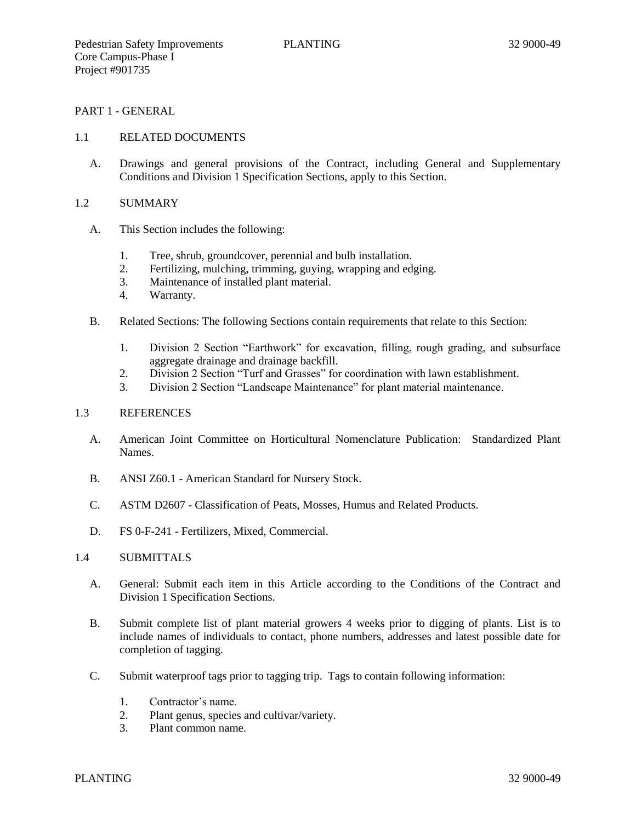## PART 1 - GENERAL

# 1.1 RELATED DOCUMENTS

A. Drawings and general provisions of the Contract, including General and Supplementary Conditions and Division 1 Specification Sections, apply to this Section.

## 1.2 SUMMARY

- A. This Section includes the following:
	- 1. Tree, shrub, groundcover, perennial and bulb installation.<br>2. Fertilizing, mulching, trimming, guving, wrapping and ed
	- Fertilizing, mulching, trimming, guying, wrapping and edging.
	- 3. Maintenance of installed plant material.
	- 4. Warranty.
- B. Related Sections: The following Sections contain requirements that relate to this Section:
	- 1. Division 2 Section "Earthwork" for excavation, filling, rough grading, and subsurface aggregate drainage and drainage backfill.
	- 2. Division 2 Section "Turf and Grasses" for coordination with lawn establishment.
	- 3. Division 2 Section "Landscape Maintenance" for plant material maintenance.

## 1.3 REFERENCES

- A. American Joint Committee on Horticultural Nomenclature Publication: Standardized Plant Names.
- B. ANSI Z60.1 American Standard for Nursery Stock.
- C. ASTM D2607 Classification of Peats, Mosses, Humus and Related Products.
- D. FS 0-F-241 Fertilizers, Mixed, Commercial.

## 1.4 SUBMITTALS

- A. General: Submit each item in this Article according to the Conditions of the Contract and Division 1 Specification Sections.
- B. Submit complete list of plant material growers 4 weeks prior to digging of plants. List is to include names of individuals to contact, phone numbers, addresses and latest possible date for completion of tagging.
- C. Submit waterproof tags prior to tagging trip. Tags to contain following information:
	- 1. Contractor's name.
	- 2. Plant genus, species and cultivar/variety.
	- 3. Plant common name.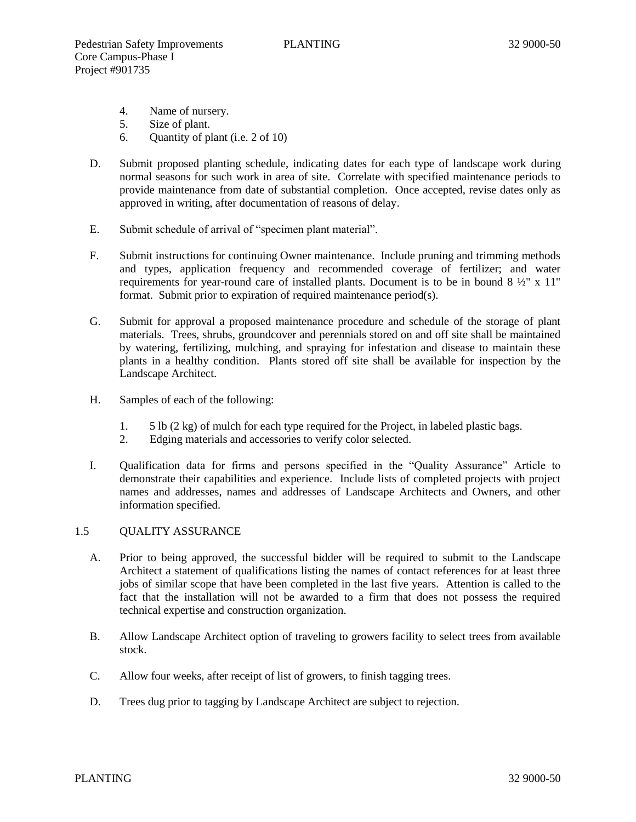- 4. Name of nursery.
- 5. Size of plant.
- 6. Quantity of plant (i.e. 2 of 10)
- D. Submit proposed planting schedule, indicating dates for each type of landscape work during normal seasons for such work in area of site. Correlate with specified maintenance periods to provide maintenance from date of substantial completion. Once accepted, revise dates only as approved in writing, after documentation of reasons of delay.
- E. Submit schedule of arrival of "specimen plant material".
- F. Submit instructions for continuing Owner maintenance. Include pruning and trimming methods and types, application frequency and recommended coverage of fertilizer; and water requirements for year-round care of installed plants. Document is to be in bound 8 ½" x 11" format. Submit prior to expiration of required maintenance period(s).
- G. Submit for approval a proposed maintenance procedure and schedule of the storage of plant materials. Trees, shrubs, groundcover and perennials stored on and off site shall be maintained by watering, fertilizing, mulching, and spraying for infestation and disease to maintain these plants in a healthy condition. Plants stored off site shall be available for inspection by the Landscape Architect.
- H. Samples of each of the following:
	- 1. 5 lb (2 kg) of mulch for each type required for the Project, in labeled plastic bags.
	- 2. Edging materials and accessories to verify color selected.
- I. Qualification data for firms and persons specified in the "Quality Assurance" Article to demonstrate their capabilities and experience. Include lists of completed projects with project names and addresses, names and addresses of Landscape Architects and Owners, and other information specified.

# 1.5 QUALITY ASSURANCE

- A. Prior to being approved, the successful bidder will be required to submit to the Landscape Architect a statement of qualifications listing the names of contact references for at least three jobs of similar scope that have been completed in the last five years. Attention is called to the fact that the installation will not be awarded to a firm that does not possess the required technical expertise and construction organization.
- B. Allow Landscape Architect option of traveling to growers facility to select trees from available stock.
- C. Allow four weeks, after receipt of list of growers, to finish tagging trees.
- D. Trees dug prior to tagging by Landscape Architect are subject to rejection.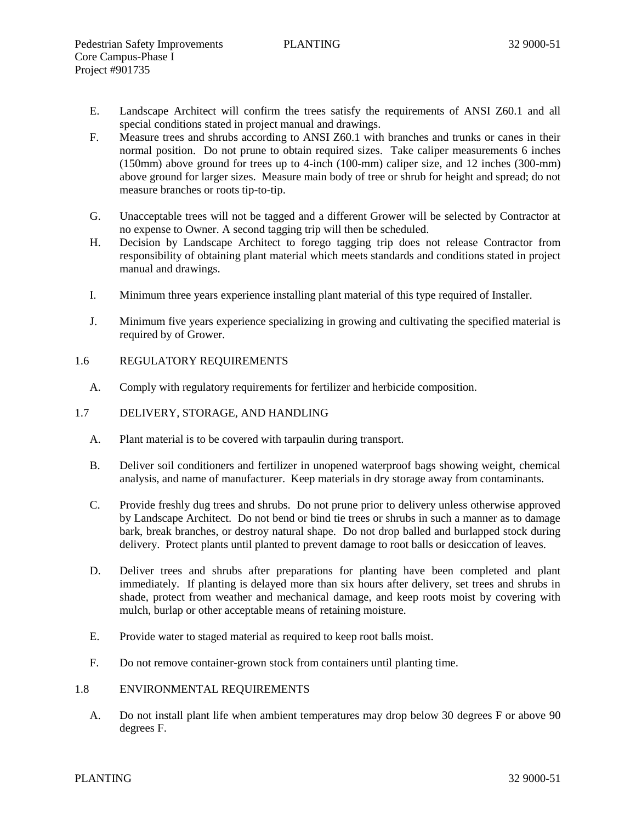- E. Landscape Architect will confirm the trees satisfy the requirements of ANSI Z60.1 and all special conditions stated in project manual and drawings.
- F. Measure trees and shrubs according to ANSI Z60.1 with branches and trunks or canes in their normal position. Do not prune to obtain required sizes. Take caliper measurements 6 inches (150mm) above ground for trees up to 4-inch (100-mm) caliper size, and 12 inches (300-mm) above ground for larger sizes. Measure main body of tree or shrub for height and spread; do not measure branches or roots tip-to-tip.
- G. Unacceptable trees will not be tagged and a different Grower will be selected by Contractor at no expense to Owner. A second tagging trip will then be scheduled.
- H. Decision by Landscape Architect to forego tagging trip does not release Contractor from responsibility of obtaining plant material which meets standards and conditions stated in project manual and drawings.
- I. Minimum three years experience installing plant material of this type required of Installer.
- J. Minimum five years experience specializing in growing and cultivating the specified material is required by of Grower.
- 1.6 REGULATORY REQUIREMENTS
	- A. Comply with regulatory requirements for fertilizer and herbicide composition.
- 1.7 DELIVERY, STORAGE, AND HANDLING
	- A. Plant material is to be covered with tarpaulin during transport.
	- B. Deliver soil conditioners and fertilizer in unopened waterproof bags showing weight, chemical analysis, and name of manufacturer. Keep materials in dry storage away from contaminants.
	- C. Provide freshly dug trees and shrubs. Do not prune prior to delivery unless otherwise approved by Landscape Architect. Do not bend or bind tie trees or shrubs in such a manner as to damage bark, break branches, or destroy natural shape. Do not drop balled and burlapped stock during delivery. Protect plants until planted to prevent damage to root balls or desiccation of leaves.
	- D. Deliver trees and shrubs after preparations for planting have been completed and plant immediately. If planting is delayed more than six hours after delivery, set trees and shrubs in shade, protect from weather and mechanical damage, and keep roots moist by covering with mulch, burlap or other acceptable means of retaining moisture.
	- E. Provide water to staged material as required to keep root balls moist.
	- F. Do not remove container-grown stock from containers until planting time.
- 1.8 ENVIRONMENTAL REQUIREMENTS
	- A. Do not install plant life when ambient temperatures may drop below 30 degrees F or above 90 degrees F.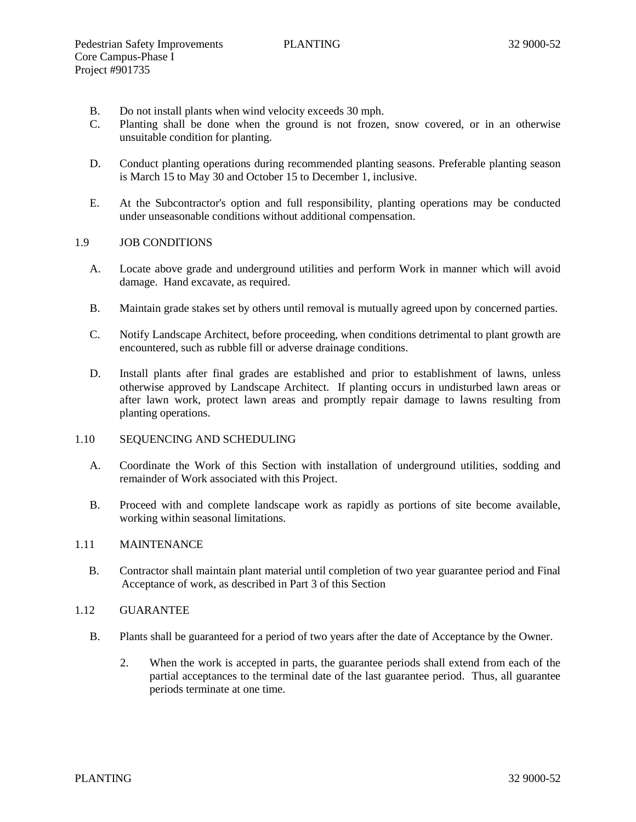- B. Do not install plants when wind velocity exceeds 30 mph.
- C. Planting shall be done when the ground is not frozen, snow covered, or in an otherwise unsuitable condition for planting.
- D. Conduct planting operations during recommended planting seasons. Preferable planting season is March 15 to May 30 and October 15 to December 1, inclusive.
- E. At the Subcontractor's option and full responsibility, planting operations may be conducted under unseasonable conditions without additional compensation.

## 1.9 JOB CONDITIONS

- A. Locate above grade and underground utilities and perform Work in manner which will avoid damage. Hand excavate, as required.
- B. Maintain grade stakes set by others until removal is mutually agreed upon by concerned parties.
- C. Notify Landscape Architect, before proceeding, when conditions detrimental to plant growth are encountered, such as rubble fill or adverse drainage conditions.
- D. Install plants after final grades are established and prior to establishment of lawns, unless otherwise approved by Landscape Architect. If planting occurs in undisturbed lawn areas or after lawn work, protect lawn areas and promptly repair damage to lawns resulting from planting operations.

## 1.10 SEQUENCING AND SCHEDULING

- A. Coordinate the Work of this Section with installation of underground utilities, sodding and remainder of Work associated with this Project.
- B. Proceed with and complete landscape work as rapidly as portions of site become available, working within seasonal limitations.

## 1.11 MAINTENANCE

B. Contractor shall maintain plant material until completion of two year guarantee period and Final Acceptance of work, as described in Part 3 of this Section

## 1.12 GUARANTEE

- B. Plants shall be guaranteed for a period of two years after the date of Acceptance by the Owner.
	- 2. When the work is accepted in parts, the guarantee periods shall extend from each of the partial acceptances to the terminal date of the last guarantee period. Thus, all guarantee periods terminate at one time.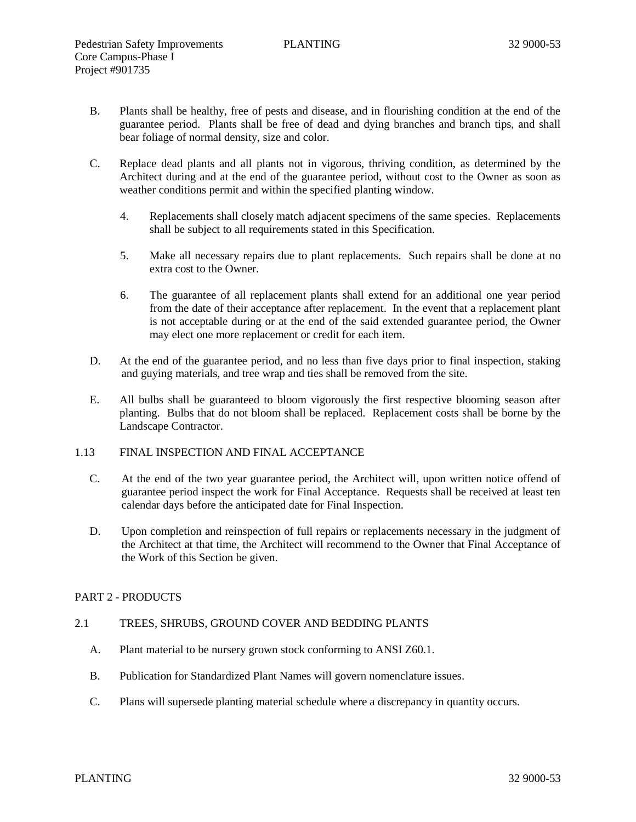- B. Plants shall be healthy, free of pests and disease, and in flourishing condition at the end of the guarantee period. Plants shall be free of dead and dying branches and branch tips, and shall bear foliage of normal density, size and color.
- C. Replace dead plants and all plants not in vigorous, thriving condition, as determined by the Architect during and at the end of the guarantee period, without cost to the Owner as soon as weather conditions permit and within the specified planting window.
	- 4. Replacements shall closely match adjacent specimens of the same species. Replacements shall be subject to all requirements stated in this Specification.
	- 5. Make all necessary repairs due to plant replacements. Such repairs shall be done at no extra cost to the Owner.
	- 6. The guarantee of all replacement plants shall extend for an additional one year period from the date of their acceptance after replacement. In the event that a replacement plant is not acceptable during or at the end of the said extended guarantee period, the Owner may elect one more replacement or credit for each item.
- D. At the end of the guarantee period, and no less than five days prior to final inspection, staking and guying materials, and tree wrap and ties shall be removed from the site.
- E. All bulbs shall be guaranteed to bloom vigorously the first respective blooming season after planting. Bulbs that do not bloom shall be replaced. Replacement costs shall be borne by the Landscape Contractor.
- 1.13 FINAL INSPECTION AND FINAL ACCEPTANCE
	- C. At the end of the two year guarantee period, the Architect will, upon written notice offend of guarantee period inspect the work for Final Acceptance. Requests shall be received at least ten calendar days before the anticipated date for Final Inspection.
	- D. Upon completion and reinspection of full repairs or replacements necessary in the judgment of the Architect at that time, the Architect will recommend to the Owner that Final Acceptance of the Work of this Section be given.

# PART 2 - PRODUCTS

# 2.1 TREES, SHRUBS, GROUND COVER AND BEDDING PLANTS

- A. Plant material to be nursery grown stock conforming to ANSI Z60.1.
- B. Publication for Standardized Plant Names will govern nomenclature issues.
- C. Plans will supersede planting material schedule where a discrepancy in quantity occurs.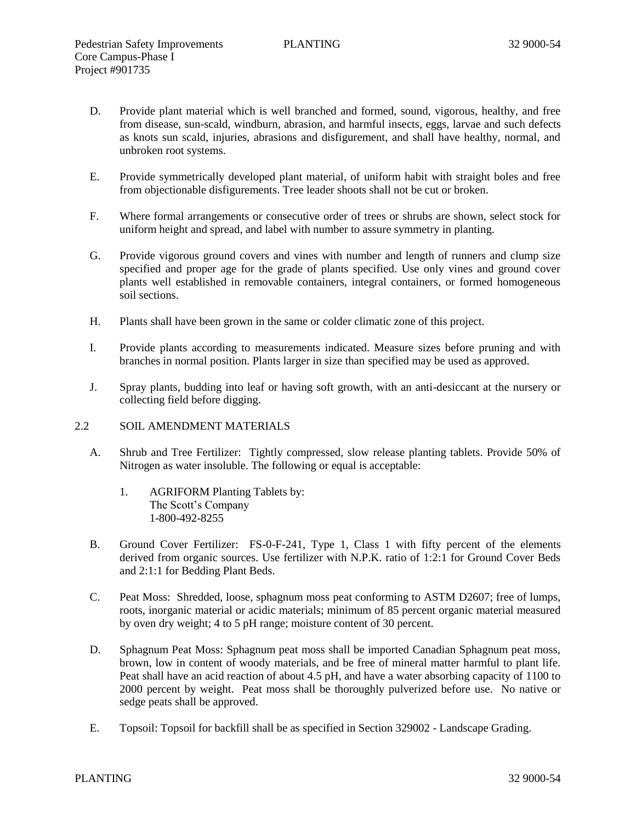- D. Provide plant material which is well branched and formed, sound, vigorous, healthy, and free from disease, sun-scald, windburn, abrasion, and harmful insects, eggs, larvae and such defects as knots sun scald, injuries, abrasions and disfigurement, and shall have healthy, normal, and unbroken root systems.
- E. Provide symmetrically developed plant material, of uniform habit with straight boles and free from objectionable disfigurements. Tree leader shoots shall not be cut or broken.
- F. Where formal arrangements or consecutive order of trees or shrubs are shown, select stock for uniform height and spread, and label with number to assure symmetry in planting.
- G. Provide vigorous ground covers and vines with number and length of runners and clump size specified and proper age for the grade of plants specified. Use only vines and ground cover plants well established in removable containers, integral containers, or formed homogeneous soil sections.
- H. Plants shall have been grown in the same or colder climatic zone of this project.
- I. Provide plants according to measurements indicated. Measure sizes before pruning and with branches in normal position. Plants larger in size than specified may be used as approved.
- J. Spray plants, budding into leaf or having soft growth, with an anti-desiccant at the nursery or collecting field before digging.

# 2.2 SOIL AMENDMENT MATERIALS

- A. Shrub and Tree Fertilizer: Tightly compressed, slow release planting tablets. Provide 50% of Nitrogen as water insoluble. The following or equal is acceptable:
	- 1. AGRIFORM Planting Tablets by: The Scott's Company 1-800-492-8255
- B. Ground Cover Fertilizer: FS-0-F-241, Type 1, Class 1 with fifty percent of the elements derived from organic sources. Use fertilizer with N.P.K. ratio of 1:2:1 for Ground Cover Beds and 2:1:1 for Bedding Plant Beds.
- C. Peat Moss: Shredded, loose, sphagnum moss peat conforming to ASTM D2607; free of lumps, roots, inorganic material or acidic materials; minimum of 85 percent organic material measured by oven dry weight; 4 to 5 pH range; moisture content of 30 percent.
- D. Sphagnum Peat Moss: Sphagnum peat moss shall be imported Canadian Sphagnum peat moss, brown, low in content of woody materials, and be free of mineral matter harmful to plant life. Peat shall have an acid reaction of about 4.5 pH, and have a water absorbing capacity of 1100 to 2000 percent by weight. Peat moss shall be thoroughly pulverized before use. No native or sedge peats shall be approved.
- E. Topsoil: Topsoil for backfill shall be as specified in Section 329002 Landscape Grading.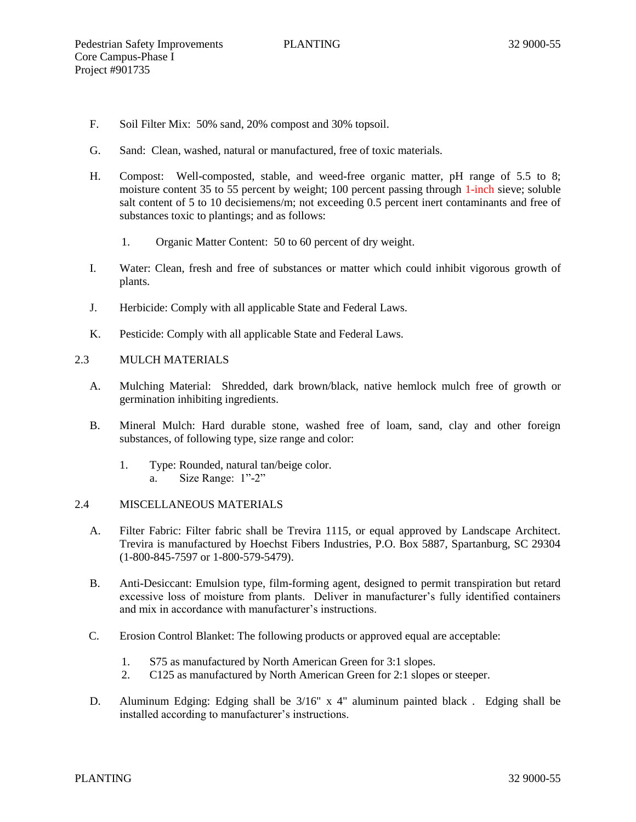- F. Soil Filter Mix: 50% sand, 20% compost and 30% topsoil.
- G. Sand: Clean, washed, natural or manufactured, free of toxic materials.
- H. Compost: Well-composted, stable, and weed-free organic matter, pH range of 5.5 to 8; moisture content 35 to 55 percent by weight; 100 percent passing through 1-inch sieve; soluble salt content of 5 to 10 decisiemens/m; not exceeding 0.5 percent inert contaminants and free of substances toxic to plantings; and as follows:
	- 1. Organic Matter Content: 50 to 60 percent of dry weight.
- I. Water: Clean, fresh and free of substances or matter which could inhibit vigorous growth of plants.
- J. Herbicide: Comply with all applicable State and Federal Laws.
- K. Pesticide: Comply with all applicable State and Federal Laws.
- 2.3 MULCH MATERIALS
	- A. Mulching Material: Shredded, dark brown/black, native hemlock mulch free of growth or germination inhibiting ingredients.
	- B. Mineral Mulch: Hard durable stone, washed free of loam, sand, clay and other foreign substances, of following type, size range and color:
		- 1. Type: Rounded, natural tan/beige color. a. Size Range: 1"-2"
- 2.4 MISCELLANEOUS MATERIALS
	- A. Filter Fabric: Filter fabric shall be Trevira 1115, or equal approved by Landscape Architect. Trevira is manufactured by Hoechst Fibers Industries, P.O. Box 5887, Spartanburg, SC 29304 (1-800-845-7597 or 1-800-579-5479).
	- B. Anti-Desiccant: Emulsion type, film-forming agent, designed to permit transpiration but retard excessive loss of moisture from plants. Deliver in manufacturer's fully identified containers and mix in accordance with manufacturer's instructions.
	- C. Erosion Control Blanket: The following products or approved equal are acceptable:
		- 1. S75 as manufactured by North American Green for 3:1 slopes.
		- 2. C125 as manufactured by North American Green for 2:1 slopes or steeper.
	- D. Aluminum Edging: Edging shall be 3/16" x 4" aluminum painted black . Edging shall be installed according to manufacturer's instructions.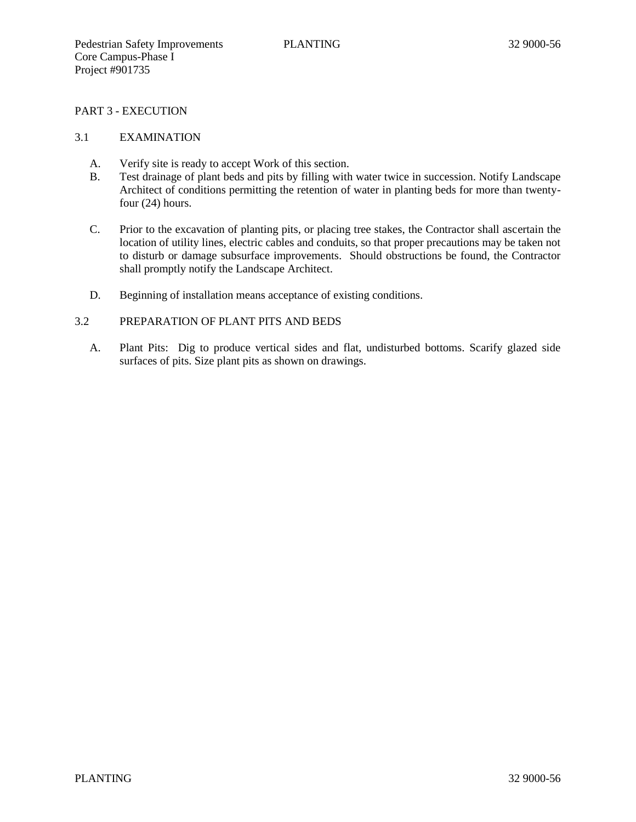# PART 3 - EXECUTION

# 3.1 EXAMINATION

- A. Verify site is ready to accept Work of this section.
- B. Test drainage of plant beds and pits by filling with water twice in succession. Notify Landscape Architect of conditions permitting the retention of water in planting beds for more than twentyfour (24) hours.
- C. Prior to the excavation of planting pits, or placing tree stakes, the Contractor shall ascertain the location of utility lines, electric cables and conduits, so that proper precautions may be taken not to disturb or damage subsurface improvements. Should obstructions be found, the Contractor shall promptly notify the Landscape Architect.
- D. Beginning of installation means acceptance of existing conditions.

# 3.2 PREPARATION OF PLANT PITS AND BEDS

A. Plant Pits: Dig to produce vertical sides and flat, undisturbed bottoms. Scarify glazed side surfaces of pits. Size plant pits as shown on drawings.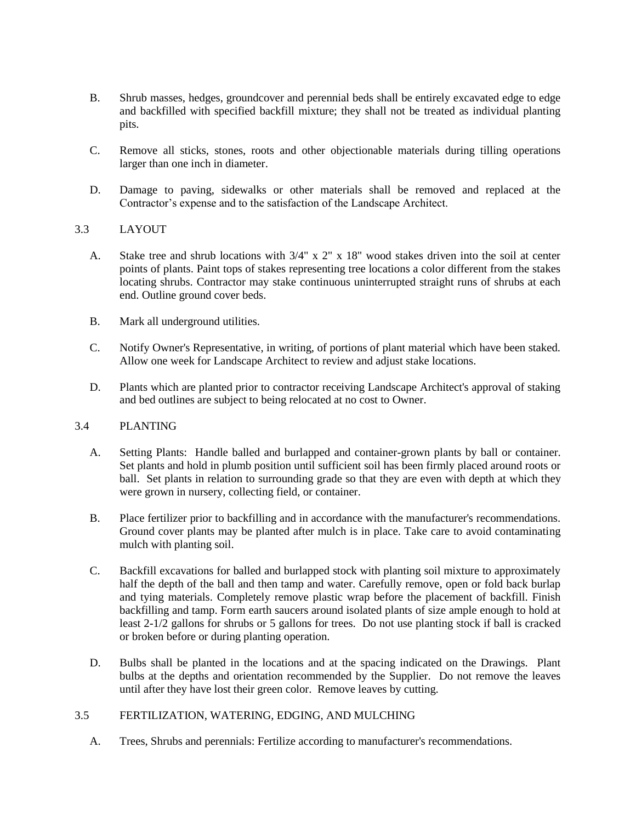- B. Shrub masses, hedges, groundcover and perennial beds shall be entirely excavated edge to edge and backfilled with specified backfill mixture; they shall not be treated as individual planting pits.
- C. Remove all sticks, stones, roots and other objectionable materials during tilling operations larger than one inch in diameter.
- D. Damage to paving, sidewalks or other materials shall be removed and replaced at the Contractor's expense and to the satisfaction of the Landscape Architect.

# 3.3 LAYOUT

- A. Stake tree and shrub locations with 3/4" x 2" x 18" wood stakes driven into the soil at center points of plants. Paint tops of stakes representing tree locations a color different from the stakes locating shrubs. Contractor may stake continuous uninterrupted straight runs of shrubs at each end. Outline ground cover beds.
- B. Mark all underground utilities.
- C. Notify Owner's Representative, in writing, of portions of plant material which have been staked. Allow one week for Landscape Architect to review and adjust stake locations.
- D. Plants which are planted prior to contractor receiving Landscape Architect's approval of staking and bed outlines are subject to being relocated at no cost to Owner.

## 3.4 PLANTING

- A. Setting Plants: Handle balled and burlapped and container-grown plants by ball or container. Set plants and hold in plumb position until sufficient soil has been firmly placed around roots or ball. Set plants in relation to surrounding grade so that they are even with depth at which they were grown in nursery, collecting field, or container.
- B. Place fertilizer prior to backfilling and in accordance with the manufacturer's recommendations. Ground cover plants may be planted after mulch is in place. Take care to avoid contaminating mulch with planting soil.
- C. Backfill excavations for balled and burlapped stock with planting soil mixture to approximately half the depth of the ball and then tamp and water. Carefully remove, open or fold back burlap and tying materials. Completely remove plastic wrap before the placement of backfill. Finish backfilling and tamp. Form earth saucers around isolated plants of size ample enough to hold at least 2-1/2 gallons for shrubs or 5 gallons for trees. Do not use planting stock if ball is cracked or broken before or during planting operation.
- D. Bulbs shall be planted in the locations and at the spacing indicated on the Drawings. Plant bulbs at the depths and orientation recommended by the Supplier. Do not remove the leaves until after they have lost their green color. Remove leaves by cutting.

## 3.5 FERTILIZATION, WATERING, EDGING, AND MULCHING

A. Trees, Shrubs and perennials: Fertilize according to manufacturer's recommendations.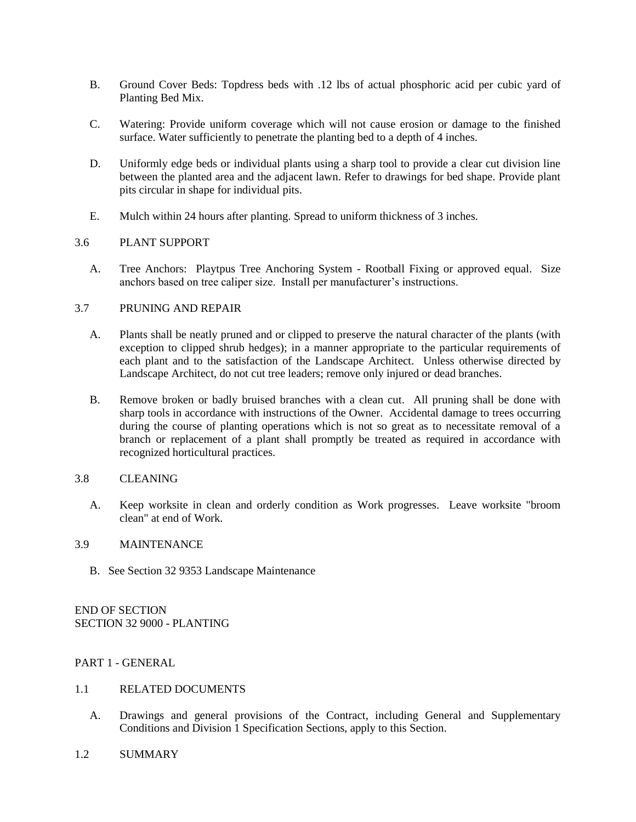- B. Ground Cover Beds: Topdress beds with .12 lbs of actual phosphoric acid per cubic yard of Planting Bed Mix.
- C. Watering: Provide uniform coverage which will not cause erosion or damage to the finished surface. Water sufficiently to penetrate the planting bed to a depth of 4 inches.
- D. Uniformly edge beds or individual plants using a sharp tool to provide a clear cut division line between the planted area and the adjacent lawn. Refer to drawings for bed shape. Provide plant pits circular in shape for individual pits.
- E. Mulch within 24 hours after planting. Spread to uniform thickness of 3 inches.

#### 3.6 PLANT SUPPORT

A. Tree Anchors: Playtpus Tree Anchoring System - Rootball Fixing or approved equal. Size anchors based on tree caliper size. Install per manufacturer's instructions.

#### 3.7 PRUNING AND REPAIR

- A. Plants shall be neatly pruned and or clipped to preserve the natural character of the plants (with exception to clipped shrub hedges); in a manner appropriate to the particular requirements of each plant and to the satisfaction of the Landscape Architect. Unless otherwise directed by Landscape Architect, do not cut tree leaders; remove only injured or dead branches.
- B. Remove broken or badly bruised branches with a clean cut. All pruning shall be done with sharp tools in accordance with instructions of the Owner. Accidental damage to trees occurring during the course of planting operations which is not so great as to necessitate removal of a branch or replacement of a plant shall promptly be treated as required in accordance with recognized horticultural practices.

#### 3.8 CLEANING

A. Keep worksite in clean and orderly condition as Work progresses. Leave worksite "broom clean" at end of Work.

#### 3.9 MAINTENANCE

B. See Section 32 9353 Landscape Maintenance

END OF SECTION SECTION 32 9000 - PLANTING

## PART 1 - GENERAL

#### 1.1 RELATED DOCUMENTS

- A. Drawings and general provisions of the Contract, including General and Supplementary Conditions and Division 1 Specification Sections, apply to this Section.
- 1.2 SUMMARY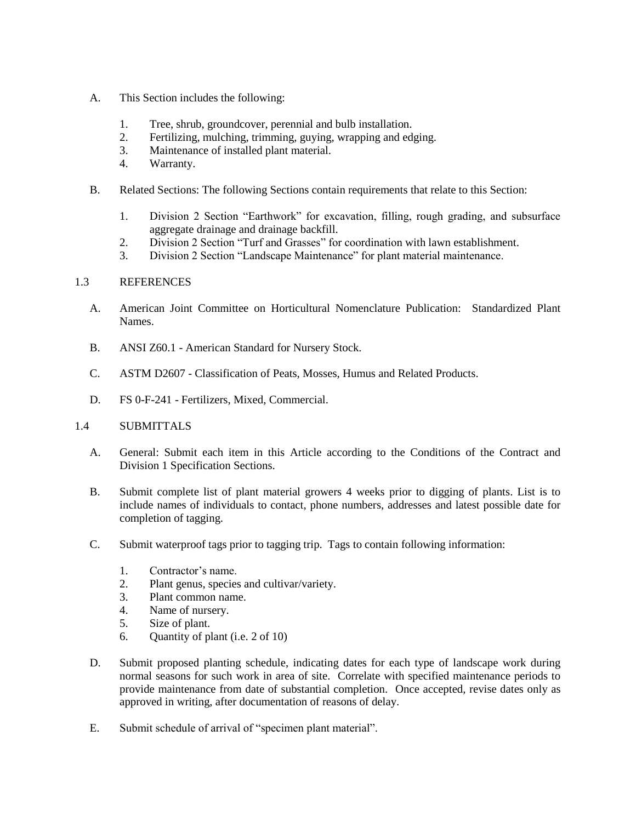- A. This Section includes the following:
	- 1. Tree, shrub, groundcover, perennial and bulb installation.
	- 2. Fertilizing, mulching, trimming, guying, wrapping and edging.
	- 3. Maintenance of installed plant material.
	- 4. Warranty.
- B. Related Sections: The following Sections contain requirements that relate to this Section:
	- 1. Division 2 Section "Earthwork" for excavation, filling, rough grading, and subsurface aggregate drainage and drainage backfill.
	- 2. Division 2 Section "Turf and Grasses" for coordination with lawn establishment.
	- 3. Division 2 Section "Landscape Maintenance" for plant material maintenance.

## 1.3 REFERENCES

- A. American Joint Committee on Horticultural Nomenclature Publication: Standardized Plant Names.
- B. ANSI Z60.1 American Standard for Nursery Stock.
- C. ASTM D2607 Classification of Peats, Mosses, Humus and Related Products.
- D. FS 0-F-241 Fertilizers, Mixed, Commercial.

# 1.4 SUBMITTALS

- A. General: Submit each item in this Article according to the Conditions of the Contract and Division 1 Specification Sections.
- B. Submit complete list of plant material growers 4 weeks prior to digging of plants. List is to include names of individuals to contact, phone numbers, addresses and latest possible date for completion of tagging.
- C. Submit waterproof tags prior to tagging trip. Tags to contain following information:
	- 1. Contractor's name.
	- 2. Plant genus, species and cultivar/variety.
	- 3. Plant common name.
	- 4. Name of nursery.
	- 5. Size of plant.
	- 6. Quantity of plant (i.e. 2 of 10)
- D. Submit proposed planting schedule, indicating dates for each type of landscape work during normal seasons for such work in area of site. Correlate with specified maintenance periods to provide maintenance from date of substantial completion. Once accepted, revise dates only as approved in writing, after documentation of reasons of delay.
- E. Submit schedule of arrival of "specimen plant material".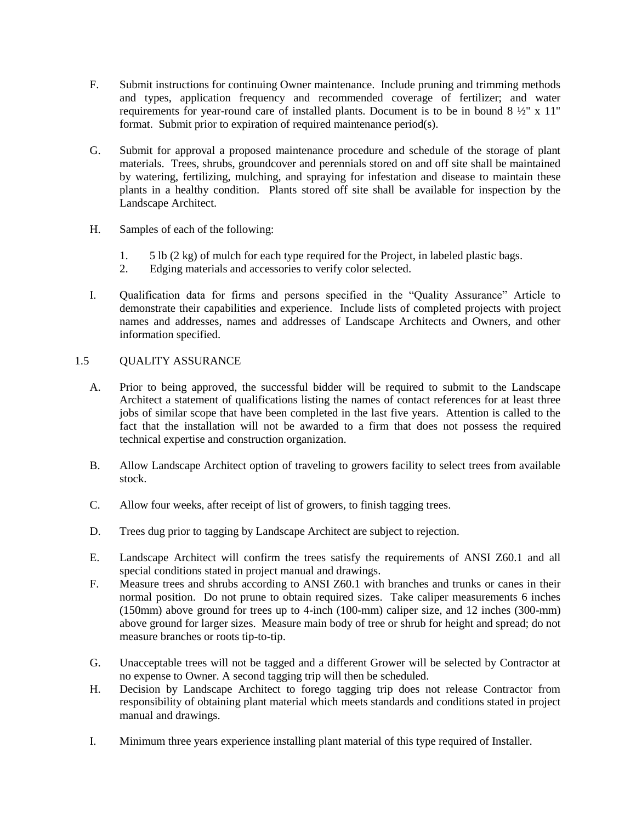- F. Submit instructions for continuing Owner maintenance. Include pruning and trimming methods and types, application frequency and recommended coverage of fertilizer; and water requirements for year-round care of installed plants. Document is to be in bound 8 ½" x 11" format. Submit prior to expiration of required maintenance period(s).
- G. Submit for approval a proposed maintenance procedure and schedule of the storage of plant materials. Trees, shrubs, groundcover and perennials stored on and off site shall be maintained by watering, fertilizing, mulching, and spraying for infestation and disease to maintain these plants in a healthy condition. Plants stored off site shall be available for inspection by the Landscape Architect.
- H. Samples of each of the following:
	- 1. 5 lb (2 kg) of mulch for each type required for the Project, in labeled plastic bags.<br>2. Edging materials and accessories to verify color selected.
	- Edging materials and accessories to verify color selected.
- I. Qualification data for firms and persons specified in the "Quality Assurance" Article to demonstrate their capabilities and experience. Include lists of completed projects with project names and addresses, names and addresses of Landscape Architects and Owners, and other information specified.

## 1.5 QUALITY ASSURANCE

- A. Prior to being approved, the successful bidder will be required to submit to the Landscape Architect a statement of qualifications listing the names of contact references for at least three jobs of similar scope that have been completed in the last five years. Attention is called to the fact that the installation will not be awarded to a firm that does not possess the required technical expertise and construction organization.
- B. Allow Landscape Architect option of traveling to growers facility to select trees from available stock.
- C. Allow four weeks, after receipt of list of growers, to finish tagging trees.
- D. Trees dug prior to tagging by Landscape Architect are subject to rejection.
- E. Landscape Architect will confirm the trees satisfy the requirements of ANSI Z60.1 and all special conditions stated in project manual and drawings.
- F. Measure trees and shrubs according to ANSI Z60.1 with branches and trunks or canes in their normal position. Do not prune to obtain required sizes. Take caliper measurements 6 inches (150mm) above ground for trees up to 4-inch (100-mm) caliper size, and 12 inches (300-mm) above ground for larger sizes. Measure main body of tree or shrub for height and spread; do not measure branches or roots tip-to-tip.
- G. Unacceptable trees will not be tagged and a different Grower will be selected by Contractor at no expense to Owner. A second tagging trip will then be scheduled.
- H. Decision by Landscape Architect to forego tagging trip does not release Contractor from responsibility of obtaining plant material which meets standards and conditions stated in project manual and drawings.
- I. Minimum three years experience installing plant material of this type required of Installer.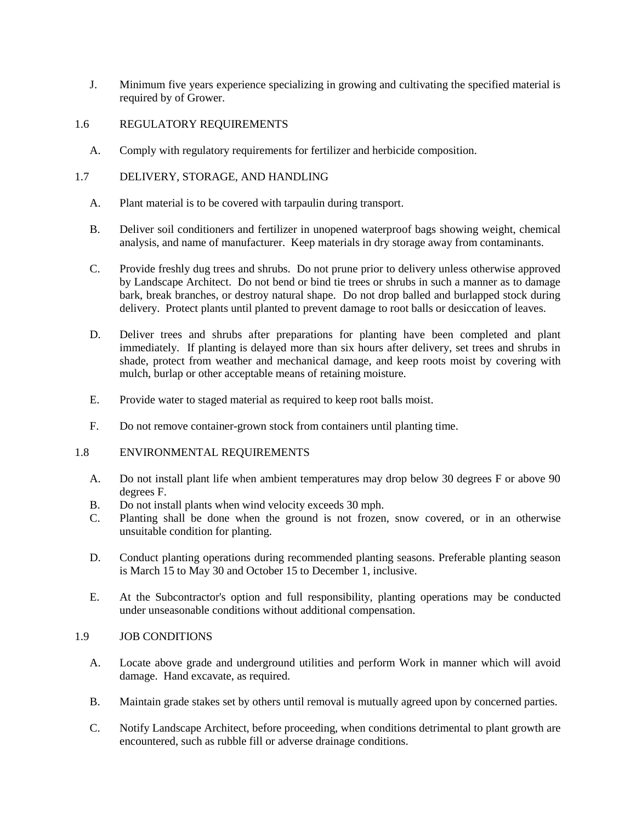- J. Minimum five years experience specializing in growing and cultivating the specified material is required by of Grower.
- 1.6 REGULATORY REQUIREMENTS
	- A. Comply with regulatory requirements for fertilizer and herbicide composition.
- 1.7 DELIVERY, STORAGE, AND HANDLING
	- A. Plant material is to be covered with tarpaulin during transport.
	- B. Deliver soil conditioners and fertilizer in unopened waterproof bags showing weight, chemical analysis, and name of manufacturer. Keep materials in dry storage away from contaminants.
	- C. Provide freshly dug trees and shrubs. Do not prune prior to delivery unless otherwise approved by Landscape Architect. Do not bend or bind tie trees or shrubs in such a manner as to damage bark, break branches, or destroy natural shape. Do not drop balled and burlapped stock during delivery. Protect plants until planted to prevent damage to root balls or desiccation of leaves.
	- D. Deliver trees and shrubs after preparations for planting have been completed and plant immediately. If planting is delayed more than six hours after delivery, set trees and shrubs in shade, protect from weather and mechanical damage, and keep roots moist by covering with mulch, burlap or other acceptable means of retaining moisture.
	- E. Provide water to staged material as required to keep root balls moist.
	- F. Do not remove container-grown stock from containers until planting time.

#### 1.8 ENVIRONMENTAL REQUIREMENTS

- A. Do not install plant life when ambient temperatures may drop below 30 degrees F or above 90 degrees F.
- B. Do not install plants when wind velocity exceeds 30 mph.
- C. Planting shall be done when the ground is not frozen, snow covered, or in an otherwise unsuitable condition for planting.
- D. Conduct planting operations during recommended planting seasons. Preferable planting season is March 15 to May 30 and October 15 to December 1, inclusive.
- E. At the Subcontractor's option and full responsibility, planting operations may be conducted under unseasonable conditions without additional compensation.

## 1.9 JOB CONDITIONS

- A. Locate above grade and underground utilities and perform Work in manner which will avoid damage. Hand excavate, as required.
- B. Maintain grade stakes set by others until removal is mutually agreed upon by concerned parties.
- C. Notify Landscape Architect, before proceeding, when conditions detrimental to plant growth are encountered, such as rubble fill or adverse drainage conditions.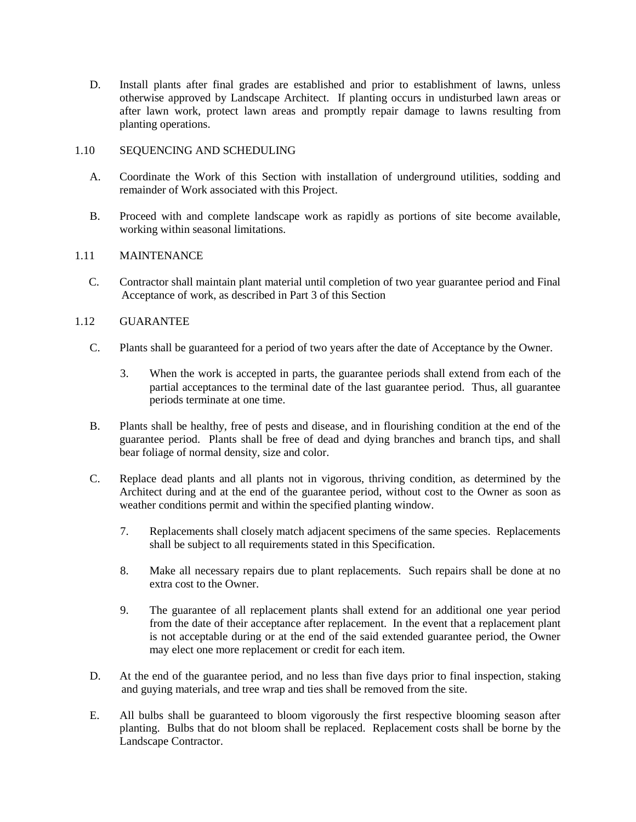D. Install plants after final grades are established and prior to establishment of lawns, unless otherwise approved by Landscape Architect. If planting occurs in undisturbed lawn areas or after lawn work, protect lawn areas and promptly repair damage to lawns resulting from planting operations.

#### 1.10 SEQUENCING AND SCHEDULING

- A. Coordinate the Work of this Section with installation of underground utilities, sodding and remainder of Work associated with this Project.
- B. Proceed with and complete landscape work as rapidly as portions of site become available, working within seasonal limitations.

#### 1.11 MAINTENANCE

C. Contractor shall maintain plant material until completion of two year guarantee period and Final Acceptance of work, as described in Part 3 of this Section

#### 1.12 GUARANTEE

- C. Plants shall be guaranteed for a period of two years after the date of Acceptance by the Owner.
	- 3. When the work is accepted in parts, the guarantee periods shall extend from each of the partial acceptances to the terminal date of the last guarantee period. Thus, all guarantee periods terminate at one time.
- B. Plants shall be healthy, free of pests and disease, and in flourishing condition at the end of the guarantee period. Plants shall be free of dead and dying branches and branch tips, and shall bear foliage of normal density, size and color.
- C. Replace dead plants and all plants not in vigorous, thriving condition, as determined by the Architect during and at the end of the guarantee period, without cost to the Owner as soon as weather conditions permit and within the specified planting window.
	- 7. Replacements shall closely match adjacent specimens of the same species. Replacements shall be subject to all requirements stated in this Specification.
	- 8. Make all necessary repairs due to plant replacements. Such repairs shall be done at no extra cost to the Owner.
	- 9. The guarantee of all replacement plants shall extend for an additional one year period from the date of their acceptance after replacement. In the event that a replacement plant is not acceptable during or at the end of the said extended guarantee period, the Owner may elect one more replacement or credit for each item.
- D. At the end of the guarantee period, and no less than five days prior to final inspection, staking and guying materials, and tree wrap and ties shall be removed from the site.
- E. All bulbs shall be guaranteed to bloom vigorously the first respective blooming season after planting. Bulbs that do not bloom shall be replaced. Replacement costs shall be borne by the Landscape Contractor.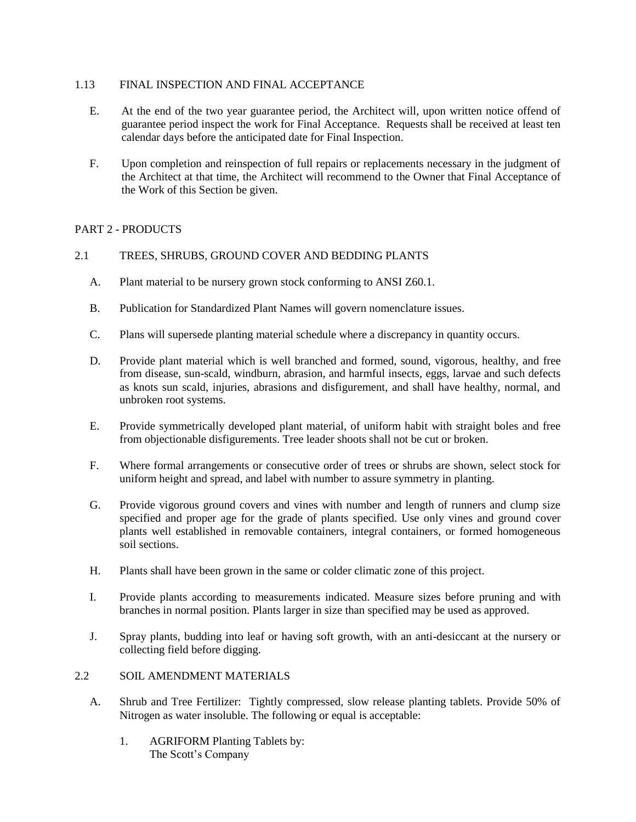# 1.13 FINAL INSPECTION AND FINAL ACCEPTANCE

- E. At the end of the two year guarantee period, the Architect will, upon written notice offend of guarantee period inspect the work for Final Acceptance. Requests shall be received at least ten calendar days before the anticipated date for Final Inspection.
- F. Upon completion and reinspection of full repairs or replacements necessary in the judgment of the Architect at that time, the Architect will recommend to the Owner that Final Acceptance of the Work of this Section be given.

# PART 2 - PRODUCTS

# 2.1 TREES, SHRUBS, GROUND COVER AND BEDDING PLANTS

- A. Plant material to be nursery grown stock conforming to ANSI Z60.1.
- B. Publication for Standardized Plant Names will govern nomenclature issues.
- C. Plans will supersede planting material schedule where a discrepancy in quantity occurs.
- D. Provide plant material which is well branched and formed, sound, vigorous, healthy, and free from disease, sun-scald, windburn, abrasion, and harmful insects, eggs, larvae and such defects as knots sun scald, injuries, abrasions and disfigurement, and shall have healthy, normal, and unbroken root systems.
- E. Provide symmetrically developed plant material, of uniform habit with straight boles and free from objectionable disfigurements. Tree leader shoots shall not be cut or broken.
- F. Where formal arrangements or consecutive order of trees or shrubs are shown, select stock for uniform height and spread, and label with number to assure symmetry in planting.
- G. Provide vigorous ground covers and vines with number and length of runners and clump size specified and proper age for the grade of plants specified. Use only vines and ground cover plants well established in removable containers, integral containers, or formed homogeneous soil sections.
- H. Plants shall have been grown in the same or colder climatic zone of this project.
- I. Provide plants according to measurements indicated. Measure sizes before pruning and with branches in normal position. Plants larger in size than specified may be used as approved.
- J. Spray plants, budding into leaf or having soft growth, with an anti-desiccant at the nursery or collecting field before digging.

## 2.2 SOIL AMENDMENT MATERIALS

- A. Shrub and Tree Fertilizer: Tightly compressed, slow release planting tablets. Provide 50% of Nitrogen as water insoluble. The following or equal is acceptable:
	- 1. AGRIFORM Planting Tablets by: The Scott's Company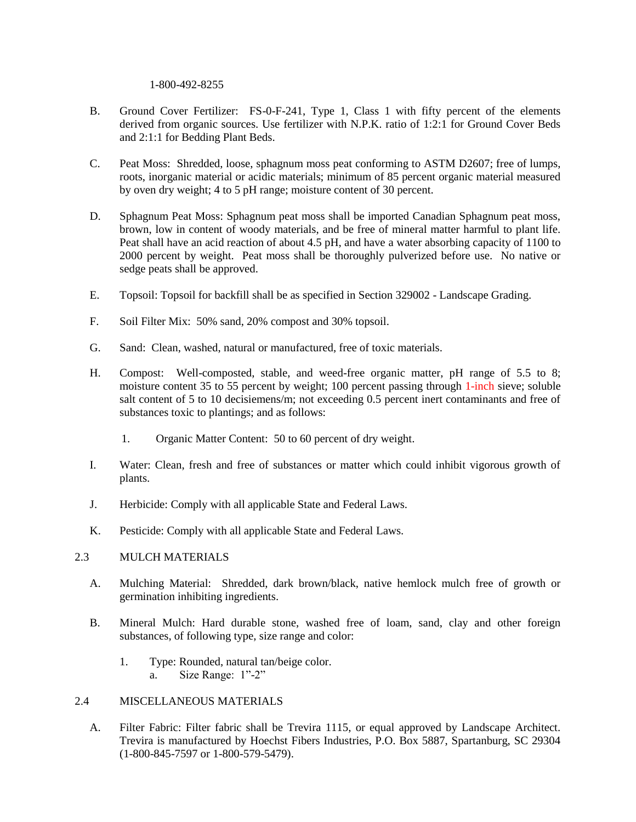#### 1-800-492-8255

- B. Ground Cover Fertilizer: FS-0-F-241, Type 1, Class 1 with fifty percent of the elements derived from organic sources. Use fertilizer with N.P.K. ratio of 1:2:1 for Ground Cover Beds and 2:1:1 for Bedding Plant Beds.
- C. Peat Moss: Shredded, loose, sphagnum moss peat conforming to ASTM D2607; free of lumps, roots, inorganic material or acidic materials; minimum of 85 percent organic material measured by oven dry weight; 4 to 5 pH range; moisture content of 30 percent.
- D. Sphagnum Peat Moss: Sphagnum peat moss shall be imported Canadian Sphagnum peat moss, brown, low in content of woody materials, and be free of mineral matter harmful to plant life. Peat shall have an acid reaction of about 4.5 pH, and have a water absorbing capacity of 1100 to 2000 percent by weight. Peat moss shall be thoroughly pulverized before use. No native or sedge peats shall be approved.
- E. Topsoil: Topsoil for backfill shall be as specified in Section 329002 Landscape Grading.
- F. Soil Filter Mix: 50% sand, 20% compost and 30% topsoil.
- G. Sand: Clean, washed, natural or manufactured, free of toxic materials.
- H. Compost: Well-composted, stable, and weed-free organic matter, pH range of 5.5 to 8; moisture content 35 to 55 percent by weight; 100 percent passing through 1-inch sieve; soluble salt content of 5 to 10 decisiemens/m; not exceeding 0.5 percent inert contaminants and free of substances toxic to plantings; and as follows:
	- 1. Organic Matter Content: 50 to 60 percent of dry weight.
- I. Water: Clean, fresh and free of substances or matter which could inhibit vigorous growth of plants.
- J. Herbicide: Comply with all applicable State and Federal Laws.
- K. Pesticide: Comply with all applicable State and Federal Laws.

## 2.3 MULCH MATERIALS

- A. Mulching Material: Shredded, dark brown/black, native hemlock mulch free of growth or germination inhibiting ingredients.
- B. Mineral Mulch: Hard durable stone, washed free of loam, sand, clay and other foreign substances, of following type, size range and color:
	- 1. Type: Rounded, natural tan/beige color. a. Size Range: 1"-2"

#### 2.4 MISCELLANEOUS MATERIALS

A. Filter Fabric: Filter fabric shall be Trevira 1115, or equal approved by Landscape Architect. Trevira is manufactured by Hoechst Fibers Industries, P.O. Box 5887, Spartanburg, SC 29304 (1-800-845-7597 or 1-800-579-5479).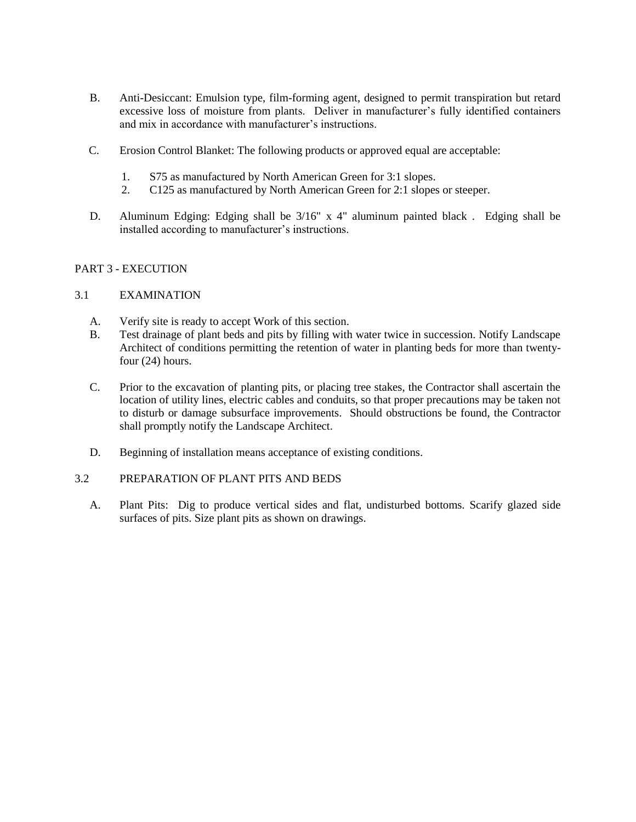- B. Anti-Desiccant: Emulsion type, film-forming agent, designed to permit transpiration but retard excessive loss of moisture from plants. Deliver in manufacturer's fully identified containers and mix in accordance with manufacturer's instructions.
- C. Erosion Control Blanket: The following products or approved equal are acceptable:
	- 1. S75 as manufactured by North American Green for 3:1 slopes.
	- 2. C125 as manufactured by North American Green for 2:1 slopes or steeper.
- D. Aluminum Edging: Edging shall be 3/16" x 4" aluminum painted black . Edging shall be installed according to manufacturer's instructions.

## PART 3 - EXECUTION

## 3.1 EXAMINATION

- A. Verify site is ready to accept Work of this section.
- B. Test drainage of plant beds and pits by filling with water twice in succession. Notify Landscape Architect of conditions permitting the retention of water in planting beds for more than twentyfour (24) hours.
- C. Prior to the excavation of planting pits, or placing tree stakes, the Contractor shall ascertain the location of utility lines, electric cables and conduits, so that proper precautions may be taken not to disturb or damage subsurface improvements. Should obstructions be found, the Contractor shall promptly notify the Landscape Architect.
- D. Beginning of installation means acceptance of existing conditions.

## 3.2 PREPARATION OF PLANT PITS AND BEDS

A. Plant Pits: Dig to produce vertical sides and flat, undisturbed bottoms. Scarify glazed side surfaces of pits. Size plant pits as shown on drawings.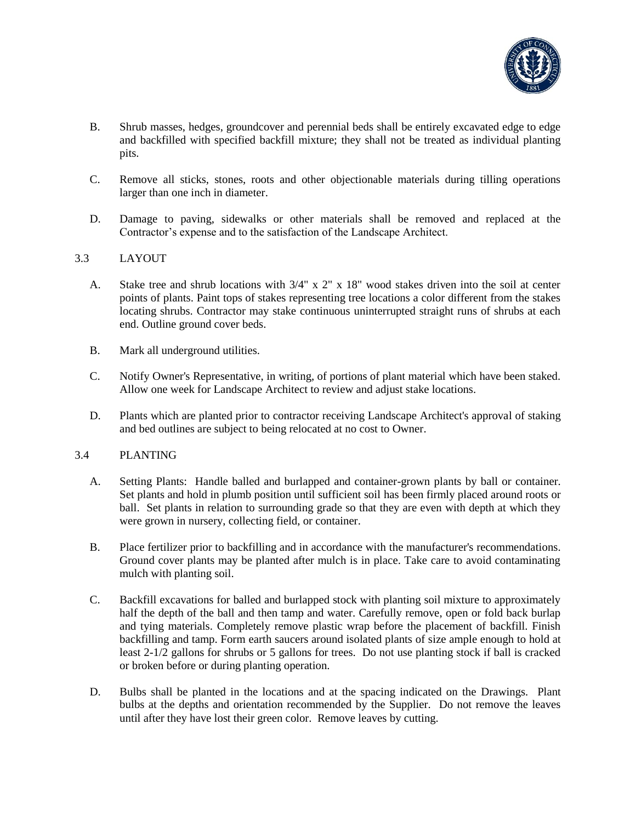

- B. Shrub masses, hedges, groundcover and perennial beds shall be entirely excavated edge to edge and backfilled with specified backfill mixture; they shall not be treated as individual planting pits.
- C. Remove all sticks, stones, roots and other objectionable materials during tilling operations larger than one inch in diameter.
- D. Damage to paving, sidewalks or other materials shall be removed and replaced at the Contractor's expense and to the satisfaction of the Landscape Architect.

## 3.3 LAYOUT

- A. Stake tree and shrub locations with 3/4" x 2" x 18" wood stakes driven into the soil at center points of plants. Paint tops of stakes representing tree locations a color different from the stakes locating shrubs. Contractor may stake continuous uninterrupted straight runs of shrubs at each end. Outline ground cover beds.
- B. Mark all underground utilities.
- C. Notify Owner's Representative, in writing, of portions of plant material which have been staked. Allow one week for Landscape Architect to review and adjust stake locations.
- D. Plants which are planted prior to contractor receiving Landscape Architect's approval of staking and bed outlines are subject to being relocated at no cost to Owner.

## 3.4 PLANTING

- A. Setting Plants: Handle balled and burlapped and container-grown plants by ball or container. Set plants and hold in plumb position until sufficient soil has been firmly placed around roots or ball. Set plants in relation to surrounding grade so that they are even with depth at which they were grown in nursery, collecting field, or container.
- B. Place fertilizer prior to backfilling and in accordance with the manufacturer's recommendations. Ground cover plants may be planted after mulch is in place. Take care to avoid contaminating mulch with planting soil.
- C. Backfill excavations for balled and burlapped stock with planting soil mixture to approximately half the depth of the ball and then tamp and water. Carefully remove, open or fold back burlap and tying materials. Completely remove plastic wrap before the placement of backfill. Finish backfilling and tamp. Form earth saucers around isolated plants of size ample enough to hold at least 2-1/2 gallons for shrubs or 5 gallons for trees. Do not use planting stock if ball is cracked or broken before or during planting operation.
- D. Bulbs shall be planted in the locations and at the spacing indicated on the Drawings. Plant bulbs at the depths and orientation recommended by the Supplier. Do not remove the leaves until after they have lost their green color. Remove leaves by cutting.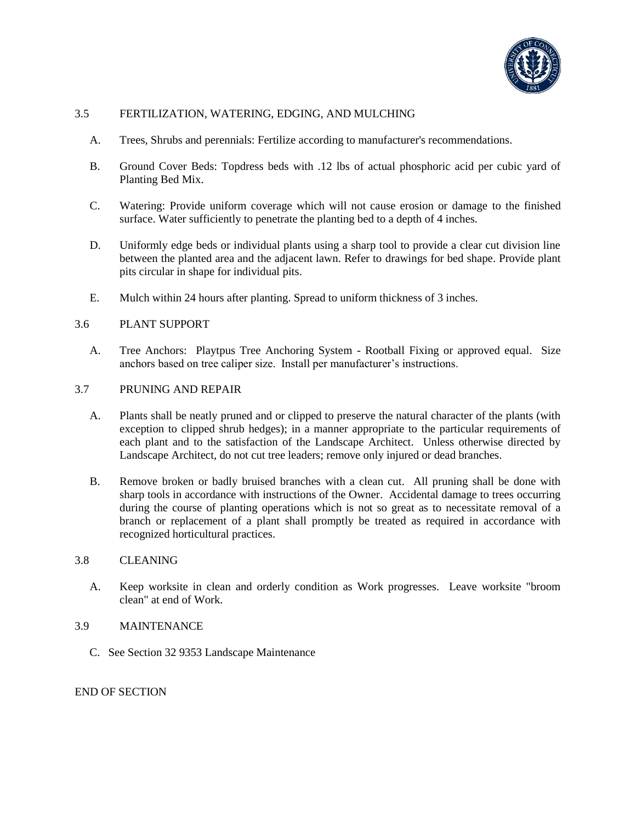

# 3.5 FERTILIZATION, WATERING, EDGING, AND MULCHING

- A. Trees, Shrubs and perennials: Fertilize according to manufacturer's recommendations.
- B. Ground Cover Beds: Topdress beds with .12 lbs of actual phosphoric acid per cubic yard of Planting Bed Mix.
- C. Watering: Provide uniform coverage which will not cause erosion or damage to the finished surface. Water sufficiently to penetrate the planting bed to a depth of 4 inches.
- D. Uniformly edge beds or individual plants using a sharp tool to provide a clear cut division line between the planted area and the adjacent lawn. Refer to drawings for bed shape. Provide plant pits circular in shape for individual pits.
- E. Mulch within 24 hours after planting. Spread to uniform thickness of 3 inches.

## 3.6 PLANT SUPPORT

A. Tree Anchors: Playtpus Tree Anchoring System - Rootball Fixing or approved equal. Size anchors based on tree caliper size. Install per manufacturer's instructions.

#### 3.7 PRUNING AND REPAIR

- A. Plants shall be neatly pruned and or clipped to preserve the natural character of the plants (with exception to clipped shrub hedges); in a manner appropriate to the particular requirements of each plant and to the satisfaction of the Landscape Architect. Unless otherwise directed by Landscape Architect, do not cut tree leaders; remove only injured or dead branches.
- B. Remove broken or badly bruised branches with a clean cut. All pruning shall be done with sharp tools in accordance with instructions of the Owner. Accidental damage to trees occurring during the course of planting operations which is not so great as to necessitate removal of a branch or replacement of a plant shall promptly be treated as required in accordance with recognized horticultural practices.

#### 3.8 CLEANING

A. Keep worksite in clean and orderly condition as Work progresses. Leave worksite "broom clean" at end of Work.

#### 3.9 MAINTENANCE

C. See Section 32 9353 Landscape Maintenance

## END OF SECTION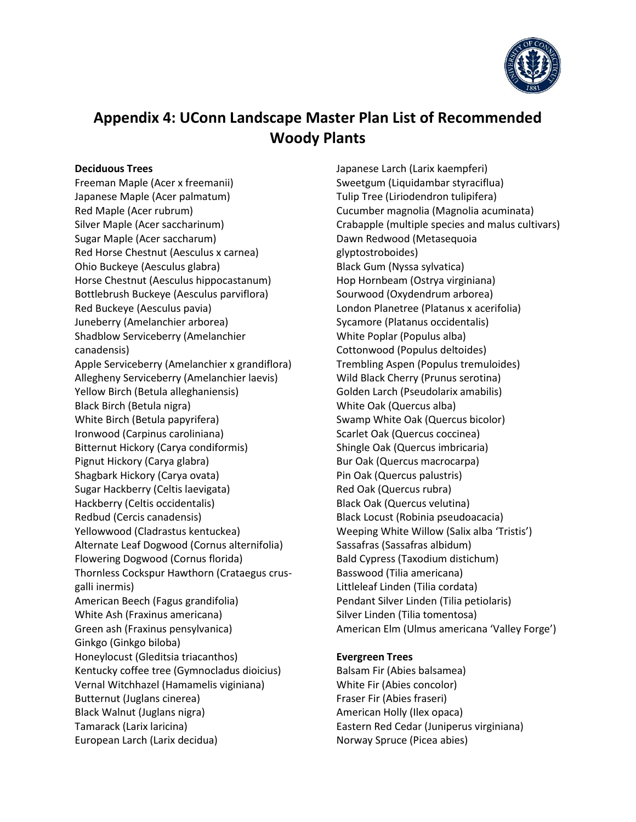

# **Appendix 4: UConn Landscape Master Plan List of Recommended Woody Plants**

#### **Deciduous Trees**

Freeman Maple (Acer x freemanii) Japanese Maple (Acer palmatum) Red Maple (Acer rubrum) Silver Maple (Acer saccharinum) Sugar Maple (Acer saccharum) Red Horse Chestnut (Aesculus x carnea) Ohio Buckeye (Aesculus glabra) Horse Chestnut (Aesculus hippocastanum) Bottlebrush Buckeye (Aesculus parviflora) Red Buckeye (Aesculus pavia) Juneberry (Amelanchier arborea) Shadblow Serviceberry (Amelanchier canadensis) Apple Serviceberry (Amelanchier x grandiflora) Allegheny Serviceberry (Amelanchier laevis) Yellow Birch (Betula alleghaniensis) Black Birch (Betula nigra) White Birch (Betula papyrifera) Ironwood (Carpinus caroliniana) Bitternut Hickory (Carya condiformis) Pignut Hickory (Carya glabra) Shagbark Hickory (Carya ovata) Sugar Hackberry (Celtis laevigata) Hackberry (Celtis occidentalis) Redbud (Cercis canadensis) Yellowwood (Cladrastus kentuckea) Alternate Leaf Dogwood (Cornus alternifolia) Flowering Dogwood (Cornus florida) Thornless Cockspur Hawthorn (Crataegus crusgalli inermis) American Beech (Fagus grandifolia) White Ash (Fraxinus americana) Green ash (Fraxinus pensylvanica) Ginkgo (Ginkgo biloba) Honeylocust (Gleditsia triacanthos) Kentucky coffee tree (Gymnocladus dioicius) Vernal Witchhazel (Hamamelis viginiana) Butternut (Juglans cinerea) Black Walnut (Juglans nigra) Tamarack (Larix laricina) European Larch (Larix decidua)

Japanese Larch (Larix kaempferi) Sweetgum (Liquidambar styraciflua) Tulip Tree (Liriodendron tulipifera) Cucumber magnolia (Magnolia acuminata) Crabapple (multiple species and malus cultivars) Dawn Redwood (Metasequoia glyptostroboides) Black Gum (Nyssa sylvatica) Hop Hornbeam (Ostrya virginiana) Sourwood (Oxydendrum arborea) London Planetree (Platanus x acerifolia) Sycamore (Platanus occidentalis) White Poplar (Populus alba) Cottonwood (Populus deltoides) Trembling Aspen (Populus tremuloides) Wild Black Cherry (Prunus serotina) Golden Larch (Pseudolarix amabilis) White Oak (Quercus alba) Swamp White Oak (Quercus bicolor) Scarlet Oak (Quercus coccinea) Shingle Oak (Quercus imbricaria) Bur Oak (Quercus macrocarpa) Pin Oak (Quercus palustris) Red Oak (Quercus rubra) Black Oak (Quercus velutina) Black Locust (Robinia pseudoacacia) Weeping White Willow (Salix alba 'Tristis') Sassafras (Sassafras albidum) Bald Cypress (Taxodium distichum) Basswood (Tilia americana) Littleleaf Linden (Tilia cordata) Pendant Silver Linden (Tilia petiolaris) Silver Linden (Tilia tomentosa) American Elm (Ulmus americana 'Valley Forge')

## **Evergreen Trees**

Balsam Fir (Abies balsamea) White Fir (Abies concolor) Fraser Fir (Abies fraseri) American Holly (Ilex opaca) Eastern Red Cedar (Juniperus virginiana) Norway Spruce (Picea abies)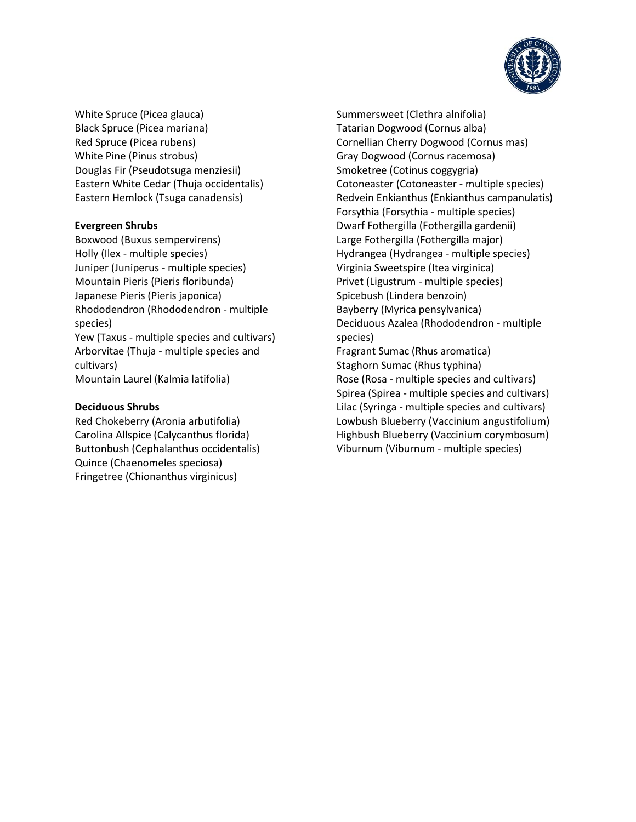

White Spruce (Picea glauca) Black Spruce (Picea mariana) Red Spruce (Picea rubens) White Pine (Pinus strobus) Douglas Fir (Pseudotsuga menziesii) Eastern White Cedar (Thuja occidentalis) Eastern Hemlock (Tsuga canadensis)

#### **Evergreen Shrubs**

Boxwood (Buxus sempervirens) Holly (Ilex - multiple species) Juniper (Juniperus - multiple species) Mountain Pieris (Pieris floribunda) Japanese Pieris (Pieris japonica) Rhododendron (Rhododendron - multiple species) Yew (Taxus - multiple species and cultivars) Arborvitae (Thuja - multiple species and cultivars) Mountain Laurel (Kalmia latifolia)

#### **Deciduous Shrubs**

Red Chokeberry (Aronia arbutifolia) Carolina Allspice (Calycanthus florida) Buttonbush (Cephalanthus occidentalis) Quince (Chaenomeles speciosa) Fringetree (Chionanthus virginicus)

Summersweet (Clethra alnifolia) Tatarian Dogwood (Cornus alba) Cornellian Cherry Dogwood (Cornus mas) Gray Dogwood (Cornus racemosa) Smoketree (Cotinus coggygria) Cotoneaster (Cotoneaster - multiple species) Redvein Enkianthus (Enkianthus campanulatis) Forsythia (Forsythia - multiple species) Dwarf Fothergilla (Fothergilla gardenii) Large Fothergilla (Fothergilla major) Hydrangea (Hydrangea - multiple species) Virginia Sweetspire (Itea virginica) Privet (Ligustrum - multiple species) Spicebush (Lindera benzoin) Bayberry (Myrica pensylvanica) Deciduous Azalea (Rhododendron - multiple species) Fragrant Sumac (Rhus aromatica) Staghorn Sumac (Rhus typhina) Rose (Rosa - multiple species and cultivars) Spirea (Spirea - multiple species and cultivars) Lilac (Syringa - multiple species and cultivars) Lowbush Blueberry (Vaccinium angustifolium) Highbush Blueberry (Vaccinium corymbosum) Viburnum (Viburnum - multiple species)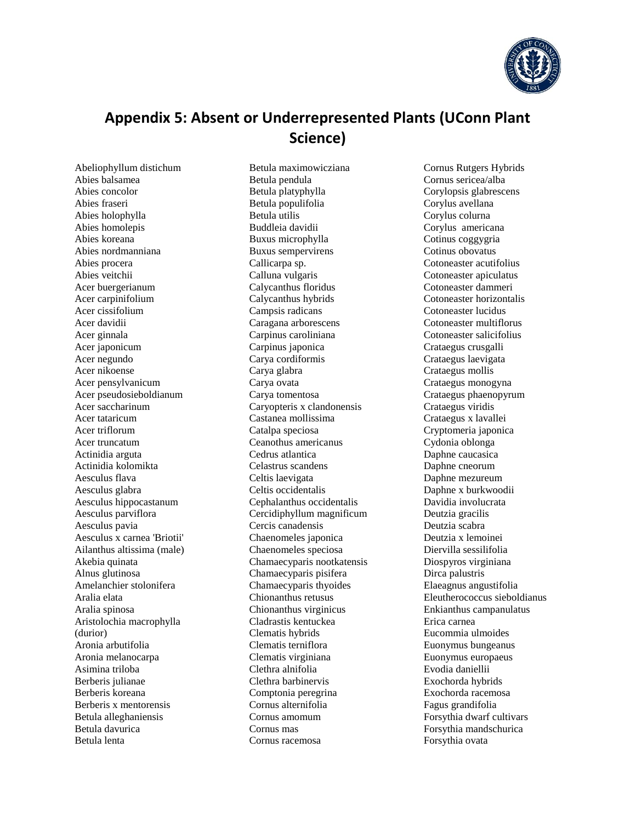

# **Appendix 5: Absent or Underrepresented Plants (UConn Plant Science)**

Abeliophyllum distichum Abies balsamea Abies concolor Abies fraseri Abies holophylla Abies homolepis Abies koreana Abies nordmanniana Abies procera Abies veitchii Acer buergerianum Acer carpinifolium Acer cissifolium Acer davidii Acer ginnala Acer japonicum Acer negundo Acer nikoense Acer pensylvanicum Acer pseudosieboldianum Acer saccharinum Acer tataricum Acer triflorum Acer truncatum Actinidia arguta Actinidia kolomikta Aesculus flava Aesculus glabra Aesculus hippocastanum Aesculus parviflora Aesculus pavia Aesculus x carnea 'Briotii' Ailanthus altissima (male) Akebia quinata Alnus glutinosa Amelanchier stolonifera Aralia elata Aralia spinosa Aristolochia macrophylla (durior) Aronia arbutifolia Aronia melanocarpa Asimina triloba Berberis julianae Berberis koreana Berberis x mentorensis Betula alleghaniensis Betula davurica Betula lenta

Betula maximowicziana Betula pendula Betula platyphylla Betula populifolia Betula utilis Buddleia davidii Buxus microphylla Buxus sempervirens Callicarpa sp. Calluna vulgaris Calycanthus floridus Calycanthus hybrids Campsis radicans Caragana arborescens Carpinus caroliniana Carpinus japonica Carya cordiformis Carya glabra Carya ovata Carya tomentosa Caryopteris x clandonensis Castanea mollissima Catalpa speciosa Ceanothus americanus Cedrus atlantica Celastrus scandens Celtis laevigata Celtis occidentalis Cephalanthus occidentalis Cercidiphyllum magnificum Cercis canadensis Chaenomeles japonica Chaenomeles speciosa Chamaecyparis nootkatensis Chamaecyparis pisifera Chamaecyparis thyoides Chionanthus retusus Chionanthus virginicus Cladrastis kentuckea Clematis hybrids Clematis terniflora Clematis virginiana Clethra alnifolia Clethra barbinervis Comptonia peregrina Cornus alternifolia Cornus amomum Cornus mas Cornus racemosa

Cornus Rutgers Hybrids Cornus sericea/alba Corylopsis glabrescens Corylus avellana Corylus colurna Corylus americana Cotinus coggygria Cotinus obovatus Cotoneaster acutifolius Cotoneaster apiculatus Cotoneaster dammeri Cotoneaster horizontalis Cotoneaster lucidus Cotoneaster multiflorus Cotoneaster salicifolius Crataegus crusgalli Crataegus laevigata Crataegus mollis Crataegus monogyna Crataegus phaenopyrum Crataegus viridis Crataegus x lavallei Cryptomeria japonica Cydonia oblonga Daphne caucasica Daphne cneorum Daphne mezureum Daphne x burkwoodii Davidia involucrata Deutzia gracilis Deutzia scabra Deutzia x lemoinei Diervilla sessilifolia Diospyros virginiana Dirca palustris Elaeagnus angustifolia Eleutherococcus sieboldianus Enkianthus campanulatus Erica carnea Eucommia ulmoides Euonymus bungeanus Euonymus europaeus Evodia daniellii Exochorda hybrids Exochorda racemosa Fagus grandifolia Forsythia dwarf cultivars Forsythia mandschurica Forsythia ovata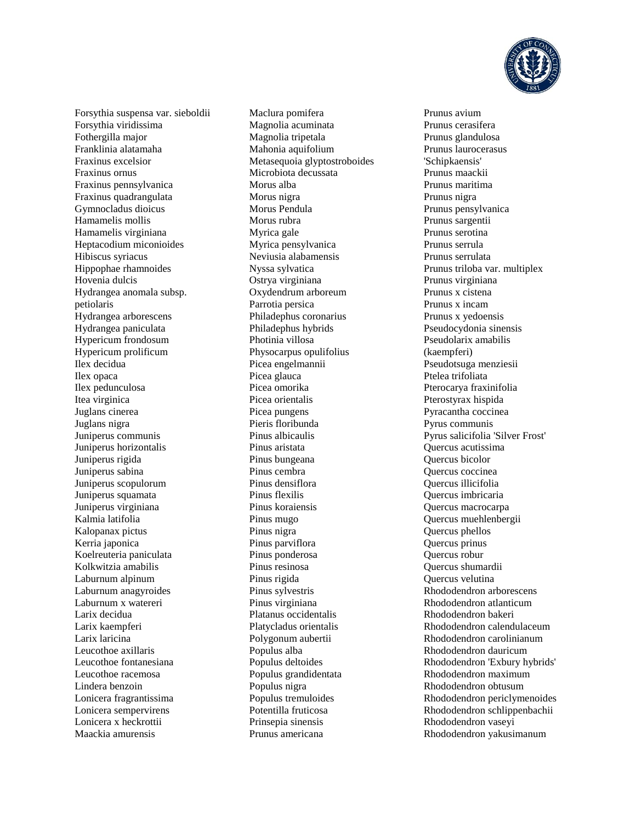

Forsythia suspensa var. sieboldii Forsythia viridissima Fothergilla major Franklinia alatamaha Fraxinus excelsior Fraxinus ornus Fraxinus pennsylvanica Fraxinus quadrangulata Gymnocladus dioicus Hamamelis mollis Hamamelis virginiana Heptacodium miconioides Hibiscus syriacus Hippophae rhamnoides Hovenia dulcis Hydrangea anomala subsp. petiolaris Hydrangea arborescens Hydrangea paniculata Hypericum frondosum Hypericum prolificum Ilex decidua Ilex opaca Ilex pedunculosa Itea virginica Juglans cinerea Juglans nigra Juniperus communis Juniperus horizontalis Juniperus rigida Juniperus sabina Juniperus scopulorum Juniperus squamata Juniperus virginiana Kalmia latifolia Kalopanax pictus Kerria japonica Koelreuteria paniculata Kolkwitzia amabilis Laburnum alpinum Laburnum anagyroides Laburnum x watereri Larix decidua Larix kaempferi Larix laricina Leucothoe axillaris Leucothoe fontanesiana Leucothoe racemosa Lindera benzoin Lonicera fragrantissima Lonicera sempervirens Lonicera x heckrottii Maackia amurensis

Maclura pomifera Magnolia acuminata Magnolia tripetala Mahonia aquifolium Metasequoia glyptostroboides Microbiota decussata Morus alba Morus nigra Morus Pendula Morus rubra Myrica gale Myrica pensylvanica Neviusia alabamensis Nyssa sylvatica Ostrya virginiana Oxydendrum arboreum Parrotia persica Philadephus coronarius Philadephus hybrids Photinia villosa Physocarpus opulifolius Picea engelmannii Picea glauca Picea omorika Picea orientalis Picea pungens Pieris floribunda Pinus albicaulis Pinus aristata Pinus bungeana Pinus cembra Pinus densiflora Pinus flexilis Pinus koraiensis Pinus mugo Pinus nigra Pinus parviflora Pinus ponderosa Pinus resinosa Pinus rigida Pinus sylvestris Pinus virginiana Platanus occidentalis Platycladus orientalis Polygonum aubertii Populus alba Populus deltoides Populus grandidentata Populus nigra Populus tremuloides Potentilla fruticosa Prinsepia sinensis Prunus americana

Prunus avium Prunus cerasifera Prunus glandulosa Prunus laurocerasus 'Schipkaensis' Prunus maackii Prunus maritima Prunus nigra Prunus pensylvanica Prunus sargentii Prunus serotina Prunus serrula Prunus serrulata Prunus triloba var. multiplex Prunus virginiana Prunus x cistena Prunus x incam Prunus x yedoensis Pseudocydonia sinensis Pseudolarix amabilis (kaempferi) Pseudotsuga menziesii Ptelea trifoliata Pterocarya fraxinifolia Pterostyrax hispida Pyracantha coccinea Pyrus communis Pyrus salicifolia 'Silver Frost' Quercus acutissima Quercus bicolor Quercus coccinea Quercus illicifolia Quercus imbricaria Quercus macrocarpa Quercus muehlenbergii Quercus phellos Quercus prinus Quercus robur Quercus shumardii Quercus velutina Rhododendron arborescens Rhododendron atlanticum Rhododendron bakeri Rhododendron calendulaceum Rhododendron carolinianum Rhododendron dauricum Rhododendron 'Exbury hybrids' Rhododendron maximum Rhododendron obtusum Rhododendron periclymenoides Rhododendron schlippenbachii Rhododendron vaseyi Rhododendron yakusimanum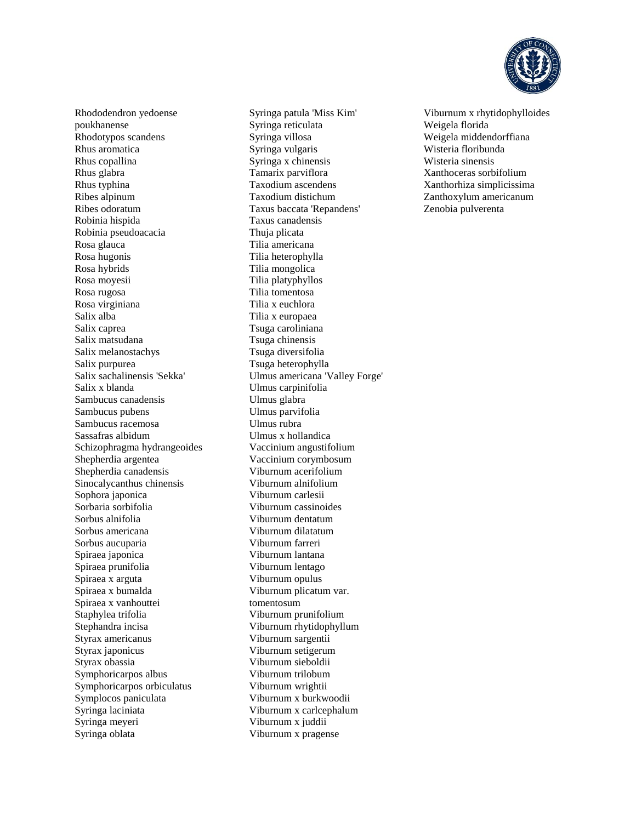

Rhododendron yedoense poukhanense Rhodotypos scandens Rhus aromatica Rhus copallina Rhus glabra Rhus typhina Ribes alpinum Ribes odoratum Robinia hispida Robinia pseudoacacia Rosa glauca Rosa hugonis Rosa hybrids Rosa moyesii Rosa rugosa Rosa virginiana Salix alba Salix caprea Salix matsudana Salix melanostachys Salix purpurea Salix sachalinensis 'Sekka' Salix x blanda Sambucus canadensis Sambucus pubens Sambucus racemosa Sassafras albidum Schizophragma hydrangeoides Shepherdia argentea Shepherdia canadensis Sinocalycanthus chinensis Sophora japonica Sorbaria sorbifolia Sorbus alnifolia Sorbus americana Sorbus aucuparia Spiraea japonica Spiraea prunifolia Spiraea x arguta Spiraea x bumalda Spiraea x vanhouttei Staphylea trifolia Stephandra incisa Styrax americanus Styrax japonicus Styrax obassia Symphoricarpos albus Symphoricarpos orbiculatus Symplocos paniculata Syringa laciniata Syringa meyeri Syringa oblata

Syringa patula 'Miss Kim' Syringa reticulata Syringa villosa Syringa vulgaris Syringa x chinensis Tamarix parviflora Taxodium ascendens Taxodium distichum Taxus baccata 'Repandens' Taxus canadensis Thuja plicata Tilia americana Tilia heterophylla Tilia mongolica Tilia platyphyllos Tilia tomentosa Tilia x euchlora Tilia x europaea Tsuga caroliniana Tsuga chinensis Tsuga diversifolia Tsuga heterophylla Ulmus americana 'Valley Forge' Ulmus carpinifolia Ulmus glabra Ulmus parvifolia Ulmus rubra Ulmus x hollandica Vaccinium angustifolium Vaccinium corymbosum Viburnum acerifolium Viburnum alnifolium Viburnum carlesii Viburnum cassinoides Viburnum dentatum Viburnum dilatatum Viburnum farreri Viburnum lantana Viburnum lentago Viburnum opulus Viburnum plicatum var. tomentosum Viburnum prunifolium Viburnum rhytidophyllum Viburnum sargentii Viburnum setigerum Viburnum sieboldii Viburnum trilobum Viburnum wrightii Viburnum x burkwoodii Viburnum x carlcephalum Viburnum x juddii Viburnum x pragense

Viburnum x rhytidophylloides Weigela florida Weigela middendorffiana Wisteria floribunda Wisteria sinensis Xanthoceras sorbifolium Xanthorhiza simplicissima Zanthoxylum americanum Zenobia pulverenta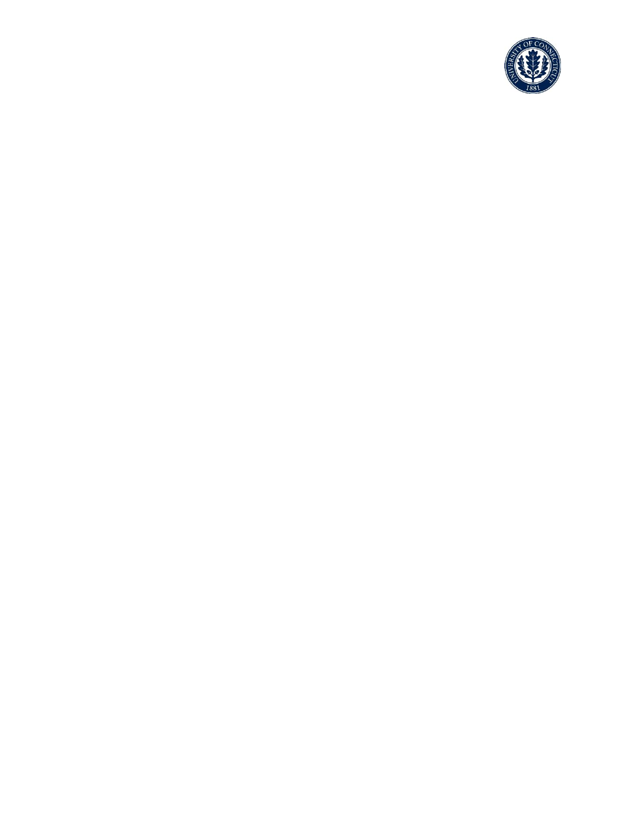